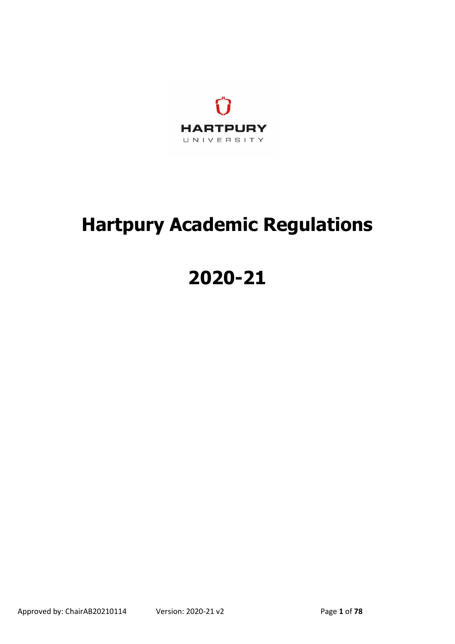

# **Hartpury Academic Regulations**

# **2020-21**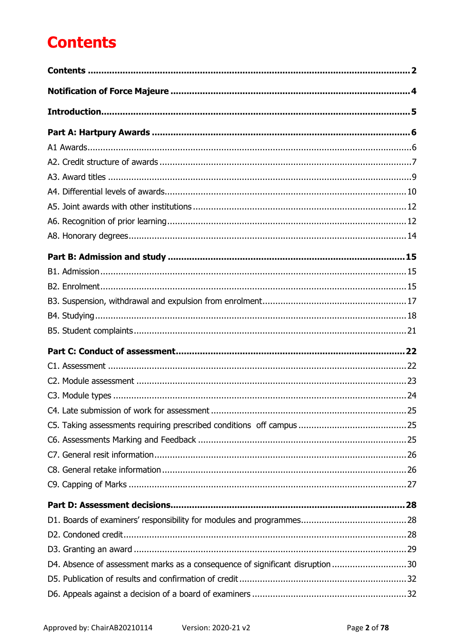# <span id="page-1-0"></span>**Contents**

| D4. Absence of assessment marks as a consequence of significant disruption 30 |  |
|-------------------------------------------------------------------------------|--|
|                                                                               |  |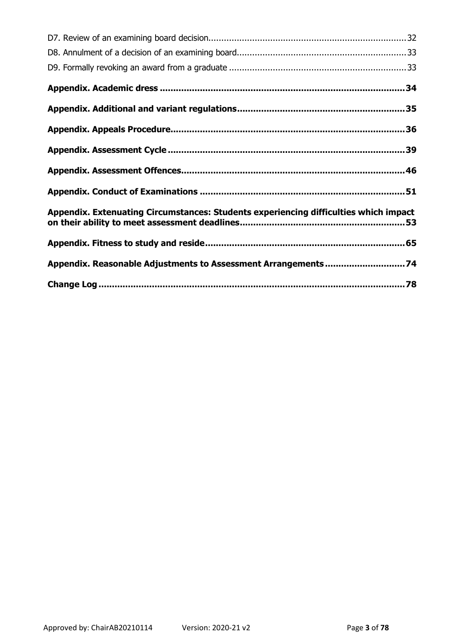| Appendix. Extenuating Circumstances: Students experiencing difficulties which impact |
|--------------------------------------------------------------------------------------|
|                                                                                      |
| Appendix. Reasonable Adjustments to Assessment Arrangements 74                       |
|                                                                                      |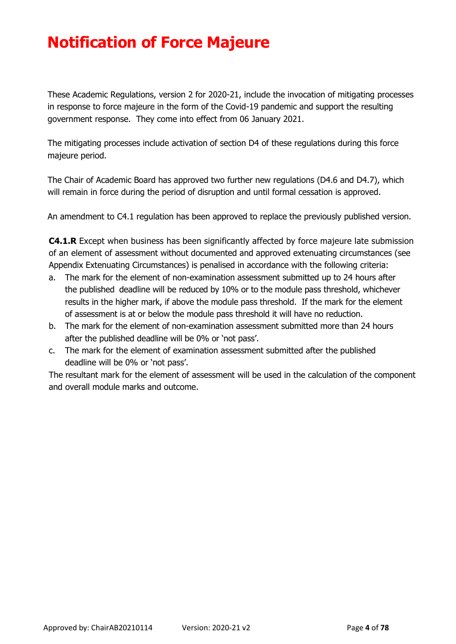# <span id="page-3-0"></span>**Notification of Force Majeure**

These Academic Regulations, version 2 for 2020-21, include the invocation of mitigating processes in response to force majeure in the form of the Covid-19 pandemic and support the resulting government response. They come into effect from 06 January 2021.

The mitigating processes include activation of section D4 of these regulations during this force majeure period.

The Chair of Academic Board has approved two further new regulations (D4.6 and D4.7), which will remain in force during the period of disruption and until formal cessation is approved.

An amendment to C4.1 regulation has been approved to replace the previously published version.

**C4.1.R** Except when business has been significantly affected by force majeure late submission of an element of assessment without documented and approved extenuating circumstances (see Appendix Extenuating Circumstances) is penalised in accordance with the following criteria:

- a. The mark for the element of non-examination assessment submitted up to 24 hours after the published deadline will be reduced by 10% or to the module pass threshold, whichever results in the higher mark, if above the module pass threshold. If the mark for the element of assessment is at or below the module pass threshold it will have no reduction.
- b. The mark for the element of non-examination assessment submitted more than 24 hours after the published deadline will be 0% or 'not pass'.
- c. The mark for the element of examination assessment submitted after the published deadline will be 0% or 'not pass'.

The resultant mark for the element of assessment will be used in the calculation of the component and overall module marks and outcome.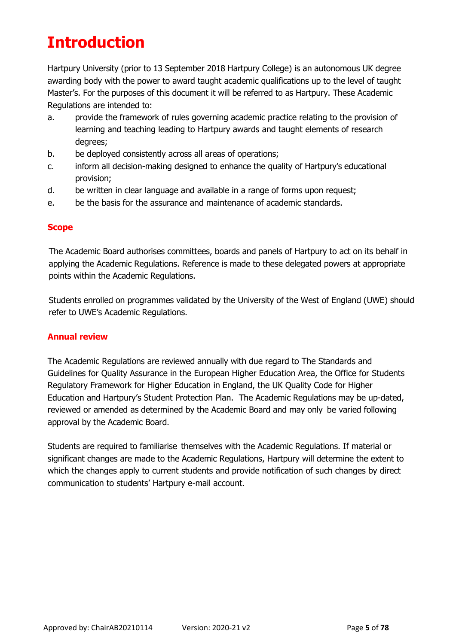# <span id="page-4-0"></span>**Introduction**

Hartpury University (prior to 13 September 2018 Hartpury College) is an autonomous UK degree awarding body with the power to award taught academic qualifications up to the level of taught Master's. For the purposes of this document it will be referred to as Hartpury. These Academic Regulations are intended to:

- a. provide the framework of rules governing academic practice relating to the provision of learning and teaching leading to Hartpury awards and taught elements of research degrees;
- b. be deployed consistently across all areas of operations;
- c. inform all decision-making designed to enhance the quality of Hartpury's educational provision;
- d. be written in clear language and available in a range of forms upon request;
- e. be the basis for the assurance and maintenance of academic standards.

### **Scope**

The Academic Board authorises committees, boards and panels of Hartpury to act on its behalf in applying the Academic Regulations. Reference is made to these delegated powers at appropriate points within the Academic Regulations.

Students enrolled on programmes validated by the University of the West of England (UWE) should refer to UWE's Academic Regulations.

### **Annual review**

The Academic Regulations are reviewed annually with due regard to The Standards and Guidelines for Quality Assurance in the European Higher Education Area, the Office for Students Regulatory Framework for Higher Education in England, the UK Quality Code for Higher Education and Hartpury's Student Protection Plan. The Academic Regulations may be up-dated, reviewed or amended as determined by the Academic Board and may only be varied following approval by the Academic Board.

Students are required to familiarise themselves with the Academic Regulations. If material or significant changes are made to the Academic Regulations, Hartpury will determine the extent to which the changes apply to current students and provide notification of such changes by direct communication to students' Hartpury e-mail account.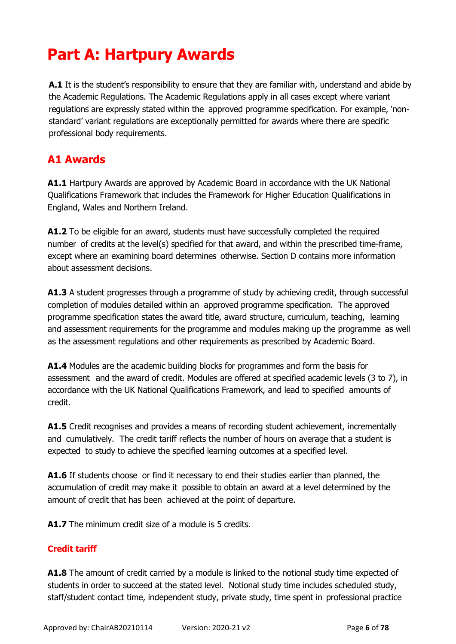# <span id="page-5-0"></span>**Part A: Hartpury Awards**

**A.1** It is the student's responsibility to ensure that they are familiar with, understand and abide by the Academic Regulations. The Academic Regulations apply in all cases except where variant regulations are expressly stated within the approved programme specification. For example, 'nonstandard' variant regulations are exceptionally permitted for awards where there are specific professional body requirements.

## <span id="page-5-1"></span>**A1 Awards**

**A1.1** Hartpury Awards are approved by Academic Board in accordance with the UK National Qualifications Framework that includes the Framework for Higher Education Qualifications in England, Wales and Northern Ireland.

**A1.2** To be eligible for an award, students must have successfully completed the required number of credits at the level(s) specified for that award, and within the prescribed time-frame, except where an examining board determines otherwise. Section D contains more information about assessment decisions.

**A1.3** A student progresses through a programme of study by achieving credit, through successful completion of modules detailed within an approved programme specification. The approved programme specification states the award title, award structure, curriculum, teaching, learning and assessment requirements for the programme and modules making up the programme as well as the assessment regulations and other requirements as prescribed by Academic Board.

**A1.4** Modules are the academic building blocks for programmes and form the basis for assessment and the award of credit. Modules are offered at specified academic levels (3 to 7), in accordance with the UK National Qualifications Framework, and lead to specified amounts of credit.

**A1.5** Credit recognises and provides a means of recording student achievement, incrementally and cumulatively. The credit tariff reflects the number of hours on average that a student is expected to study to achieve the specified learning outcomes at a specified level.

A1.6 If students choose or find it necessary to end their studies earlier than planned, the accumulation of credit may make it possible to obtain an award at a level determined by the amount of credit that has been achieved at the point of departure.

**A1.7** The minimum credit size of a module is 5 credits.

### **Credit tariff**

**A1.8** The amount of credit carried by a module is linked to the notional study time expected of students in order to succeed at the stated level. Notional study time includes scheduled study, staff/student contact time, independent study, private study, time spent in professional practice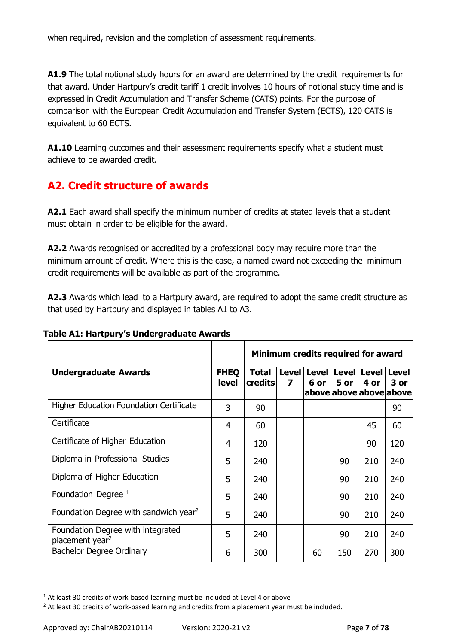when required, revision and the completion of assessment requirements.

**A1.9** The total notional study hours for an award are determined by the credit requirements for that award. Under Hartpury's credit tariff 1 credit involves 10 hours of notional study time and is expressed in Credit Accumulation and Transfer Scheme (CATS) points. For the purpose of comparison with the European Credit Accumulation and Transfer System (ECTS), 120 CATS is equivalent to 60 ECTS.

**A1.10** Learning outcomes and their assessment requirements specify what a student must achieve to be awarded credit.

# <span id="page-6-0"></span>**A2. Credit structure of awards**

**A2.1** Each award shall specify the minimum number of credits at stated levels that a student must obtain in order to be eligible for the award.

**A2.2** Awards recognised or accredited by a professional body may require more than the minimum amount of credit. Where this is the case, a named award not exceeding the minimum credit requirements will be available as part of the programme.

**A2.3** Awards which lead to a Hartpury award, are required to adopt the same credit structure as that used by Hartpury and displayed in tables A1 to A3.

|  | Table A1: Hartpury's Undergraduate Awards |  |
|--|-------------------------------------------|--|
|  |                                           |  |

|                                                                  |                             | Minimum credits required for award |   |      |      |                                         |                                              |
|------------------------------------------------------------------|-----------------------------|------------------------------------|---|------|------|-----------------------------------------|----------------------------------------------|
| <b>Undergraduate Awards</b>                                      | <b>FHEQ</b><br><b>level</b> | <b>Total</b><br><b>credits</b>     | 7 | 6 or | 5 or | Level   Level   Level   Level  <br>4 or | <b>Level</b><br>3 or<br>aboveaboveaboveabove |
| <b>Higher Education Foundation Certificate</b>                   | 3                           | 90                                 |   |      |      |                                         | 90                                           |
| Certificate                                                      | 4                           | 60                                 |   |      |      | 45                                      | 60                                           |
| Certificate of Higher Education                                  | 4                           | 120                                |   |      |      | 90                                      | 120                                          |
| Diploma in Professional Studies                                  | 5                           | 240                                |   |      | 90   | 210                                     | 240                                          |
| Diploma of Higher Education                                      | 5                           | 240                                |   |      | 90   | 210                                     | 240                                          |
| Foundation Degree $1$                                            | 5                           | 240                                |   |      | 90   | 210                                     | 240                                          |
| Foundation Degree with sandwich year <sup>2</sup>                | 5                           | 240                                |   |      | 90   | 210                                     | 240                                          |
| Foundation Degree with integrated<br>placement year <sup>2</sup> | 5                           | 240                                |   |      | 90   | 210                                     | 240                                          |
| Bachelor Degree Ordinary                                         | 6                           | 300                                |   | 60   | 150  | 270                                     | 300                                          |

<sup>&</sup>lt;sup>1</sup> At least 30 credits of work-based learning must be included at Level 4 or above

 $\overline{a}$ 

<sup>&</sup>lt;sup>2</sup> At least 30 credits of work-based learning and credits from a placement year must be included.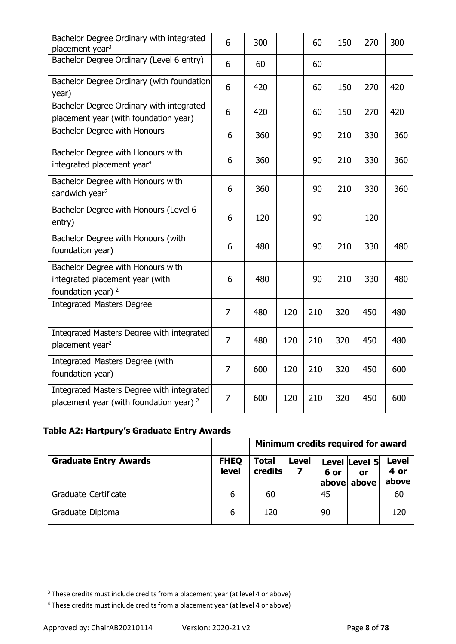| Bachelor Degree Ordinary with integrated<br>placement year <sup>3</sup>                               | 6              | 300 |     | 60  | 150 | 270 | 300 |
|-------------------------------------------------------------------------------------------------------|----------------|-----|-----|-----|-----|-----|-----|
| Bachelor Degree Ordinary (Level 6 entry)                                                              | 6              | 60  |     | 60  |     |     |     |
| Bachelor Degree Ordinary (with foundation<br>year)                                                    | 6              | 420 |     | 60  | 150 | 270 | 420 |
| Bachelor Degree Ordinary with integrated<br>placement year (with foundation year)                     | 6              | 420 |     | 60  | 150 | 270 | 420 |
| Bachelor Degree with Honours                                                                          | 6              | 360 |     | 90  | 210 | 330 | 360 |
| Bachelor Degree with Honours with<br>integrated placement year <sup>4</sup>                           | 6              | 360 |     | 90  | 210 | 330 | 360 |
| Bachelor Degree with Honours with<br>sandwich year <sup>2</sup>                                       | 6              | 360 |     | 90  | 210 | 330 | 360 |
| Bachelor Degree with Honours (Level 6<br>entry)                                                       | 6              | 120 |     | 90  |     | 120 |     |
| Bachelor Degree with Honours (with<br>foundation year)                                                | 6              | 480 |     | 90  | 210 | 330 | 480 |
| Bachelor Degree with Honours with<br>integrated placement year (with<br>foundation year) <sup>2</sup> | 6              | 480 |     | 90  | 210 | 330 | 480 |
| <b>Integrated Masters Degree</b>                                                                      | $\overline{7}$ | 480 | 120 | 210 | 320 | 450 | 480 |
| Integrated Masters Degree with integrated<br>placement year <sup>2</sup>                              | $\overline{7}$ | 480 | 120 | 210 | 320 | 450 | 480 |
| Integrated Masters Degree (with<br>foundation year)                                                   | $\overline{7}$ | 600 | 120 | 210 | 320 | 450 | 600 |
| Integrated Masters Degree with integrated<br>placement year (with foundation year) $2$                | $\overline{7}$ | 600 | 120 | 210 | 320 | 450 | 600 |

### **Table A2: Hartpury's Graduate Entry Awards**

|                              |                             | Minimum credits required for award |            |               |                                     |                               |
|------------------------------|-----------------------------|------------------------------------|------------|---------------|-------------------------------------|-------------------------------|
| <b>Graduate Entry Awards</b> | <b>FHEQ</b><br><b>level</b> | Total<br>credits                   | Level<br>7 | 6 or<br>above | Level Level 5<br><b>or</b><br>above | <b>Level</b><br>4 or<br>above |
| Graduate Certificate         | 6                           | 60                                 |            | 45            |                                     | 60                            |
| Graduate Diploma             | 6                           | 120                                |            | 90            |                                     | 120                           |

 $\overline{a}$ 

<sup>&</sup>lt;sup>3</sup> These credits must include credits from a placement year (at level 4 or above)

<sup>4</sup> These credits must include credits from a placement year (at level 4 or above)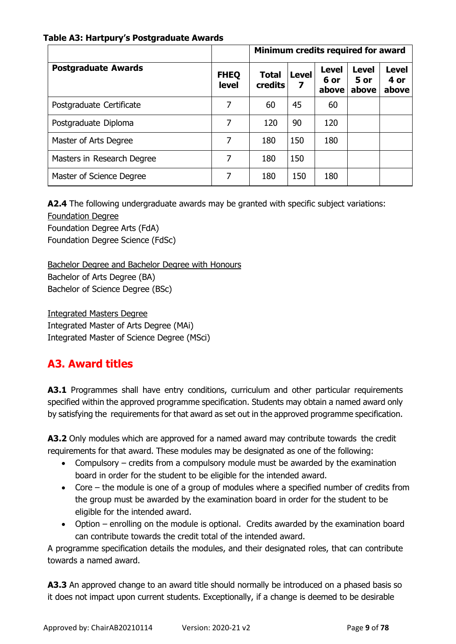#### **Table A3: Hartpury's Postgraduate Awards**

|                            |                             | Minimum credits required for award |                   |                               |                               |                               |
|----------------------------|-----------------------------|------------------------------------|-------------------|-------------------------------|-------------------------------|-------------------------------|
| <b>Postgraduate Awards</b> | <b>FHEQ</b><br><b>level</b> | <b>Total</b><br><b>credits</b>     | <b>Level</b><br>7 | <b>Level</b><br>6 or<br>above | <b>Level</b><br>5 or<br>above | <b>Level</b><br>4 or<br>above |
| Postgraduate Certificate   | 7                           | 60                                 | 45                | 60                            |                               |                               |
| Postgraduate Diploma       |                             | 120                                | 90                | 120                           |                               |                               |
| Master of Arts Degree      | 7                           | 180                                | 150               | 180                           |                               |                               |
| Masters in Research Degree | 7                           | 180                                | 150               |                               |                               |                               |
| Master of Science Degree   |                             | 180                                | 150               | 180                           |                               |                               |

**A2.4** The following undergraduate awards may be granted with specific subject variations: Foundation Degree Foundation Degree Arts (FdA) Foundation Degree Science (FdSc)

Bachelor Degree and Bachelor Degree with Honours Bachelor of Arts Degree (BA) Bachelor of Science Degree (BSc)

Integrated Masters Degree Integrated Master of Arts Degree (MAi) Integrated Master of Science Degree (MSci)

# <span id="page-8-0"></span>**A3. Award titles**

**A3.1** Programmes shall have entry conditions, curriculum and other particular requirements specified within the approved programme specification. Students may obtain a named award only by satisfying the requirements for that award as set out in the approved programme specification.

**A3.2** Only modules which are approved for a named award may contribute towards the credit requirements for that award. These modules may be designated as one of the following:

- Compulsory credits from a compulsory module must be awarded by the examination board in order for the student to be eligible for the intended award.
- Core the module is one of a group of modules where a specified number of credits from the group must be awarded by the examination board in order for the student to be eligible for the intended award.
- Option enrolling on the module is optional. Credits awarded by the examination board can contribute towards the credit total of the intended award.

A programme specification details the modules, and their designated roles, that can contribute towards a named award.

**A3.3** An approved change to an award title should normally be introduced on a phased basis so it does not impact upon current students. Exceptionally, if a change is deemed to be desirable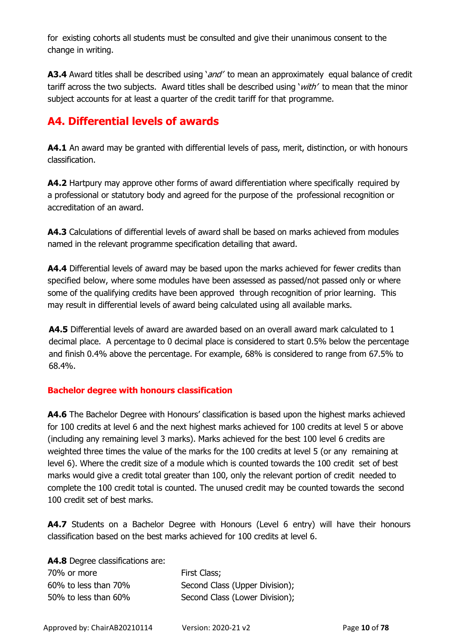for existing cohorts all students must be consulted and give their unanimous consent to the change in writing.

**A3.4** Award titles shall be described using '*and'* to mean an approximately equal balance of credit tariff across the two subjects. Award titles shall be described using 'with' to mean that the minor subject accounts for at least a quarter of the credit tariff for that programme.

## <span id="page-9-0"></span>**A4. Differential levels of awards**

**A4.1** An award may be granted with differential levels of pass, merit, distinction, or with honours classification.

**A4.2** Hartpury may approve other forms of award differentiation where specifically required by a professional or statutory body and agreed for the purpose of the professional recognition or accreditation of an award.

**A4.3** Calculations of differential levels of award shall be based on marks achieved from modules named in the relevant programme specification detailing that award.

**A4.4** Differential levels of award may be based upon the marks achieved for fewer credits than specified below, where some modules have been assessed as passed/not passed only or where some of the qualifying credits have been approved through recognition of prior learning. This may result in differential levels of award being calculated using all available marks.

**A4.5** Differential levels of award are awarded based on an overall award mark calculated to 1 decimal place. A percentage to 0 decimal place is considered to start 0.5% below the percentage and finish 0.4% above the percentage. For example, 68% is considered to range from 67.5% to 68.4%.

### **Bachelor degree with honours classification**

**A4.6** The Bachelor Degree with Honours' classification is based upon the highest marks achieved for 100 credits at level 6 and the next highest marks achieved for 100 credits at level 5 or above (including any remaining level 3 marks). Marks achieved for the best 100 level 6 credits are weighted three times the value of the marks for the 100 credits at level 5 (or any remaining at level 6). Where the credit size of a module which is counted towards the 100 credit set of best marks would give a credit total greater than 100, only the relevant portion of credit needed to complete the 100 credit total is counted. The unused credit may be counted towards the second 100 credit set of best marks.

**A4.7** Students on a Bachelor Degree with Honours (Level 6 entry) will have their honours classification based on the best marks achieved for 100 credits at level 6.

**A4.8** Degree classifications are:

| 70% or more          | First Class;                   |
|----------------------|--------------------------------|
| 60% to less than 70% | Second Class (Upper Division); |
| 50% to less than 60% | Second Class (Lower Division); |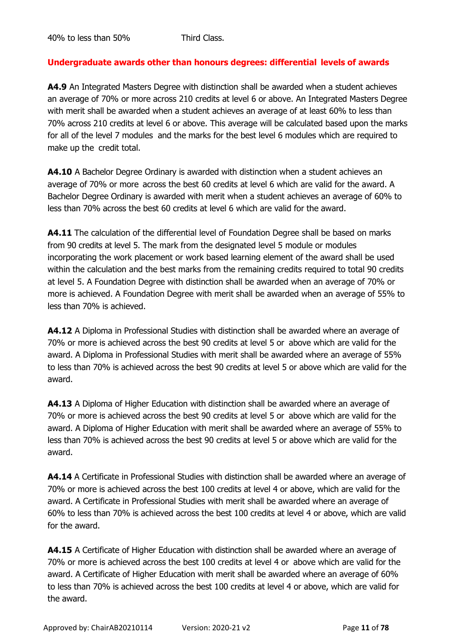### **Undergraduate awards other than honours degrees: differential levels of awards**

**A4.9** An Integrated Masters Degree with distinction shall be awarded when a student achieves an average of 70% or more across 210 credits at level 6 or above. An Integrated Masters Degree with merit shall be awarded when a student achieves an average of at least 60% to less than 70% across 210 credits at level 6 or above. This average will be calculated based upon the marks for all of the level 7 modules and the marks for the best level 6 modules which are required to make up the credit total.

**A4.10** A Bachelor Degree Ordinary is awarded with distinction when a student achieves an average of 70% or more across the best 60 credits at level 6 which are valid for the award. A Bachelor Degree Ordinary is awarded with merit when a student achieves an average of 60% to less than 70% across the best 60 credits at level 6 which are valid for the award.

**A4.11** The calculation of the differential level of Foundation Degree shall be based on marks from 90 credits at level 5. The mark from the designated level 5 module or modules incorporating the work placement or work based learning element of the award shall be used within the calculation and the best marks from the remaining credits required to total 90 credits at level 5. A Foundation Degree with distinction shall be awarded when an average of 70% or more is achieved. A Foundation Degree with merit shall be awarded when an average of 55% to less than 70% is achieved.

**A4.12** A Diploma in Professional Studies with distinction shall be awarded where an average of 70% or more is achieved across the best 90 credits at level 5 or above which are valid for the award. A Diploma in Professional Studies with merit shall be awarded where an average of 55% to less than 70% is achieved across the best 90 credits at level 5 or above which are valid for the award.

**A4.13** A Diploma of Higher Education with distinction shall be awarded where an average of 70% or more is achieved across the best 90 credits at level 5 or above which are valid for the award. A Diploma of Higher Education with merit shall be awarded where an average of 55% to less than 70% is achieved across the best 90 credits at level 5 or above which are valid for the award.

**A4.14** A Certificate in Professional Studies with distinction shall be awarded where an average of 70% or more is achieved across the best 100 credits at level 4 or above, which are valid for the award. A Certificate in Professional Studies with merit shall be awarded where an average of 60% to less than 70% is achieved across the best 100 credits at level 4 or above, which are valid for the award.

**A4.15** A Certificate of Higher Education with distinction shall be awarded where an average of 70% or more is achieved across the best 100 credits at level 4 or above which are valid for the award. A Certificate of Higher Education with merit shall be awarded where an average of 60% to less than 70% is achieved across the best 100 credits at level 4 or above, which are valid for the award.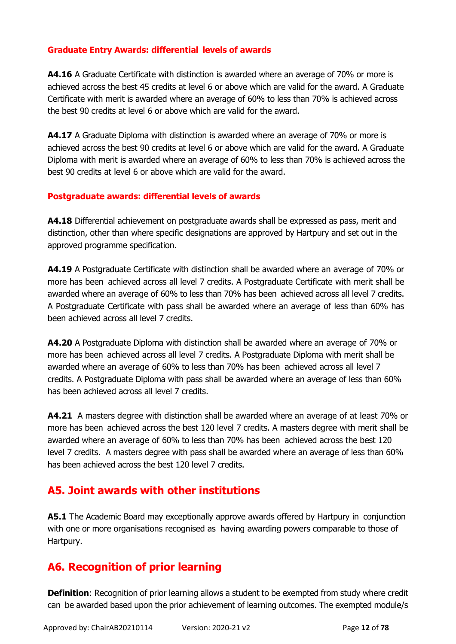### **Graduate Entry Awards: differential levels of awards**

**A4.16** A Graduate Certificate with distinction is awarded where an average of 70% or more is achieved across the best 45 credits at level 6 or above which are valid for the award. A Graduate Certificate with merit is awarded where an average of 60% to less than 70% is achieved across the best 90 credits at level 6 or above which are valid for the award.

**A4.17** A Graduate Diploma with distinction is awarded where an average of 70% or more is achieved across the best 90 credits at level 6 or above which are valid for the award. A Graduate Diploma with merit is awarded where an average of 60% to less than 70% is achieved across the best 90 credits at level 6 or above which are valid for the award.

### **Postgraduate awards: differential levels of awards**

**A4.18** Differential achievement on postgraduate awards shall be expressed as pass, merit and distinction, other than where specific designations are approved by Hartpury and set out in the approved programme specification.

**A4.19** A Postgraduate Certificate with distinction shall be awarded where an average of 70% or more has been achieved across all level 7 credits. A Postgraduate Certificate with merit shall be awarded where an average of 60% to less than 70% has been achieved across all level 7 credits. A Postgraduate Certificate with pass shall be awarded where an average of less than 60% has been achieved across all level 7 credits.

**A4.20** A Postgraduate Diploma with distinction shall be awarded where an average of 70% or more has been achieved across all level 7 credits. A Postgraduate Diploma with merit shall be awarded where an average of 60% to less than 70% has been achieved across all level 7 credits. A Postgraduate Diploma with pass shall be awarded where an average of less than 60% has been achieved across all level 7 credits.

**A4.21** A masters degree with distinction shall be awarded where an average of at least 70% or more has been achieved across the best 120 level 7 credits. A masters degree with merit shall be awarded where an average of 60% to less than 70% has been achieved across the best 120 level 7 credits. A masters degree with pass shall be awarded where an average of less than 60% has been achieved across the best 120 level 7 credits.

## <span id="page-11-0"></span>**A5. Joint awards with other institutions**

**A5.1** The Academic Board may exceptionally approve awards offered by Hartpury in conjunction with one or more organisations recognised as having awarding powers comparable to those of Hartpury.

## <span id="page-11-1"></span>**A6. Recognition of prior learning**

**Definition**: Recognition of prior learning allows a student to be exempted from study where credit can be awarded based upon the prior achievement of learning outcomes. The exempted module/s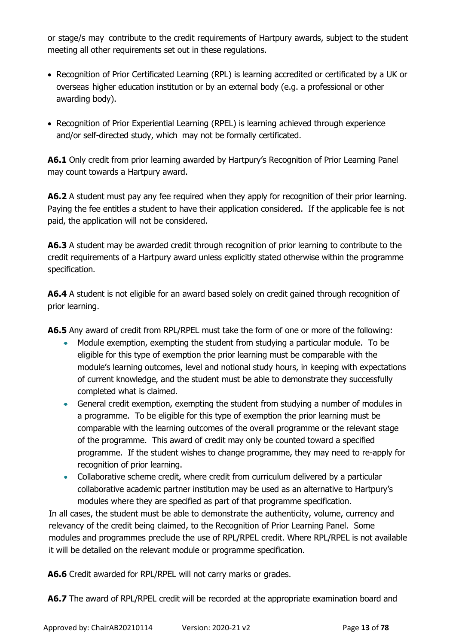or stage/s may contribute to the credit requirements of Hartpury awards, subject to the student meeting all other requirements set out in these regulations.

- Recognition of Prior Certificated Learning (RPL) is learning accredited or certificated by a UK or overseas higher education institution or by an external body (e.g. a professional or other awarding body).
- Recognition of Prior Experiential Learning (RPEL) is learning achieved through experience and/or self-directed study, which may not be formally certificated.

**A6.1** Only credit from prior learning awarded by Hartpury's Recognition of Prior Learning Panel may count towards a Hartpury award.

**A6.2** A student must pay any fee required when they apply for recognition of their prior learning. Paying the fee entitles a student to have their application considered. If the applicable fee is not paid, the application will not be considered.

**A6.3** A student may be awarded credit through recognition of prior learning to contribute to the credit requirements of a Hartpury award unless explicitly stated otherwise within the programme specification.

**A6.4** A student is not eligible for an award based solely on credit gained through recognition of prior learning.

**A6.5** Any award of credit from RPL/RPEL must take the form of one or more of the following:

- Module exemption, exempting the student from studying a particular module. To be eligible for this type of exemption the prior learning must be comparable with the module's learning outcomes, level and notional study hours, in keeping with expectations of current knowledge, and the student must be able to demonstrate they successfully completed what is claimed.
- General credit exemption, exempting the student from studying a number of modules in a programme. To be eligible for this type of exemption the prior learning must be comparable with the learning outcomes of the overall programme or the relevant stage of the programme. This award of credit may only be counted toward a specified programme. If the student wishes to change programme, they may need to re-apply for recognition of prior learning.
- Collaborative scheme credit, where credit from curriculum delivered by a particular collaborative academic partner institution may be used as an alternative to Hartpury's modules where they are specified as part of that programme specification.

In all cases, the student must be able to demonstrate the authenticity, volume, currency and relevancy of the credit being claimed, to the Recognition of Prior Learning Panel. Some modules and programmes preclude the use of RPL/RPEL credit. Where RPL/RPEL is not available it will be detailed on the relevant module or programme specification.

**A6.6** Credit awarded for RPL/RPEL will not carry marks or grades.

**A6.7** The award of RPL/RPEL credit will be recorded at the appropriate examination board and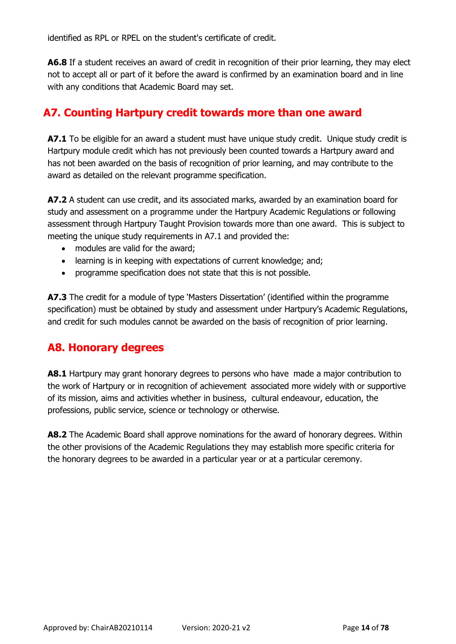identified as RPL or RPEL on the student's certificate of credit.

**A6.8** If a student receives an award of credit in recognition of their prior learning, they may elect not to accept all or part of it before the award is confirmed by an examination board and in line with any conditions that Academic Board may set.

## **A7. Counting Hartpury credit towards more than one award**

**A7.1** To be eligible for an award a student must have unique study credit. Unique study credit is Hartpury module credit which has not previously been counted towards a Hartpury award and has not been awarded on the basis of recognition of prior learning, and may contribute to the award as detailed on the relevant programme specification.

**A7.2** A student can use credit, and its associated marks, awarded by an examination board for study and assessment on a programme under the Hartpury Academic Regulations or following assessment through Hartpury Taught Provision towards more than one award. This is subject to meeting the unique study requirements in A7.1 and provided the:

- modules are valid for the award;
- learning is in keeping with expectations of current knowledge; and;
- programme specification does not state that this is not possible.

**A7.3** The credit for a module of type 'Masters Dissertation' (identified within the programme specification) must be obtained by study and assessment under Hartpury's Academic Regulations, and credit for such modules cannot be awarded on the basis of recognition of prior learning.

## <span id="page-13-0"></span>**A8. Honorary degrees**

**A8.1** Hartpury may grant honorary degrees to persons who have made a major contribution to the work of Hartpury or in recognition of achievement associated more widely with or supportive of its mission, aims and activities whether in business, cultural endeavour, education, the professions, public service, science or technology or otherwise.

**A8.2** The Academic Board shall approve nominations for the award of honorary degrees. Within the other provisions of the Academic Regulations they may establish more specific criteria for the honorary degrees to be awarded in a particular year or at a particular ceremony.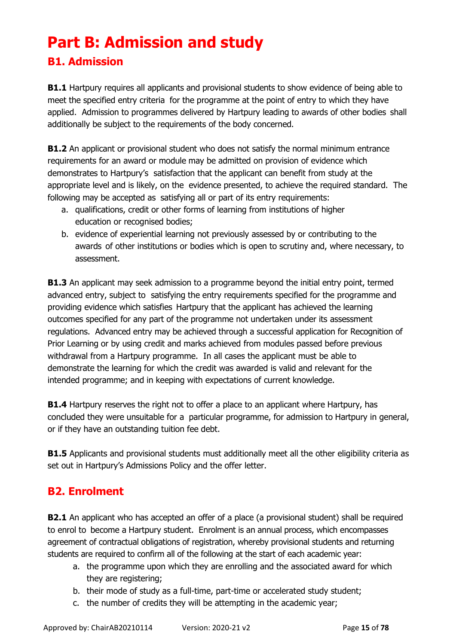# <span id="page-14-0"></span>**Part B: Admission and study**

## <span id="page-14-1"></span>**B1. Admission**

**B1.1** Hartpury requires all applicants and provisional students to show evidence of being able to meet the specified entry criteria for the programme at the point of entry to which they have applied. Admission to programmes delivered by Hartpury leading to awards of other bodies shall additionally be subject to the requirements of the body concerned.

**B1.2** An applicant or provisional student who does not satisfy the normal minimum entrance requirements for an award or module may be admitted on provision of evidence which demonstrates to Hartpury's satisfaction that the applicant can benefit from study at the appropriate level and is likely, on the evidence presented, to achieve the required standard. The following may be accepted as satisfying all or part of its entry requirements:

- a. qualifications, credit or other forms of learning from institutions of higher education or recognised bodies;
- b. evidence of experiential learning not previously assessed by or contributing to the awards of other institutions or bodies which is open to scrutiny and, where necessary, to assessment.

**B1.3** An applicant may seek admission to a programme beyond the initial entry point, termed advanced entry, subject to satisfying the entry requirements specified for the programme and providing evidence which satisfies Hartpury that the applicant has achieved the learning outcomes specified for any part of the programme not undertaken under its assessment regulations. Advanced entry may be achieved through a successful application for Recognition of Prior Learning or by using credit and marks achieved from modules passed before previous withdrawal from a Hartpury programme. In all cases the applicant must be able to demonstrate the learning for which the credit was awarded is valid and relevant for the intended programme; and in keeping with expectations of current knowledge.

**B1.4** Hartpury reserves the right not to offer a place to an applicant where Hartpury, has concluded they were unsuitable for a particular programme, for admission to Hartpury in general, or if they have an outstanding tuition fee debt.

**B1.5** Applicants and provisional students must additionally meet all the other eligibility criteria as set out in Hartpury's Admissions Policy and the offer letter.

## <span id="page-14-2"></span>**B2. Enrolment**

**B2.1** An applicant who has accepted an offer of a place (a provisional student) shall be required to enrol to become a Hartpury student. Enrolment is an annual process, which encompasses agreement of contractual obligations of registration, whereby provisional students and returning students are required to confirm all of the following at the start of each academic year:

- a. the programme upon which they are enrolling and the associated award for which they are registering;
- b. their mode of study as a full-time, part-time or accelerated study student;
- c. the number of credits they will be attempting in the academic year;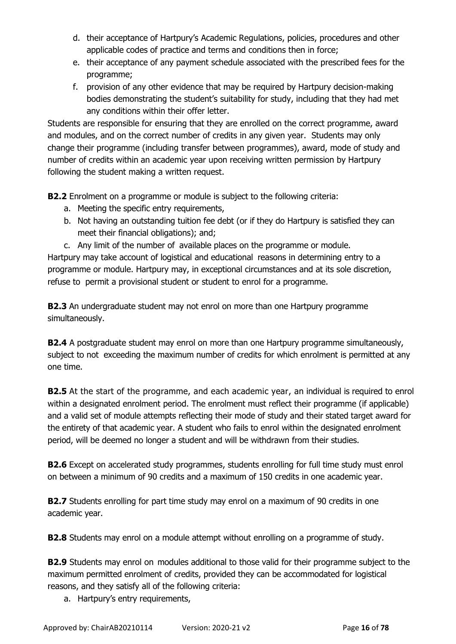- d. their acceptance of Hartpury's Academic Regulations, policies, procedures and other applicable codes of practice and terms and conditions then in force;
- e. their acceptance of any payment schedule associated with the prescribed fees for the programme;
- f. provision of any other evidence that may be required by Hartpury decision-making bodies demonstrating the student's suitability for study, including that they had met any conditions within their offer letter.

Students are responsible for ensuring that they are enrolled on the correct programme, award and modules, and on the correct number of credits in any given year. Students may only change their programme (including transfer between programmes), award, mode of study and number of credits within an academic year upon receiving written permission by Hartpury following the student making a written request.

**B2.2** Enrolment on a programme or module is subject to the following criteria:

- a. Meeting the specific entry requirements,
- b. Not having an outstanding tuition fee debt (or if they do Hartpury is satisfied they can meet their financial obligations); and;
- c. Any limit of the number of available places on the programme or module.

Hartpury may take account of logistical and educational reasons in determining entry to a programme or module. Hartpury may, in exceptional circumstances and at its sole discretion, refuse to permit a provisional student or student to enrol for a programme.

**B2.3** An undergraduate student may not enrol on more than one Hartpury programme simultaneously.

**B2.4** A postgraduate student may enrol on more than one Hartpury programme simultaneously, subject to not exceeding the maximum number of credits for which enrolment is permitted at any one time.

**B2.5** At the start of the programme, and each academic year, an individual is required to enrol within a designated enrolment period. The enrolment must reflect their programme (if applicable) and a valid set of module attempts reflecting their mode of study and their stated target award for the entirety of that academic year. A student who fails to enrol within the designated enrolment period, will be deemed no longer a student and will be withdrawn from their studies.

**B2.6** Except on accelerated study programmes, students enrolling for full time study must enrol on between a minimum of 90 credits and a maximum of 150 credits in one academic year.

**B2.7** Students enrolling for part time study may enrol on a maximum of 90 credits in one academic year.

**B2.8** Students may enrol on a module attempt without enrolling on a programme of study.

**B2.9** Students may enrol on modules additional to those valid for their programme subject to the maximum permitted enrolment of credits, provided they can be accommodated for logistical reasons, and they satisfy all of the following criteria:

a. Hartpury's entry requirements,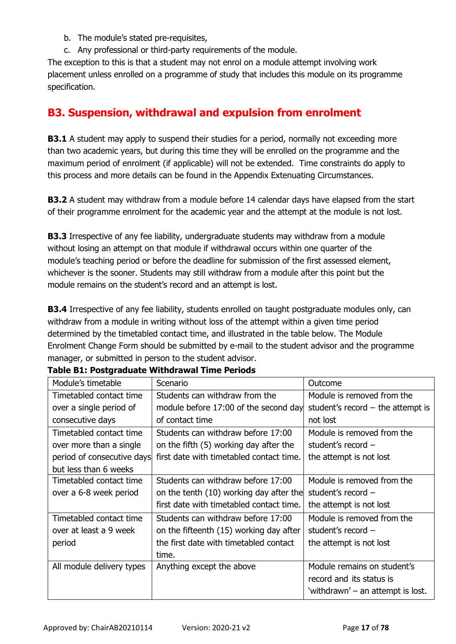- b. The module's stated pre-requisites,
- c. Any professional or third-party requirements of the module.

The exception to this is that a student may not enrol on a module attempt involving work placement unless enrolled on a programme of study that includes this module on its programme specification.

## <span id="page-16-0"></span>**B3. Suspension, withdrawal and expulsion from enrolment**

**B3.1** A student may apply to suspend their studies for a period, normally not exceeding more than two academic years, but during this time they will be enrolled on the programme and the maximum period of enrolment (if applicable) will not be extended. Time constraints do apply to this process and more details can be found in the Appendix Extenuating Circumstances.

**B3.2** A student may withdraw from a module before 14 calendar days have elapsed from the start of their programme enrolment for the academic year and the attempt at the module is not lost.

**B3.3** Irrespective of any fee liability, undergraduate students may withdraw from a module without losing an attempt on that module if withdrawal occurs within one quarter of the module's teaching period or before the deadline for submission of the first assessed element, whichever is the sooner. Students may still withdraw from a module after this point but the module remains on the student's record and an attempt is lost.

**B3.4** Irrespective of any fee liability, students enrolled on taught postgraduate modules only, can withdraw from a module in writing without loss of the attempt within a given time period determined by the timetabled contact time, and illustrated in the table below. The Module Enrolment Change Form should be submitted by e-mail to the student advisor and the programme manager, or submitted in person to the student advisor.

| Module's timetable         | Scenario                                 | Outcome                             |
|----------------------------|------------------------------------------|-------------------------------------|
| Timetabled contact time    | Students can withdraw from the           | Module is removed from the          |
| over a single period of    | module before 17:00 of the second day    | student's record $-$ the attempt is |
| consecutive days           | of contact time                          | not lost                            |
| Timetabled contact time    | Students can withdraw before 17:00       | Module is removed from the          |
| over more than a single    | on the fifth (5) working day after the   | student's record -                  |
| period of consecutive days | first date with timetabled contact time. | the attempt is not lost             |
| but less than 6 weeks      |                                          |                                     |
| Timetabled contact time    | Students can withdraw before 17:00       | Module is removed from the          |
| over a 6-8 week period     | on the tenth (10) working day after the  | student's record $-$                |
|                            | first date with timetabled contact time. | the attempt is not lost             |
| Timetabled contact time    | Students can withdraw before 17:00       | Module is removed from the          |
| over at least a 9 week     | on the fifteenth (15) working day after  | student's record $-$                |
| period                     | the first date with timetabled contact   | the attempt is not lost             |
|                            | time.                                    |                                     |
| All module delivery types  | Anything except the above                | Module remains on student's         |
|                            |                                          | record and its status is            |
|                            |                                          | 'withdrawn' – an attempt is lost.   |

### **Table B1: Postgraduate Withdrawal Time Periods**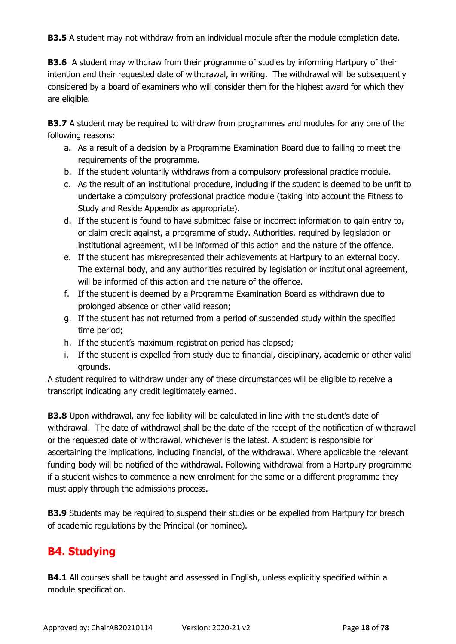**B3.5** A student may not withdraw from an individual module after the module completion date.

**B3.6** A student may withdraw from their programme of studies by informing Hartpury of their intention and their requested date of withdrawal, in writing. The withdrawal will be subsequently considered by a board of examiners who will consider them for the highest award for which they are eligible.

**B3.7** A student may be required to withdraw from programmes and modules for any one of the following reasons:

- a. As a result of a decision by a Programme Examination Board due to failing to meet the requirements of the programme.
- b. If the student voluntarily withdraws from a compulsory professional practice module.
- c. As the result of an institutional procedure, including if the student is deemed to be unfit to undertake a compulsory professional practice module (taking into account the Fitness to Study and Reside Appendix as appropriate).
- d. If the student is found to have submitted false or incorrect information to gain entry to, or claim credit against, a programme of study. Authorities, required by legislation or institutional agreement, will be informed of this action and the nature of the offence.
- e. If the student has misrepresented their achievements at Hartpury to an external body. The external body, and any authorities required by legislation or institutional agreement, will be informed of this action and the nature of the offence.
- f. If the student is deemed by a Programme Examination Board as withdrawn due to prolonged absence or other valid reason;
- g. If the student has not returned from a period of suspended study within the specified time period;
- h. If the student's maximum registration period has elapsed;
- i. If the student is expelled from study due to financial, disciplinary, academic or other valid grounds.

A student required to withdraw under any of these circumstances will be eligible to receive a transcript indicating any credit legitimately earned.

**B3.8** Upon withdrawal, any fee liability will be calculated in line with the student's date of withdrawal. The date of withdrawal shall be the date of the receipt of the notification of withdrawal or the requested date of withdrawal, whichever is the latest. A student is responsible for ascertaining the implications, including financial, of the withdrawal. Where applicable the relevant funding body will be notified of the withdrawal. Following withdrawal from a Hartpury programme if a student wishes to commence a new enrolment for the same or a different programme they must apply through the admissions process.

**B3.9** Students may be required to suspend their studies or be expelled from Hartpury for breach of academic regulations by the Principal (or nominee).

# <span id="page-17-0"></span>**B4. Studying**

**B4.1** All courses shall be taught and assessed in English, unless explicitly specified within a module specification.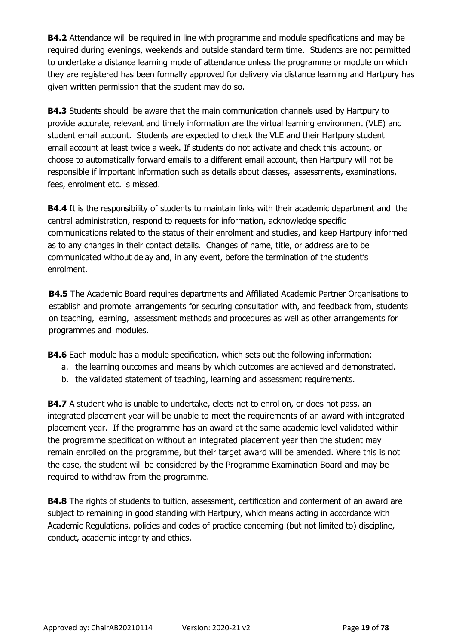**B4.2** Attendance will be required in line with programme and module specifications and may be required during evenings, weekends and outside standard term time. Students are not permitted to undertake a distance learning mode of attendance unless the programme or module on which they are registered has been formally approved for delivery via distance learning and Hartpury has given written permission that the student may do so.

**B4.3** Students should be aware that the main communication channels used by Hartpury to provide accurate, relevant and timely information are the virtual learning environment (VLE) and student email account. Students are expected to check the VLE and their Hartpury student email account at least twice a week. If students do not activate and check this account, or choose to automatically forward emails to a different email account, then Hartpury will not be responsible if important information such as details about classes, assessments, examinations, fees, enrolment etc. is missed.

**B4.4** It is the responsibility of students to maintain links with their academic department and the central administration, respond to requests for information, acknowledge specific communications related to the status of their enrolment and studies, and keep Hartpury informed as to any changes in their contact details. Changes of name, title, or address are to be communicated without delay and, in any event, before the termination of the student's enrolment.

**B4.5** The Academic Board requires departments and Affiliated Academic Partner Organisations to establish and promote arrangements for securing consultation with, and feedback from, students on teaching, learning, assessment methods and procedures as well as other arrangements for programmes and modules.

**B4.6** Each module has a module specification, which sets out the following information:

- a. the learning outcomes and means by which outcomes are achieved and demonstrated.
- b. the validated statement of teaching, learning and assessment requirements.

**B4.7** A student who is unable to undertake, elects not to enrol on, or does not pass, an integrated placement year will be unable to meet the requirements of an award with integrated placement year. If the programme has an award at the same academic level validated within the programme specification without an integrated placement year then the student may remain enrolled on the programme, but their target award will be amended. Where this is not the case, the student will be considered by the Programme Examination Board and may be required to withdraw from the programme.

**B4.8** The rights of students to tuition, assessment, certification and conferment of an award are subject to remaining in good standing with Hartpury, which means acting in accordance with Academic Regulations, policies and codes of practice concerning (but not limited to) discipline, conduct, academic integrity and ethics.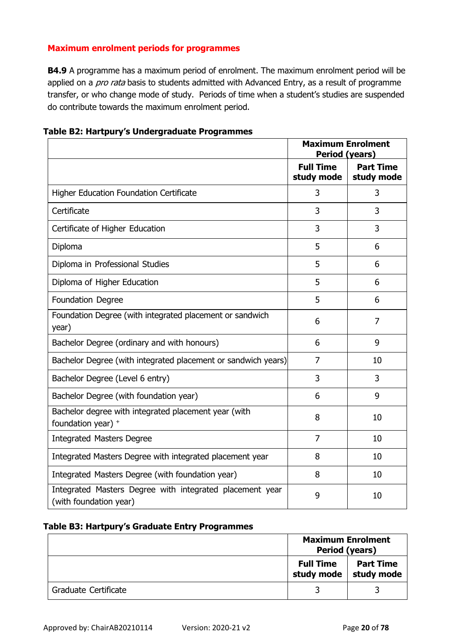### **Maximum enrolment periods for programmes**

**B4.9** A programme has a maximum period of enrolment. The maximum enrolment period will be applied on a *pro rata* basis to students admitted with Advanced Entry, as a result of programme transfer, or who change mode of study. Periods of time when a student's studies are suspended do contribute towards the maximum enrolment period.

| Table B2: Hartpury's Undergraduate Programmes |
|-----------------------------------------------|
|-----------------------------------------------|

|                                                                                    | <b>Period (years)</b>          | <b>Maximum Enrolment</b>       |
|------------------------------------------------------------------------------------|--------------------------------|--------------------------------|
|                                                                                    | <b>Full Time</b><br>study mode | <b>Part Time</b><br>study mode |
| <b>Higher Education Foundation Certificate</b>                                     | 3                              | 3                              |
| Certificate                                                                        | 3                              | 3                              |
| Certificate of Higher Education                                                    | 3                              | 3                              |
| Diploma                                                                            | 5                              | 6                              |
| Diploma in Professional Studies                                                    | 5                              | 6                              |
| Diploma of Higher Education                                                        | 5                              | 6                              |
| Foundation Degree                                                                  | 5                              | 6                              |
| Foundation Degree (with integrated placement or sandwich<br>year)                  | 6                              | 7                              |
| Bachelor Degree (ordinary and with honours)                                        | 6                              | 9                              |
| Bachelor Degree (with integrated placement or sandwich years)                      | $\overline{7}$                 | 10                             |
| Bachelor Degree (Level 6 entry)                                                    | 3                              | 3                              |
| Bachelor Degree (with foundation year)                                             | 6                              | 9                              |
| Bachelor degree with integrated placement year (with<br>foundation year) +         | 8                              | 10                             |
| <b>Integrated Masters Degree</b>                                                   | $\overline{7}$                 | 10                             |
| Integrated Masters Degree with integrated placement year                           | 8                              | 10                             |
| Integrated Masters Degree (with foundation year)                                   | 8                              | 10                             |
| Integrated Masters Degree with integrated placement year<br>(with foundation year) | 9                              | 10                             |

### **Table B3: Hartpury's Graduate Entry Programmes**

|                      | <b>Maximum Enrolment</b><br>Period (years) |                                |  |
|----------------------|--------------------------------------------|--------------------------------|--|
|                      | <b>Full Time</b><br>study mode             | <b>Part Time</b><br>study mode |  |
| Graduate Certificate |                                            |                                |  |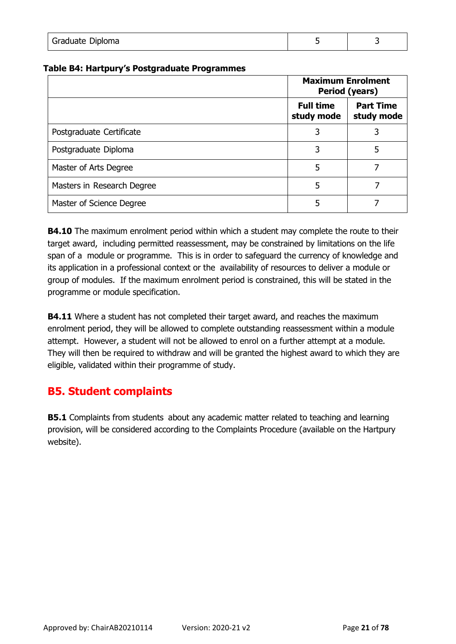| Graduate Diploma |  |
|------------------|--|
|                  |  |

#### **Table B4: Hartpury's Postgraduate Programmes**

|                            | <b>Maximum Enrolment</b><br>Period (years) |                                |
|----------------------------|--------------------------------------------|--------------------------------|
|                            | <b>Full time</b><br>study mode             | <b>Part Time</b><br>study mode |
| Postgraduate Certificate   |                                            |                                |
| Postgraduate Diploma       | 3                                          | 5                              |
| Master of Arts Degree      | 5                                          |                                |
| Masters in Research Degree | 5                                          |                                |
| Master of Science Degree   | 5                                          |                                |

**B4.10** The maximum enrolment period within which a student may complete the route to their target award, including permitted reassessment, may be constrained by limitations on the life span of a module or programme. This is in order to safeguard the currency of knowledge and its application in a professional context or the availability of resources to deliver a module or group of modules. If the maximum enrolment period is constrained, this will be stated in the programme or module specification.

**B4.11** Where a student has not completed their target award, and reaches the maximum enrolment period, they will be allowed to complete outstanding reassessment within a module attempt. However, a student will not be allowed to enrol on a further attempt at a module. They will then be required to withdraw and will be granted the highest award to which they are eligible, validated within their programme of study.

## <span id="page-20-0"></span>**B5. Student complaints**

**B5.1** Complaints from students about any academic matter related to teaching and learning provision, will be considered according to the Complaints Procedure (available on the Hartpury website).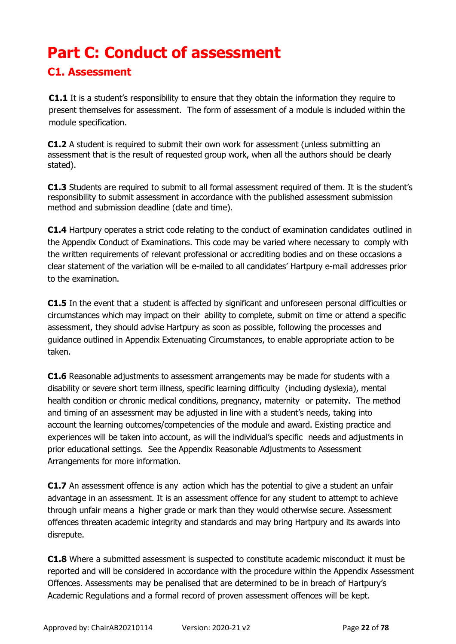# <span id="page-21-0"></span>**Part C: Conduct of assessment**

## <span id="page-21-1"></span>**C1. Assessment**

**C1.1** It is a student's responsibility to ensure that they obtain the information they require to present themselves for assessment. The form of assessment of a module is included within the module specification.

**C1.2** A student is required to submit their own work for assessment (unless submitting an assessment that is the result of requested group work, when all the authors should be clearly stated).

**C1.3** Students are required to submit to all formal assessment required of them. It is the student's responsibility to submit assessment in accordance with the published assessment submission method and submission deadline (date and time).

**C1.4** Hartpury operates a strict code relating to the conduct of examination candidates outlined in the Appendix Conduct of Examinations. This code may be varied where necessary to comply with the written requirements of relevant professional or accrediting bodies and on these occasions a clear statement of the variation will be e-mailed to all candidates' Hartpury e-mail addresses prior to the examination.

**C1.5** In the event that a student is affected by significant and unforeseen personal difficulties or circumstances which may impact on their ability to complete, submit on time or attend a specific assessment, they should advise Hartpury as soon as possible, following the processes and guidance outlined in Appendix Extenuating Circumstances, to enable appropriate action to be taken.

**C1.6** Reasonable adjustments to assessment arrangements may be made for students with a disability or severe short term illness, specific learning difficulty (including dyslexia), mental health condition or chronic medical conditions, pregnancy, maternity or paternity. The method and timing of an assessment may be adjusted in line with a student's needs, taking into account the learning outcomes/competencies of the module and award. Existing practice and experiences will be taken into account, as will the individual's specific needs and adjustments in prior educational settings. See the Appendix Reasonable Adjustments to Assessment Arrangements for more information.

**C1.7** An assessment offence is any action which has the potential to give a student an unfair advantage in an assessment. It is an assessment offence for any student to attempt to achieve through unfair means a higher grade or mark than they would otherwise secure. Assessment offences threaten academic integrity and standards and may bring Hartpury and its awards into disrepute.

**C1.8** Where a submitted assessment is suspected to constitute academic misconduct it must be reported and will be considered in accordance with the procedure within the Appendix Assessment Offences. Assessments may be penalised that are determined to be in breach of Hartpury's Academic Regulations and a formal record of proven assessment offences will be kept.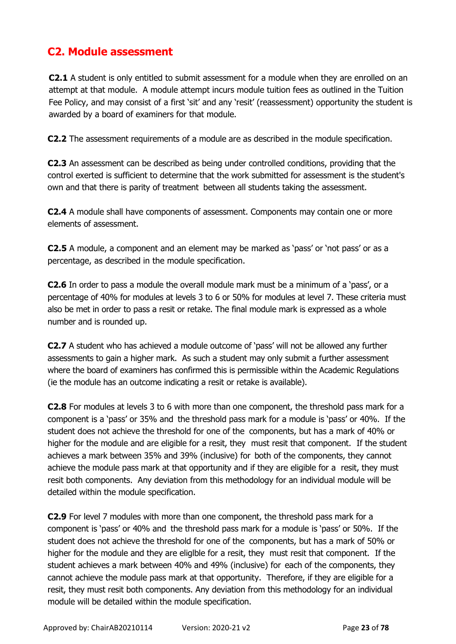## <span id="page-22-0"></span>**C2. Module assessment**

**C2.1** A student is only entitled to submit assessment for a module when they are enrolled on an attempt at that module. A module attempt incurs module tuition fees as outlined in the Tuition Fee Policy, and may consist of a first 'sit' and any 'resit' (reassessment) opportunity the student is awarded by a board of examiners for that module.

**C2.2** The assessment requirements of a module are as described in the module specification.

**C2.3** An assessment can be described as being under controlled conditions, providing that the control exerted is sufficient to determine that the work submitted for assessment is the student's own and that there is parity of treatment between all students taking the assessment.

**C2.4** A module shall have components of assessment. Components may contain one or more elements of assessment.

**C2.5** A module, a component and an element may be marked as 'pass' or 'not pass' or as a percentage, as described in the module specification.

**C2.6** In order to pass a module the overall module mark must be a minimum of a 'pass', or a percentage of 40% for modules at levels 3 to 6 or 50% for modules at level 7. These criteria must also be met in order to pass a resit or retake. The final module mark is expressed as a whole number and is rounded up.

**C2.7** A student who has achieved a module outcome of 'pass' will not be allowed any further assessments to gain a higher mark. As such a student may only submit a further assessment where the board of examiners has confirmed this is permissible within the Academic Regulations (ie the module has an outcome indicating a resit or retake is available).

**C2.8** For modules at levels 3 to 6 with more than one component, the threshold pass mark for a component is a 'pass' or 35% and the threshold pass mark for a module is 'pass' or 40%. If the student does not achieve the threshold for one of the components, but has a mark of 40% or higher for the module and are eligible for a resit, they must resit that component. If the student achieves a mark between 35% and 39% (inclusive) for both of the components, they cannot achieve the module pass mark at that opportunity and if they are eligible for a resit, they must resit both components. Any deviation from this methodology for an individual module will be detailed within the module specification.

**C2.9** For level 7 modules with more than one component, the threshold pass mark for a component is 'pass' or 40% and the threshold pass mark for a module is 'pass' or 50%. If the student does not achieve the threshold for one of the components, but has a mark of 50% or higher for the module and they are eliglble for a resit, they must resit that component. If the student achieves a mark between 40% and 49% (inclusive) for each of the components, they cannot achieve the module pass mark at that opportunity. Therefore, if they are eligible for a resit, they must resit both components. Any deviation from this methodology for an individual module will be detailed within the module specification.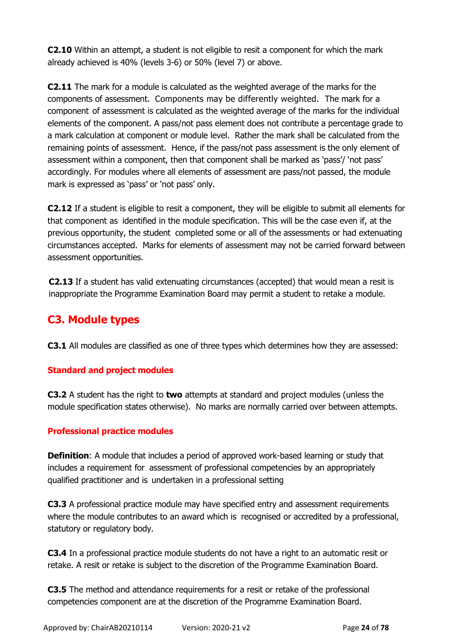**C2.10** Within an attempt, a student is not eligible to resit a component for which the mark already achieved is 40% (levels 3-6) or 50% (level 7) or above.

**C2.11** The mark for a module is calculated as the weighted average of the marks for the components of assessment. Components may be differently weighted. The mark for a component of assessment is calculated as the weighted average of the marks for the individual elements of the component. A pass/not pass element does not contribute a percentage grade to a mark calculation at component or module level. Rather the mark shall be calculated from the remaining points of assessment. Hence, if the pass/not pass assessment is the only element of assessment within a component, then that component shall be marked as 'pass'/ 'not pass' accordingly. For modules where all elements of assessment are pass/not passed, the module mark is expressed as 'pass' or 'not pass' only.

**C2.12** If a student is eligible to resit a component, they will be eligible to submit all elements for that component as identified in the module specification. This will be the case even if, at the previous opportunity, the student completed some or all of the assessments or had extenuating circumstances accepted. Marks for elements of assessment may not be carried forward between assessment opportunities.

**C2.13** If a student has valid extenuating circumstances (accepted) that would mean a resit is inappropriate the Programme Examination Board may permit a student to retake a module.

## <span id="page-23-0"></span>**C3. Module types**

**C3.1** All modules are classified as one of three types which determines how they are assessed:

### **Standard and project modules**

**C3.2** A student has the right to **two** attempts at standard and project modules (unless the module specification states otherwise). No marks are normally carried over between attempts.

### **Professional practice modules**

**Definition**: A module that includes a period of approved work-based learning or study that includes a requirement for assessment of professional competencies by an appropriately qualified practitioner and is undertaken in a professional setting

**C3.3** A professional practice module may have specified entry and assessment requirements where the module contributes to an award which is recognised or accredited by a professional, statutory or regulatory body.

**C3.4** In a professional practice module students do not have a right to an automatic resit or retake. A resit or retake is subject to the discretion of the Programme Examination Board.

**C3.5** The method and attendance requirements for a resit or retake of the professional competencies component are at the discretion of the Programme Examination Board.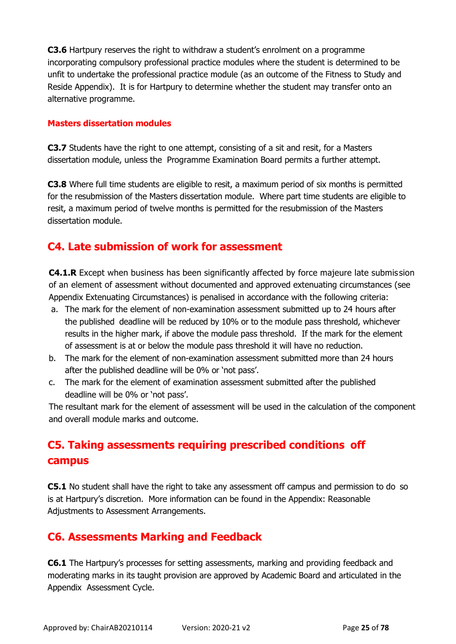**C3.6** Hartpury reserves the right to withdraw a student's enrolment on a programme incorporating compulsory professional practice modules where the student is determined to be unfit to undertake the professional practice module (as an outcome of the Fitness to Study and Reside Appendix). It is for Hartpury to determine whether the student may transfer onto an alternative programme.

#### **Masters dissertation modules**

**C3.7** Students have the right to one attempt, consisting of a sit and resit, for a Masters dissertation module, unless the Programme Examination Board permits a further attempt.

**C3.8** Where full time students are eligible to resit, a maximum period of six months is permitted for the resubmission of the Masters dissertation module. Where part time students are eligible to resit, a maximum period of twelve months is permitted for the resubmission of the Masters dissertation module.

## <span id="page-24-0"></span>**C4. Late submission of work for assessment**

**C4.1.R** Except when business has been significantly affected by force majeure late submission of an element of assessment without documented and approved extenuating circumstances (see Appendix Extenuating Circumstances) is penalised in accordance with the following criteria:

- a. The mark for the element of non-examination assessment submitted up to 24 hours after the published deadline will be reduced by 10% or to the module pass threshold, whichever results in the higher mark, if above the module pass threshold. If the mark for the element of assessment is at or below the module pass threshold it will have no reduction.
- b. The mark for the element of non-examination assessment submitted more than 24 hours after the published deadline will be 0% or 'not pass'.
- c. The mark for the element of examination assessment submitted after the published deadline will be 0% or 'not pass'.

The resultant mark for the element of assessment will be used in the calculation of the component and overall module marks and outcome.

# <span id="page-24-1"></span>**C5. Taking assessments requiring prescribed conditions off campus**

**C5.1** No student shall have the right to take any assessment off campus and permission to do so is at Hartpury's discretion. More information can be found in the Appendix: Reasonable Adjustments to Assessment Arrangements.

## <span id="page-24-2"></span>**C6. Assessments Marking and Feedback**

**C6.1** The Hartpury's processes for setting assessments, marking and providing feedback and moderating marks in its taught provision are approved by Academic Board and articulated in the Appendix Assessment Cycle.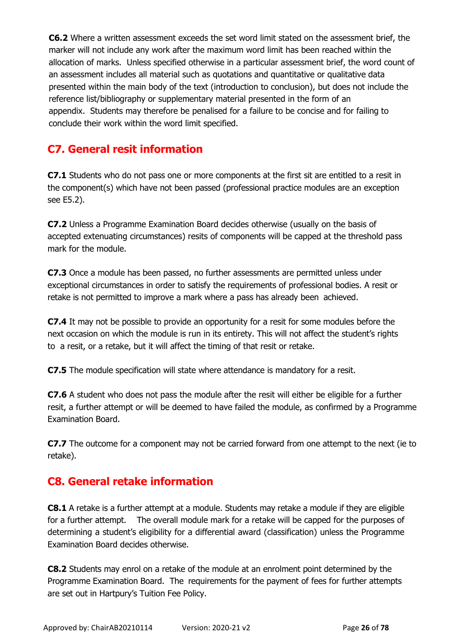**C6.2** Where a written assessment exceeds the set word limit stated on the assessment brief, the marker will not include any work after the maximum word limit has been reached within the allocation of marks. Unless specified otherwise in a particular assessment brief, the word count of an assessment includes all material such as quotations and quantitative or qualitative data presented within the main body of the text (introduction to conclusion), but does not include the reference list/bibliography or supplementary material presented in the form of an appendix. Students may therefore be penalised for a failure to be concise and for failing to conclude their work within the word limit specified.

# <span id="page-25-0"></span>**C7. General resit information**

**C7.1** Students who do not pass one or more components at the first sit are entitled to a resit in the component(s) which have not been passed (professional practice modules are an exception see E5.2).

**C7.2** Unless a Programme Examination Board decides otherwise (usually on the basis of accepted extenuating circumstances) resits of components will be capped at the threshold pass mark for the module.

**C7.3** Once a module has been passed, no further assessments are permitted unless under exceptional circumstances in order to satisfy the requirements of professional bodies. A resit or retake is not permitted to improve a mark where a pass has already been achieved.

**C7.4** It may not be possible to provide an opportunity for a resit for some modules before the next occasion on which the module is run in its entirety. This will not affect the student's rights to a resit, or a retake, but it will affect the timing of that resit or retake.

**C7.5** The module specification will state where attendance is mandatory for a resit.

**C7.6** A student who does not pass the module after the resit will either be eligible for a further resit, a further attempt or will be deemed to have failed the module, as confirmed by a Programme Examination Board.

**C7.7** The outcome for a component may not be carried forward from one attempt to the next (ie to retake).

## <span id="page-25-1"></span>**C8. General retake information**

**C8.1** A retake is a further attempt at a module. Students may retake a module if they are eligible for a further attempt. The overall module mark for a retake will be capped for the purposes of determining a student's eligibility for a differential award (classification) unless the Programme Examination Board decides otherwise.

**C8.2** Students may enrol on a retake of the module at an enrolment point determined by the Programme Examination Board. The requirements for the payment of fees for further attempts are set out in Hartpury's Tuition Fee Policy.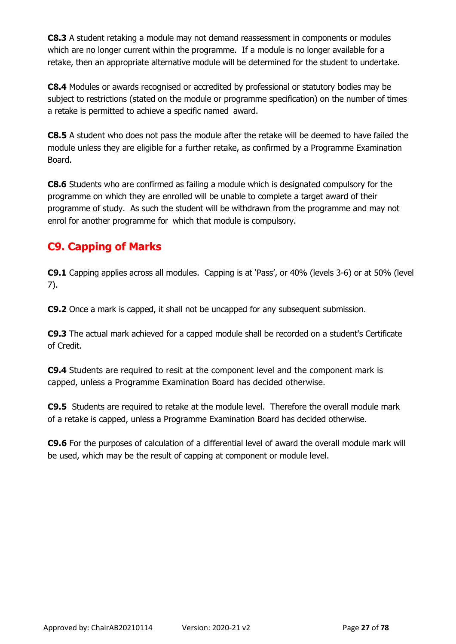**C8.3** A student retaking a module may not demand reassessment in components or modules which are no longer current within the programme. If a module is no longer available for a retake, then an appropriate alternative module will be determined for the student to undertake.

**C8.4** Modules or awards recognised or accredited by professional or statutory bodies may be subject to restrictions (stated on the module or programme specification) on the number of times a retake is permitted to achieve a specific named award.

**C8.5** A student who does not pass the module after the retake will be deemed to have failed the module unless they are eligible for a further retake, as confirmed by a Programme Examination Board.

**C8.6** Students who are confirmed as failing a module which is designated compulsory for the programme on which they are enrolled will be unable to complete a target award of their programme of study. As such the student will be withdrawn from the programme and may not enrol for another programme for which that module is compulsory.

## <span id="page-26-0"></span>**C9. Capping of Marks**

**C9.1** Capping applies across all modules. Capping is at 'Pass', or 40% (levels 3-6) or at 50% (level 7).

**C9.2** Once a mark is capped, it shall not be uncapped for any subsequent submission.

**C9.3** The actual mark achieved for a capped module shall be recorded on a student's Certificate of Credit.

**C9.4** Students are required to resit at the component level and the component mark is capped, unless a Programme Examination Board has decided otherwise.

**C9.5** Students are required to retake at the module level. Therefore the overall module mark of a retake is capped, unless a Programme Examination Board has decided otherwise.

**C9.6** For the purposes of calculation of a differential level of award the overall module mark will be used, which may be the result of capping at component or module level.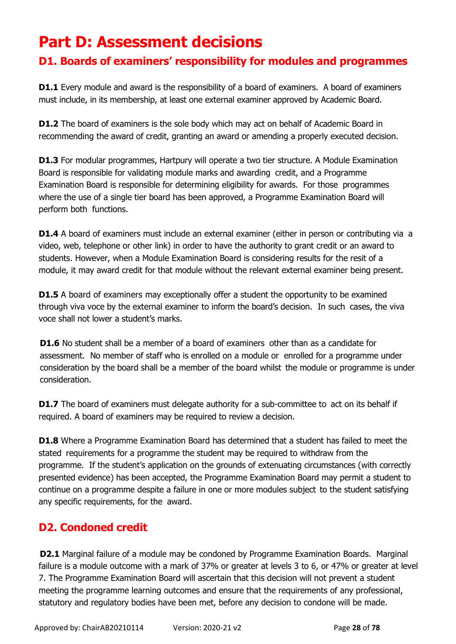# <span id="page-27-0"></span>**Part D: Assessment decisions**

# <span id="page-27-1"></span>**D1. Boards of examiners' responsibility for modules and programmes**

**D1.1** Every module and award is the responsibility of a board of examiners. A board of examiners must include, in its membership, at least one external examiner approved by Academic Board.

**D1.2** The board of examiners is the sole body which may act on behalf of Academic Board in recommending the award of credit, granting an award or amending a properly executed decision.

**D1.3** For modular programmes, Hartpury will operate a two tier structure. A Module Examination Board is responsible for validating module marks and awarding credit, and a Programme Examination Board is responsible for determining eligibility for awards. For those programmes where the use of a single tier board has been approved, a Programme Examination Board will perform both functions.

**D1.4** A board of examiners must include an external examiner (either in person or contributing via a video, web, telephone or other link) in order to have the authority to grant credit or an award to students. However, when a Module Examination Board is considering results for the resit of a module, it may award credit for that module without the relevant external examiner being present.

**D1.5** A board of examiners may exceptionally offer a student the opportunity to be examined through viva voce by the external examiner to inform the board's decision. In such cases, the viva voce shall not lower a student's marks.

**D1.6** No student shall be a member of a board of examiners other than as a candidate for assessment. No member of staff who is enrolled on a module or enrolled for a programme under consideration by the board shall be a member of the board whilst the module or programme is under consideration.

**D1.7** The board of examiners must delegate authority for a sub-committee to act on its behalf if required. A board of examiners may be required to review a decision.

**D1.8** Where a Programme Examination Board has determined that a student has failed to meet the stated requirements for a programme the student may be required to withdraw from the programme. If the student's application on the grounds of extenuating circumstances (with correctly presented evidence) has been accepted, the Programme Examination Board may permit a student to continue on a programme despite a failure in one or more modules subject to the student satisfying any specific requirements, for the award.

# <span id="page-27-2"></span>**D2. Condoned credit**

**D2.1** Marginal failure of a module may be condoned by Programme Examination Boards. Marginal failure is a module outcome with a mark of 37% or greater at levels 3 to 6, or 47% or greater at level 7. The Programme Examination Board will ascertain that this decision will not prevent a student meeting the programme learning outcomes and ensure that the requirements of any professional, statutory and regulatory bodies have been met, before any decision to condone will be made.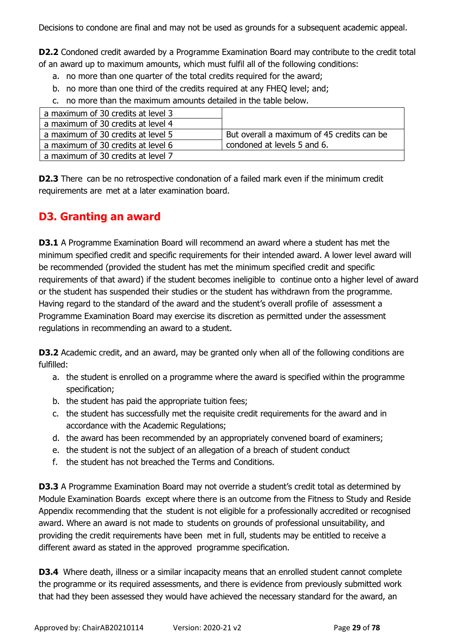Decisions to condone are final and may not be used as grounds for a subsequent academic appeal.

**D2.2** Condoned credit awarded by a Programme Examination Board may contribute to the credit total of an award up to maximum amounts, which must fulfil all of the following conditions:

- a. no more than one quarter of the total credits required for the award;
- b. no more than one third of the credits required at any FHEQ level; and;
- c. no more than the maximum amounts detailed in the table below.

| a maximum of 30 credits at level 3 |                                            |
|------------------------------------|--------------------------------------------|
| a maximum of 30 credits at level 4 |                                            |
| a maximum of 30 credits at level 5 | But overall a maximum of 45 credits can be |
| a maximum of 30 credits at level 6 | condoned at levels 5 and 6.                |
| a maximum of 30 credits at level 7 |                                            |

**D2.3** There can be no retrospective condonation of a failed mark even if the minimum credit requirements are met at a later examination board.

## <span id="page-28-0"></span>**D3. Granting an award**

**D3.1** A Programme Examination Board will recommend an award where a student has met the minimum specified credit and specific requirements for their intended award. A lower level award will be recommended (provided the student has met the minimum specified credit and specific requirements of that award) if the student becomes ineligible to continue onto a higher level of award or the student has suspended their studies or the student has withdrawn from the programme. Having regard to the standard of the award and the student's overall profile of assessment a Programme Examination Board may exercise its discretion as permitted under the assessment regulations in recommending an award to a student.

**D3.2** Academic credit, and an award, may be granted only when all of the following conditions are fulfilled:

- a. the student is enrolled on a programme where the award is specified within the programme specification;
- b. the student has paid the appropriate tuition fees;
- c. the student has successfully met the requisite credit requirements for the award and in accordance with the Academic Regulations;
- d. the award has been recommended by an appropriately convened board of examiners;
- e. the student is not the subject of an allegation of a breach of student conduct
- f. the student has not breached the Terms and Conditions.

**D3.3** A Programme Examination Board may not override a student's credit total as determined by Module Examination Boards except where there is an outcome from the Fitness to Study and Reside Appendix recommending that the student is not eligible for a professionally accredited or recognised award. Where an award is not made to students on grounds of professional unsuitability, and providing the credit requirements have been met in full, students may be entitled to receive a different award as stated in the approved programme specification.

**D3.4** Where death, illness or a similar incapacity means that an enrolled student cannot complete the programme or its required assessments, and there is evidence from previously submitted work that had they been assessed they would have achieved the necessary standard for the award, an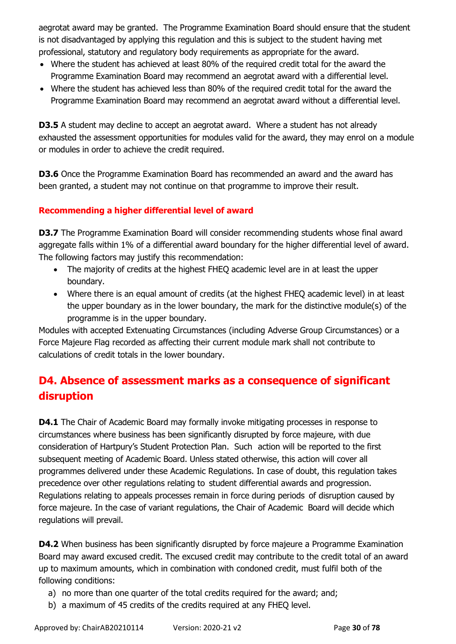aegrotat award may be granted. The Programme Examination Board should ensure that the student is not disadvantaged by applying this regulation and this is subject to the student having met professional, statutory and regulatory body requirements as appropriate for the award.

- Where the student has achieved at least 80% of the required credit total for the award the Programme Examination Board may recommend an aegrotat award with a differential level.
- Where the student has achieved less than 80% of the required credit total for the award the Programme Examination Board may recommend an aegrotat award without a differential level.

**D3.5** A student may decline to accept an aegrotat award. Where a student has not already exhausted the assessment opportunities for modules valid for the award, they may enrol on a module or modules in order to achieve the credit required.

**D3.6** Once the Programme Examination Board has recommended an award and the award has been granted, a student may not continue on that programme to improve their result.

### **Recommending a higher differential level of award**

**D3.7** The Programme Examination Board will consider recommending students whose final award aggregate falls within 1% of a differential award boundary for the higher differential level of award. The following factors may justify this recommendation:

- The majority of credits at the highest FHEQ academic level are in at least the upper boundary.
- Where there is an equal amount of credits (at the highest FHEQ academic level) in at least the upper boundary as in the lower boundary, the mark for the distinctive module(s) of the programme is in the upper boundary.

Modules with accepted Extenuating Circumstances (including Adverse Group Circumstances) or a Force Majeure Flag recorded as affecting their current module mark shall not contribute to calculations of credit totals in the lower boundary.

# <span id="page-29-0"></span>**D4. Absence of assessment marks as a consequence of significant disruption**

**D4.1** The Chair of Academic Board may formally invoke mitigating processes in response to circumstances where business has been significantly disrupted by force majeure, with due consideration of Hartpury's Student Protection Plan. Such action will be reported to the first subsequent meeting of Academic Board. Unless stated otherwise, this action will cover all programmes delivered under these Academic Regulations. In case of doubt, this regulation takes precedence over other regulations relating to student differential awards and progression. Regulations relating to appeals processes remain in force during periods of disruption caused by force majeure. In the case of variant regulations, the Chair of Academic Board will decide which regulations will prevail.

**D4.2** When business has been significantly disrupted by force majeure a Programme Examination Board may award excused credit. The excused credit may contribute to the credit total of an award up to maximum amounts, which in combination with condoned credit, must fulfil both of the following conditions:

- a) no more than one quarter of the total credits required for the award; and;
- b) a maximum of 45 credits of the credits required at any FHEQ level.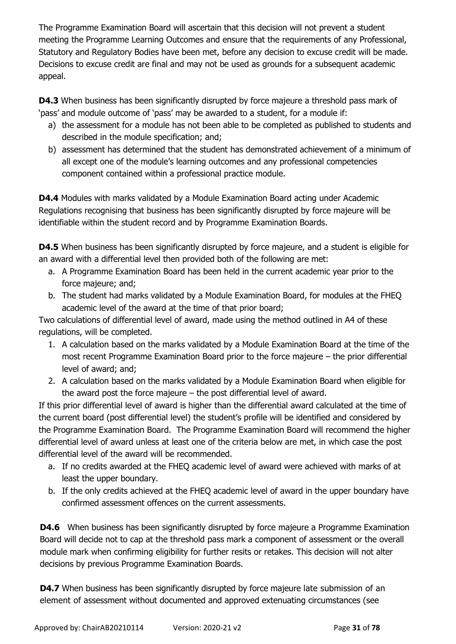The Programme Examination Board will ascertain that this decision will not prevent a student meeting the Programme Learning Outcomes and ensure that the requirements of any Professional, Statutory and Regulatory Bodies have been met, before any decision to excuse credit will be made. Decisions to excuse credit are final and may not be used as grounds for a subsequent academic appeal.

**D4.3** When business has been significantly disrupted by force majeure a threshold pass mark of 'pass' and module outcome of 'pass' may be awarded to a student, for a module if:

- a) the assessment for a module has not been able to be completed as published to students and described in the module specification; and;
- b) assessment has determined that the student has demonstrated achievement of a minimum of all except one of the module's learning outcomes and any professional competencies component contained within a professional practice module.

**D4.4** Modules with marks validated by a Module Examination Board acting under Academic Regulations recognising that business has been significantly disrupted by force majeure will be identifiable within the student record and by Programme Examination Boards.

**D4.5** When business has been significantly disrupted by force majeure, and a student is eligible for an award with a differential level then provided both of the following are met:

- a. A Programme Examination Board has been held in the current academic year prior to the force majeure; and;
- b. The student had marks validated by a Module Examination Board, for modules at the FHEQ academic level of the award at the time of that prior board;

Two calculations of differential level of award, made using the method outlined in A4 of these regulations, will be completed.

- 1. A calculation based on the marks validated by a Module Examination Board at the time of the most recent Programme Examination Board prior to the force majeure – the prior differential level of award; and;
- 2. A calculation based on the marks validated by a Module Examination Board when eligible for the award post the force majeure – the post differential level of award.

If this prior differential level of award is higher than the differential award calculated at the time of the current board (post differential level) the student's profile will be identified and considered by the Programme Examination Board. The Programme Examination Board will recommend the higher differential level of award unless at least one of the criteria below are met, in which case the post differential level of the award will be recommended.

- a. If no credits awarded at the FHEQ academic level of award were achieved with marks of at least the upper boundary.
- b. If the only credits achieved at the FHEQ academic level of award in the upper boundary have confirmed assessment offences on the current assessments.

**D4.6** When business has been significantly disrupted by force majeure a Programme Examination Board will decide not to cap at the threshold pass mark a component of assessment or the overall module mark when confirming eligibility for further resits or retakes. This decision will not alter decisions by previous Programme Examination Boards.

**D4.7** When business has been significantly disrupted by force majeure late submission of an element of assessment without documented and approved extenuating circumstances (see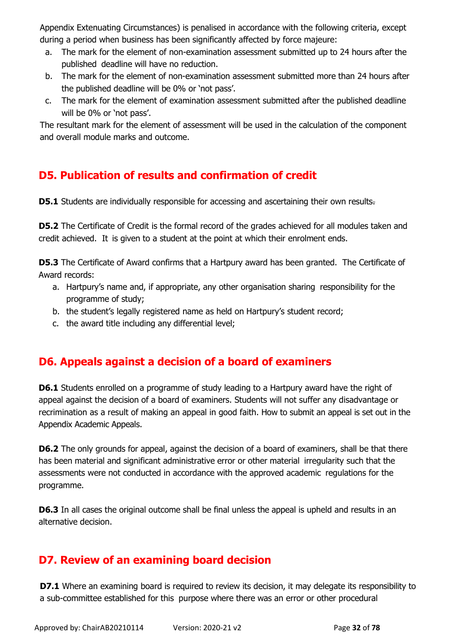Appendix Extenuating Circumstances) is penalised in accordance with the following criteria, except during a period when business has been significantly affected by force majeure:

- a. The mark for the element of non-examination assessment submitted up to 24 hours after the published deadline will have no reduction.
- b. The mark for the element of non-examination assessment submitted more than 24 hours after the published deadline will be 0% or 'not pass'.
- c. The mark for the element of examination assessment submitted after the published deadline will be 0% or 'not pass'.

The resultant mark for the element of assessment will be used in the calculation of the component and overall module marks and outcome.

# <span id="page-31-0"></span>**D5. Publication of results and confirmation of credit**

**D5.1** Students are individually responsible for accessing and ascertaining their own results.

**D5.2** The Certificate of Credit is the formal record of the grades achieved for all modules taken and credit achieved. It is given to a student at the point at which their enrolment ends.

**D5.3** The Certificate of Award confirms that a Hartpury award has been granted. The Certificate of Award records:

- a. Hartpury's name and, if appropriate, any other organisation sharing responsibility for the programme of study;
- b. the student's legally registered name as held on Hartpury's student record;
- c. the award title including any differential level;

# <span id="page-31-1"></span>**D6. Appeals against a decision of a board of examiners**

**D6.1** Students enrolled on a programme of study leading to a Hartpury award have the right of appeal against the decision of a board of examiners. Students will not suffer any disadvantage or recrimination as a result of making an appeal in good faith. How to submit an appeal is set out in the Appendix Academic Appeals.

**D6.2** The only grounds for appeal, against the decision of a board of examiners, shall be that there has been material and significant administrative error or other material irregularity such that the assessments were not conducted in accordance with the approved academic regulations for the programme.

**D6.3** In all cases the original outcome shall be final unless the appeal is upheld and results in an alternative decision.

# <span id="page-31-2"></span>**D7. Review of an examining board decision**

**D7.1** Where an examining board is required to review its decision, it may delegate its responsibility to a sub-committee established for this purpose where there was an error or other procedural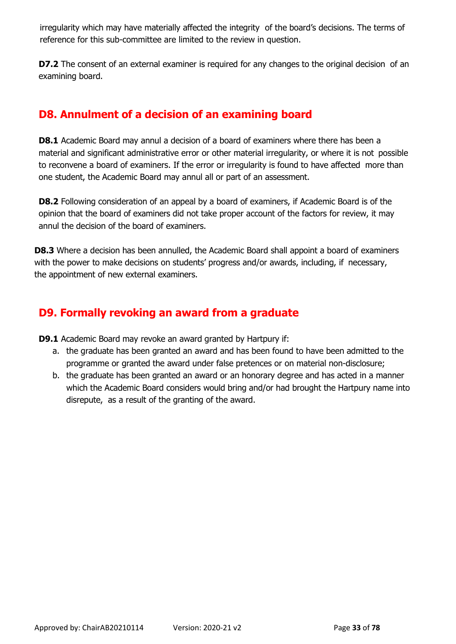irregularity which may have materially affected the integrity of the board's decisions. The terms of reference for this sub-committee are limited to the review in question.

**D7.2** The consent of an external examiner is required for any changes to the original decision of an examining board.

# <span id="page-32-0"></span>**D8. Annulment of a decision of an examining board**

**D8.1** Academic Board may annul a decision of a board of examiners where there has been a material and significant administrative error or other material irregularity, or where it is not possible to reconvene a board of examiners. If the error or irregularity is found to have affected more than one student, the Academic Board may annul all or part of an assessment.

**D8.2** Following consideration of an appeal by a board of examiners, if Academic Board is of the opinion that the board of examiners did not take proper account of the factors for review, it may annul the decision of the board of examiners.

**D8.3** Where a decision has been annulled, the Academic Board shall appoint a board of examiners with the power to make decisions on students' progress and/or awards, including, if necessary, the appointment of new external examiners.

# <span id="page-32-1"></span>**D9. Formally revoking an award from a graduate**

**D9.1** Academic Board may revoke an award granted by Hartpury if:

- a. the graduate has been granted an award and has been found to have been admitted to the programme or granted the award under false pretences or on material non-disclosure;
- b. the graduate has been granted an award or an honorary degree and has acted in a manner which the Academic Board considers would bring and/or had brought the Hartpury name into disrepute, as a result of the granting of the award.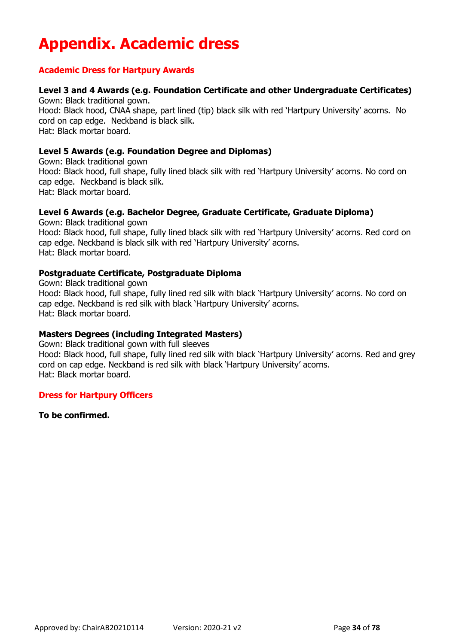# <span id="page-33-0"></span>**Appendix. Academic dress**

#### **Academic Dress for Hartpury Awards**

## **Level 3 and 4 Awards (e.g. Foundation Certificate and other Undergraduate Certificates)**

Gown: Black traditional gown. Hood: Black hood, CNAA shape, part lined (tip) black silk with red 'Hartpury University' acorns. No cord on cap edge. Neckband is black silk. Hat: Black mortar board.

#### **Level 5 Awards (e.g. Foundation Degree and Diplomas)**

Gown: Black traditional gown Hood: Black hood, full shape, fully lined black silk with red 'Hartpury University' acorns. No cord on cap edge. Neckband is black silk. Hat: Black mortar board.

### **Level 6 Awards (e.g. Bachelor Degree, Graduate Certificate, Graduate Diploma)**

Gown: Black traditional gown Hood: Black hood, full shape, fully lined black silk with red 'Hartpury University' acorns. Red cord on cap edge. Neckband is black silk with red 'Hartpury University' acorns. Hat: Black mortar board.

#### **Postgraduate Certificate, Postgraduate Diploma**

Gown: Black traditional gown Hood: Black hood, full shape, fully lined red silk with black 'Hartpury University' acorns. No cord on cap edge. Neckband is red silk with black 'Hartpury University' acorns. Hat: Black mortar board.

#### **Masters Degrees (including Integrated Masters)**

Gown: Black traditional gown with full sleeves Hood: Black hood, full shape, fully lined red silk with black 'Hartpury University' acorns. Red and grey cord on cap edge. Neckband is red silk with black 'Hartpury University' acorns. Hat: Black mortar board.

#### **Dress for Hartpury Officers**

**To be confirmed.**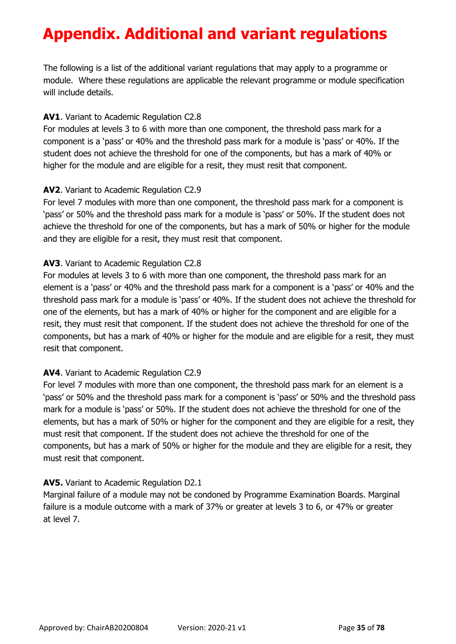# <span id="page-34-0"></span>**Appendix. Additional and variant regulations**

The following is a list of the additional variant regulations that may apply to a programme or module. Where these regulations are applicable the relevant programme or module specification will include details.

### **AV1**. Variant to Academic Regulation C2.8

For modules at levels 3 to 6 with more than one component, the threshold pass mark for a component is a 'pass' or 40% and the threshold pass mark for a module is 'pass' or 40%. If the student does not achieve the threshold for one of the components, but has a mark of 40% or higher for the module and are eligible for a resit, they must resit that component.

### **AV2**. Variant to Academic Regulation C2.9

For level 7 modules with more than one component, the threshold pass mark for a component is 'pass' or 50% and the threshold pass mark for a module is 'pass' or 50%. If the student does not achieve the threshold for one of the components, but has a mark of 50% or higher for the module and they are eligible for a resit, they must resit that component.

### **AV3**. Variant to Academic Regulation C2.8

For modules at levels 3 to 6 with more than one component, the threshold pass mark for an element is a 'pass' or 40% and the threshold pass mark for a component is a 'pass' or 40% and the threshold pass mark for a module is 'pass' or 40%. If the student does not achieve the threshold for one of the elements, but has a mark of 40% or higher for the component and are eligible for a resit, they must resit that component. If the student does not achieve the threshold for one of the components, but has a mark of 40% or higher for the module and are eligible for a resit, they must resit that component.

### **AV4**. Variant to Academic Regulation C2.9

For level 7 modules with more than one component, the threshold pass mark for an element is a 'pass' or 50% and the threshold pass mark for a component is 'pass' or 50% and the threshold pass mark for a module is 'pass' or 50%. If the student does not achieve the threshold for one of the elements, but has a mark of 50% or higher for the component and they are eligible for a resit, they must resit that component. If the student does not achieve the threshold for one of the components, but has a mark of 50% or higher for the module and they are eligible for a resit, they must resit that component.

### **AV5.** Variant to Academic Regulation D2.1

Marginal failure of a module may not be condoned by Programme Examination Boards. Marginal failure is a module outcome with a mark of 37% or greater at levels 3 to 6, or 47% or greater at level 7.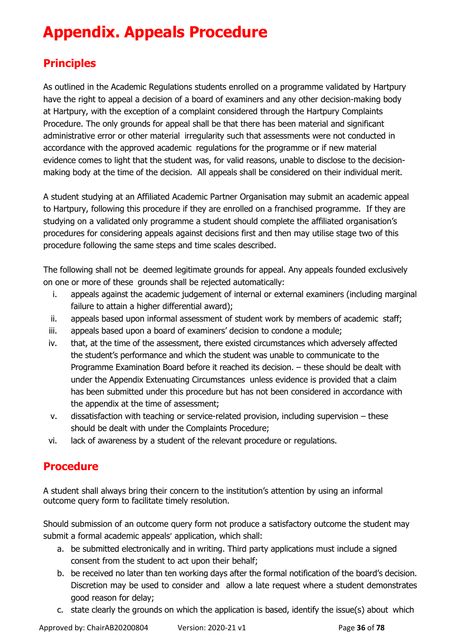# <span id="page-35-0"></span>**Appendix. Appeals Procedure**

# **Principles**

As outlined in the Academic Regulations students enrolled on a programme validated by Hartpury have the right to appeal a decision of a board of examiners and any other decision-making body at Hartpury, with the exception of a complaint considered through the Hartpury Complaints Procedure. The only grounds for appeal shall be that there has been material and significant administrative error or other material irregularity such that assessments were not conducted in accordance with the approved academic regulations for the programme or if new material evidence comes to light that the student was, for valid reasons, unable to disclose to the decisionmaking body at the time of the decision. All appeals shall be considered on their individual merit.

A student studying at an Affiliated Academic Partner Organisation may submit an academic appeal to Hartpury, following this procedure if they are enrolled on a franchised programme. If they are studying on a validated only programme a student should complete the affiliated organisation's procedures for considering appeals against decisions first and then may utilise stage two of this procedure following the same steps and time scales described.

The following shall not be deemed legitimate grounds for appeal. Any appeals founded exclusively on one or more of these grounds shall be rejected automatically:

- i. appeals against the academic judgement of internal or external examiners (including marginal failure to attain a higher differential award);
- ii. appeals based upon informal assessment of student work by members of academic staff;
- iii. appeals based upon a board of examiners' decision to condone a module;
- iv. that, at the time of the assessment, there existed circumstances which adversely affected the student's performance and which the student was unable to communicate to the Programme Examination Board before it reached its decision. – these should be dealt with under the Appendix Extenuating Circumstances unless evidence is provided that a claim has been submitted under this procedure but has not been considered in accordance with the appendix at the time of assessment;
- v. dissatisfaction with teaching or service-related provision, including supervision these should be dealt with under the Complaints Procedure;
- vi. lack of awareness by a student of the relevant procedure or regulations.

# **Procedure**

A student shall always bring their concern to the institution's attention by using an informal outcome query form to facilitate timely resolution.

Should submission of an outcome query form not produce a satisfactory outcome the student may submit a formal academic appeals' application, which shall:

- a. be submitted electronically and in writing. Third party applications must include a signed consent from the student to act upon their behalf;
- b. be received no later than ten working days after the formal notification of the board's decision. Discretion may be used to consider and allow a late request where a student demonstrates good reason for delay;
- c. state clearly the grounds on which the application is based, identify the issue(s) about which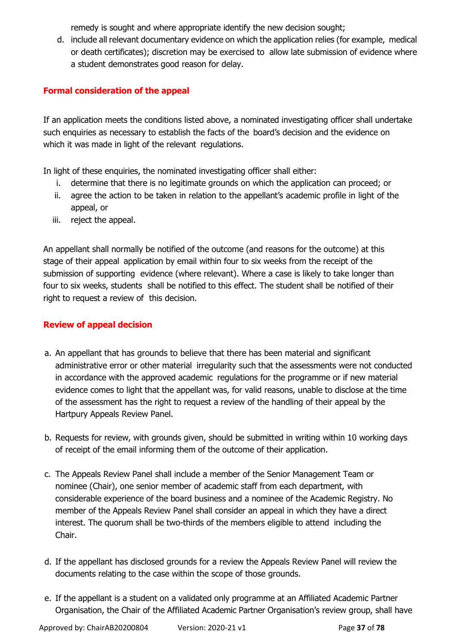remedy is sought and where appropriate identify the new decision sought;

d. include all relevant documentary evidence on which the application relies (for example, medical or death certificates); discretion may be exercised to allow late submission of evidence where a student demonstrates good reason for delay.

#### **Formal consideration of the appeal**

If an application meets the conditions listed above, a nominated investigating officer shall undertake such enquiries as necessary to establish the facts of the board's decision and the evidence on which it was made in light of the relevant regulations.

In light of these enquiries, the nominated investigating officer shall either:

- i. determine that there is no legitimate grounds on which the application can proceed; or
- ii. agree the action to be taken in relation to the appellant's academic profile in light of the appeal, or
- iii. reject the appeal.

An appellant shall normally be notified of the outcome (and reasons for the outcome) at this stage of their appeal application by email within four to six weeks from the receipt of the submission of supporting evidence (where relevant). Where a case is likely to take longer than four to six weeks, students shall be notified to this effect. The student shall be notified of their right to request a review of this decision.

#### **Review of appeal decision**

- a. An appellant that has grounds to believe that there has been material and significant administrative error or other material irregularity such that the assessments were not conducted in accordance with the approved academic regulations for the programme or if new material evidence comes to light that the appellant was, for valid reasons, unable to disclose at the time of the assessment has the right to request a review of the handling of their appeal by the Hartpury Appeals Review Panel.
- b. Requests for review, with grounds given, should be submitted in writing within 10 working days of receipt of the email informing them of the outcome of their application.
- c. The Appeals Review Panel shall include a member of the Senior Management Team or nominee (Chair), one senior member of academic staff from each department, with considerable experience of the board business and a nominee of the Academic Registry. No member of the Appeals Review Panel shall consider an appeal in which they have a direct interest. The quorum shall be two-thirds of the members eligible to attend including the Chair.
- d. If the appellant has disclosed grounds for a review the Appeals Review Panel will review the documents relating to the case within the scope of those grounds.
- e. If the appellant is a student on a validated only programme at an Affiliated Academic Partner Organisation, the Chair of the Affiliated Academic Partner Organisation's review group, shall have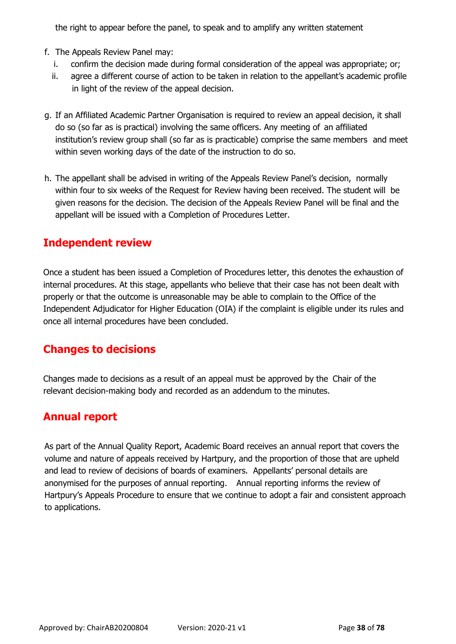the right to appear before the panel, to speak and to amplify any written statement

- f. The Appeals Review Panel may:
	- i. confirm the decision made during formal consideration of the appeal was appropriate; or;
	- ii. agree a different course of action to be taken in relation to the appellant's academic profile in light of the review of the appeal decision.
- g. If an Affiliated Academic Partner Organisation is required to review an appeal decision, it shall do so (so far as is practical) involving the same officers. Any meeting of an affiliated institution's review group shall (so far as is practicable) comprise the same members and meet within seven working days of the date of the instruction to do so.
- h. The appellant shall be advised in writing of the Appeals Review Panel's decision, normally within four to six weeks of the Request for Review having been received. The student will be given reasons for the decision. The decision of the Appeals Review Panel will be final and the appellant will be issued with a Completion of Procedures Letter.

### **Independent review**

Once a student has been issued a Completion of Procedures letter, this denotes the exhaustion of internal procedures. At this stage, appellants who believe that their case has not been dealt with properly or that the outcome is unreasonable may be able to complain to the Office of the Independent Adjudicator for Higher Education (OIA) if the complaint is eligible under its rules and once all internal procedures have been concluded.

## **Changes to decisions**

Changes made to decisions as a result of an appeal must be approved by the Chair of the relevant decision-making body and recorded as an addendum to the minutes.

## **Annual report**

As part of the Annual Quality Report, Academic Board receives an annual report that covers the volume and nature of appeals received by Hartpury, and the proportion of those that are upheld and lead to review of decisions of boards of examiners. Appellants' personal details are anonymised for the purposes of annual reporting. Annual reporting informs the review of Hartpury's Appeals Procedure to ensure that we continue to adopt a fair and consistent approach to applications.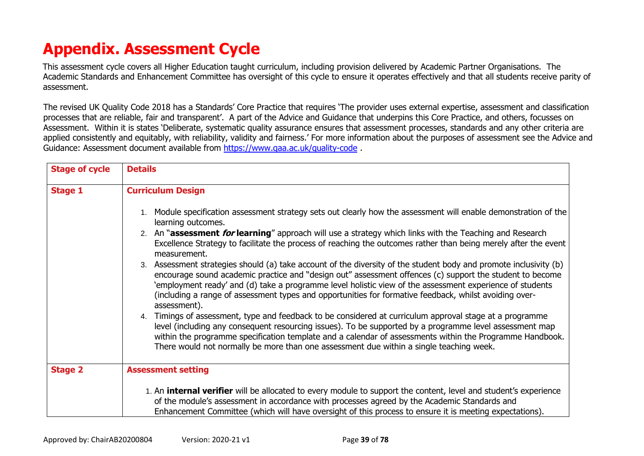# **Appendix. Assessment Cycle**

This assessment cycle covers all Higher Education taught curriculum, including provision delivered by Academic Partner Organisations. The Academic Standards and Enhancement Committee has oversight of this cycle to ensure it operates effectively and that all students receive parity of assessment.

The revised UK Quality Code 2018 has a Standards' Core Practice that requires 'The provider uses external expertise, assessment and classification processes that are reliable, fair and transparent'. A part of the Advice and Guidance that underpins this Core Practice, and others, focusses on Assessment. Within it is states 'Deliberate, systematic quality assurance ensures that assessment processes, standards and any other criteria are applied consistently and equitably, with reliability, validity and fairness.' For more information about the purposes of assessment see the Advice and Guidance: Assessment document available from<https://www.qaa.ac.uk/quality-code> .

| <b>Stage of cycle</b> | <b>Details</b>                                                                                                                                                                                                                                                                                                                                                                                                                                                      |
|-----------------------|---------------------------------------------------------------------------------------------------------------------------------------------------------------------------------------------------------------------------------------------------------------------------------------------------------------------------------------------------------------------------------------------------------------------------------------------------------------------|
| <b>Stage 1</b>        | <b>Curriculum Design</b>                                                                                                                                                                                                                                                                                                                                                                                                                                            |
|                       | 1. Module specification assessment strategy sets out clearly how the assessment will enable demonstration of the<br>learning outcomes.                                                                                                                                                                                                                                                                                                                              |
|                       | 2. An " <b>assessment <i>for</i> learning</b> " approach will use a strategy which links with the Teaching and Research<br>Excellence Strategy to facilitate the process of reaching the outcomes rather than being merely after the event<br>measurement.                                                                                                                                                                                                          |
|                       | 3. Assessment strategies should (a) take account of the diversity of the student body and promote inclusivity (b)<br>encourage sound academic practice and "design out" assessment offences (c) support the student to become<br>'employment ready' and (d) take a programme level holistic view of the assessment experience of students<br>(including a range of assessment types and opportunities for formative feedback, whilst avoiding over-<br>assessment). |
|                       | 4. Timings of assessment, type and feedback to be considered at curriculum approval stage at a programme<br>level (including any consequent resourcing issues). To be supported by a programme level assessment map<br>within the programme specification template and a calendar of assessments within the Programme Handbook.<br>There would not normally be more than one assessment due within a single teaching week.                                          |
| <b>Stage 2</b>        | <b>Assessment setting</b>                                                                                                                                                                                                                                                                                                                                                                                                                                           |
|                       | 1. An <b>internal verifier</b> will be allocated to every module to support the content, level and student's experience<br>of the module's assessment in accordance with processes agreed by the Academic Standards and<br>Enhancement Committee (which will have oversight of this process to ensure it is meeting expectations).                                                                                                                                  |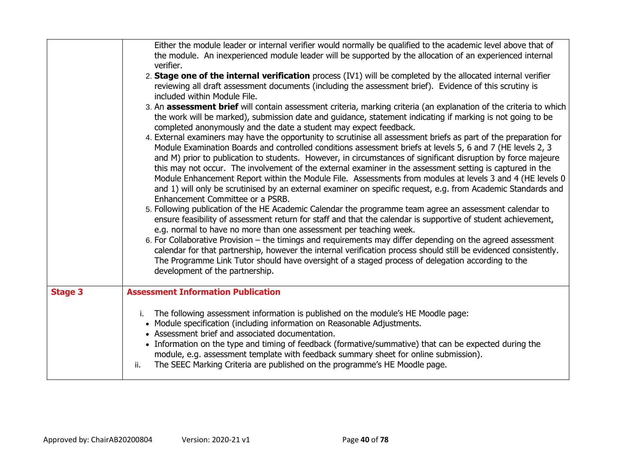|                | Either the module leader or internal verifier would normally be qualified to the academic level above that of<br>the module. An inexperienced module leader will be supported by the allocation of an experienced internal<br>verifier.<br>2. Stage one of the internal verification process (IV1) will be completed by the allocated internal verifier<br>reviewing all draft assessment documents (including the assessment brief). Evidence of this scrutiny is<br>included within Module File.<br>3. An assessment brief will contain assessment criteria, marking criteria (an explanation of the criteria to which<br>the work will be marked), submission date and guidance, statement indicating if marking is not going to be<br>completed anonymously and the date a student may expect feedback.<br>4. External examiners may have the opportunity to scrutinise all assessment briefs as part of the preparation for<br>Module Examination Boards and controlled conditions assessment briefs at levels 5, 6 and 7 (HE levels 2, 3<br>and M) prior to publication to students. However, in circumstances of significant disruption by force majeure<br>this may not occur. The involvement of the external examiner in the assessment setting is captured in the<br>Module Enhancement Report within the Module File. Assessments from modules at levels 3 and 4 (HE levels 0<br>and 1) will only be scrutinised by an external examiner on specific request, e.g. from Academic Standards and<br>Enhancement Committee or a PSRB.<br>5. Following publication of the HE Academic Calendar the programme team agree an assessment calendar to<br>ensure feasibility of assessment return for staff and that the calendar is supportive of student achievement,<br>e.g. normal to have no more than one assessment per teaching week.<br>6. For Collaborative Provision – the timings and requirements may differ depending on the agreed assessment<br>calendar for that partnership, however the internal verification process should still be evidenced consistently.<br>The Programme Link Tutor should have oversight of a staged process of delegation according to the<br>development of the partnership. |  |
|----------------|-----------------------------------------------------------------------------------------------------------------------------------------------------------------------------------------------------------------------------------------------------------------------------------------------------------------------------------------------------------------------------------------------------------------------------------------------------------------------------------------------------------------------------------------------------------------------------------------------------------------------------------------------------------------------------------------------------------------------------------------------------------------------------------------------------------------------------------------------------------------------------------------------------------------------------------------------------------------------------------------------------------------------------------------------------------------------------------------------------------------------------------------------------------------------------------------------------------------------------------------------------------------------------------------------------------------------------------------------------------------------------------------------------------------------------------------------------------------------------------------------------------------------------------------------------------------------------------------------------------------------------------------------------------------------------------------------------------------------------------------------------------------------------------------------------------------------------------------------------------------------------------------------------------------------------------------------------------------------------------------------------------------------------------------------------------------------------------------------------------------------------------------------------------------------------------------------------------------------------|--|
| <b>Stage 3</b> | <b>Assessment Information Publication</b><br>i. The following assessment information is published on the module's HE Moodle page:<br>• Module specification (including information on Reasonable Adjustments.<br>• Assessment brief and associated documentation.<br>• Information on the type and timing of feedback (formative/summative) that can be expected during the<br>module, e.g. assessment template with feedback summary sheet for online submission).<br>The SEEC Marking Criteria are published on the programme's HE Moodle page.<br>ii.                                                                                                                                                                                                                                                                                                                                                                                                                                                                                                                                                                                                                                                                                                                                                                                                                                                                                                                                                                                                                                                                                                                                                                                                                                                                                                                                                                                                                                                                                                                                                                                                                                                                    |  |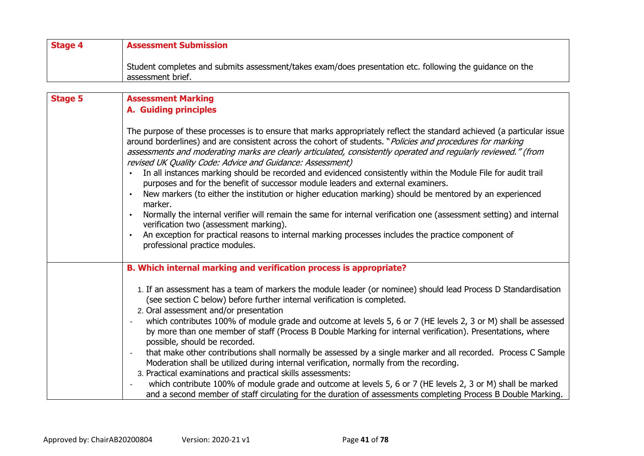| <b>Stage 4</b> | <b>Assessment Submission</b>                                                                                                                                                                                                                                                                                                                                                                                                                                                                                                                                                                                                                                                                                                                                                                                                                                                                                                                                                                                                                                      |  |
|----------------|-------------------------------------------------------------------------------------------------------------------------------------------------------------------------------------------------------------------------------------------------------------------------------------------------------------------------------------------------------------------------------------------------------------------------------------------------------------------------------------------------------------------------------------------------------------------------------------------------------------------------------------------------------------------------------------------------------------------------------------------------------------------------------------------------------------------------------------------------------------------------------------------------------------------------------------------------------------------------------------------------------------------------------------------------------------------|--|
|                | Student completes and submits assessment/takes exam/does presentation etc. following the guidance on the<br>assessment brief.                                                                                                                                                                                                                                                                                                                                                                                                                                                                                                                                                                                                                                                                                                                                                                                                                                                                                                                                     |  |
|                |                                                                                                                                                                                                                                                                                                                                                                                                                                                                                                                                                                                                                                                                                                                                                                                                                                                                                                                                                                                                                                                                   |  |
| <b>Stage 5</b> | <b>Assessment Marking</b><br><b>A. Guiding principles</b>                                                                                                                                                                                                                                                                                                                                                                                                                                                                                                                                                                                                                                                                                                                                                                                                                                                                                                                                                                                                         |  |
|                | The purpose of these processes is to ensure that marks appropriately reflect the standard achieved (a particular issue<br>around borderlines) and are consistent across the cohort of students. " <i>Policies and procedures for marking</i><br>assessments and moderating marks are clearly articulated, consistently operated and regularly reviewed." (from<br>revised UK Quality Code: Advice and Guidance: Assessment)<br>In all instances marking should be recorded and evidenced consistently within the Module File for audit trail<br>purposes and for the benefit of successor module leaders and external examiners.<br>New markers (to either the institution or higher education marking) should be mentored by an experienced<br>marker.<br>Normally the internal verifier will remain the same for internal verification one (assessment setting) and internal<br>verification two (assessment marking).<br>An exception for practical reasons to internal marking processes includes the practice component of<br>professional practice modules. |  |
|                | B. Which internal marking and verification process is appropriate?                                                                                                                                                                                                                                                                                                                                                                                                                                                                                                                                                                                                                                                                                                                                                                                                                                                                                                                                                                                                |  |
|                | 1. If an assessment has a team of markers the module leader (or nominee) should lead Process D Standardisation<br>(see section C below) before further internal verification is completed.<br>2. Oral assessment and/or presentation                                                                                                                                                                                                                                                                                                                                                                                                                                                                                                                                                                                                                                                                                                                                                                                                                              |  |
|                | which contributes 100% of module grade and outcome at levels 5, 6 or 7 (HE levels 2, 3 or M) shall be assessed<br>by more than one member of staff (Process B Double Marking for internal verification). Presentations, where<br>possible, should be recorded.                                                                                                                                                                                                                                                                                                                                                                                                                                                                                                                                                                                                                                                                                                                                                                                                    |  |
|                | that make other contributions shall normally be assessed by a single marker and all recorded. Process C Sample<br>Moderation shall be utilized during internal verification, normally from the recording.<br>3. Practical examinations and practical skills assessments:                                                                                                                                                                                                                                                                                                                                                                                                                                                                                                                                                                                                                                                                                                                                                                                          |  |
|                | which contribute 100% of module grade and outcome at levels 5, 6 or 7 (HE levels 2, 3 or M) shall be marked<br>and a second member of staff circulating for the duration of assessments completing Process B Double Marking.                                                                                                                                                                                                                                                                                                                                                                                                                                                                                                                                                                                                                                                                                                                                                                                                                                      |  |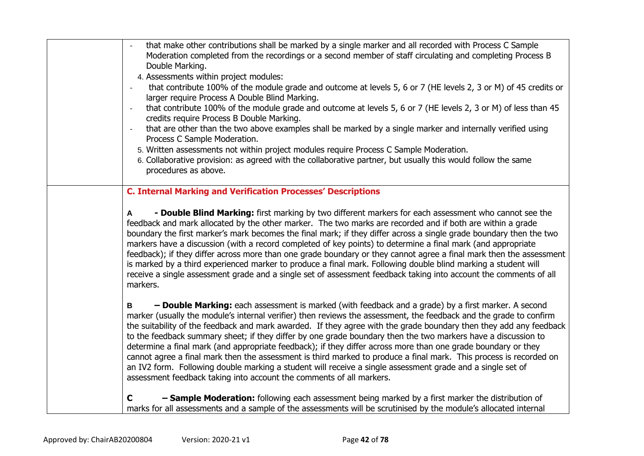| that make other contributions shall be marked by a single marker and all recorded with Process C Sample<br>Moderation completed from the recordings or a second member of staff circulating and completing Process B<br>Double Marking.<br>4. Assessments within project modules:<br>that contribute 100% of the module grade and outcome at levels 5, 6 or 7 (HE levels 2, 3 or M) of 45 credits or<br>$\frac{1}{2}$<br>larger require Process A Double Blind Marking.<br>that contribute 100% of the module grade and outcome at levels 5, 6 or 7 (HE levels 2, 3 or M) of less than 45<br>$\overline{\phantom{a}}$<br>credits require Process B Double Marking.<br>that are other than the two above examples shall be marked by a single marker and internally verified using<br>Process C Sample Moderation.<br>5. Written assessments not within project modules require Process C Sample Moderation.<br>6. Collaborative provision: as agreed with the collaborative partner, but usually this would follow the same<br>procedures as above. |
|-----------------------------------------------------------------------------------------------------------------------------------------------------------------------------------------------------------------------------------------------------------------------------------------------------------------------------------------------------------------------------------------------------------------------------------------------------------------------------------------------------------------------------------------------------------------------------------------------------------------------------------------------------------------------------------------------------------------------------------------------------------------------------------------------------------------------------------------------------------------------------------------------------------------------------------------------------------------------------------------------------------------------------------------------------|
| <b>C. Internal Marking and Verification Processes' Descriptions</b><br>- Double Blind Marking: first marking by two different markers for each assessment who cannot see the<br>$\mathsf{A}$<br>feedback and mark allocated by the other marker. The two marks are recorded and if both are within a grade<br>boundary the first marker's mark becomes the final mark; if they differ across a single grade boundary then the two<br>markers have a discussion (with a record completed of key points) to determine a final mark (and appropriate<br>feedback); if they differ across more than one grade boundary or they cannot agree a final mark then the assessment<br>is marked by a third experienced marker to produce a final mark. Following double blind marking a student will<br>receive a single assessment grade and a single set of assessment feedback taking into account the comments of all<br>markers.                                                                                                                         |
| - Double Marking: each assessment is marked (with feedback and a grade) by a first marker. A second<br>B<br>marker (usually the module's internal verifier) then reviews the assessment, the feedback and the grade to confirm<br>the suitability of the feedback and mark awarded. If they agree with the grade boundary then they add any feedback<br>to the feedback summary sheet; if they differ by one grade boundary then the two markers have a discussion to<br>determine a final mark (and appropriate feedback); if they differ across more than one grade boundary or they<br>cannot agree a final mark then the assessment is third marked to produce a final mark. This process is recorded on<br>an IV2 form. Following double marking a student will receive a single assessment grade and a single set of<br>assessment feedback taking into account the comments of all markers.                                                                                                                                                  |
| - Sample Moderation: following each assessment being marked by a first marker the distribution of<br>$\mathbf C$<br>marks for all assessments and a sample of the assessments will be scrutinised by the module's allocated internal                                                                                                                                                                                                                                                                                                                                                                                                                                                                                                                                                                                                                                                                                                                                                                                                                |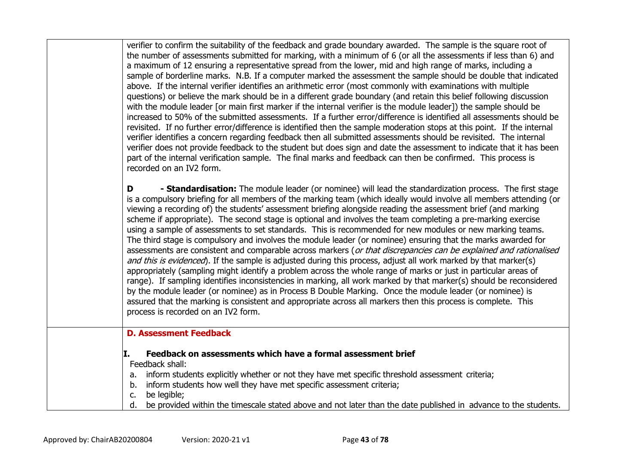| verifier to confirm the suitability of the feedback and grade boundary awarded. The sample is the square root of<br>the number of assessments submitted for marking, with a minimum of 6 (or all the assessments if less than 6) and<br>a maximum of 12 ensuring a representative spread from the lower, mid and high range of marks, including a<br>sample of borderline marks. N.B. If a computer marked the assessment the sample should be double that indicated<br>above. If the internal verifier identifies an arithmetic error (most commonly with examinations with multiple<br>questions) or believe the mark should be in a different grade boundary (and retain this belief following discussion<br>with the module leader [or main first marker if the internal verifier is the module leader]) the sample should be<br>increased to 50% of the submitted assessments. If a further error/difference is identified all assessments should be<br>revisited. If no further error/difference is identified then the sample moderation stops at this point. If the internal<br>verifier identifies a concern regarding feedback then all submitted assessments should be revisited. The internal<br>verifier does not provide feedback to the student but does sign and date the assessment to indicate that it has been<br>part of the internal verification sample. The final marks and feedback can then be confirmed. This process is<br>recorded on an IV2 form. |
|--------------------------------------------------------------------------------------------------------------------------------------------------------------------------------------------------------------------------------------------------------------------------------------------------------------------------------------------------------------------------------------------------------------------------------------------------------------------------------------------------------------------------------------------------------------------------------------------------------------------------------------------------------------------------------------------------------------------------------------------------------------------------------------------------------------------------------------------------------------------------------------------------------------------------------------------------------------------------------------------------------------------------------------------------------------------------------------------------------------------------------------------------------------------------------------------------------------------------------------------------------------------------------------------------------------------------------------------------------------------------------------------------------------------------------------------------------------------------------|
| - Standardisation: The module leader (or nominee) will lead the standardization process. The first stage<br>D<br>is a compulsory briefing for all members of the marking team (which ideally would involve all members attending (or<br>viewing a recording of) the students' assessment briefing alongside reading the assessment brief (and marking<br>scheme if appropriate). The second stage is optional and involves the team completing a pre-marking exercise<br>using a sample of assessments to set standards. This is recommended for new modules or new marking teams.<br>The third stage is compulsory and involves the module leader (or nominee) ensuring that the marks awarded for<br>assessments are consistent and comparable across markers (or that discrepancies can be explained and rationalised<br>and this is evidenced). If the sample is adjusted during this process, adjust all work marked by that marker(s)<br>appropriately (sampling might identify a problem across the whole range of marks or just in particular areas of<br>range). If sampling identifies inconsistencies in marking, all work marked by that marker(s) should be reconsidered<br>by the module leader (or nominee) as in Process B Double Marking. Once the module leader (or nominee) is<br>assured that the marking is consistent and appropriate across all markers then this process is complete. This<br>process is recorded on an IV2 form.                      |
| <b>D. Assessment Feedback</b>                                                                                                                                                                                                                                                                                                                                                                                                                                                                                                                                                                                                                                                                                                                                                                                                                                                                                                                                                                                                                                                                                                                                                                                                                                                                                                                                                                                                                                                  |
| Feedback on assessments which have a formal assessment brief<br>II.<br>Feedback shall:<br>inform students explicitly whether or not they have met specific threshold assessment criteria;<br>a.<br>inform students how well they have met specific assessment criteria;<br>b.<br>be legible;<br>c.                                                                                                                                                                                                                                                                                                                                                                                                                                                                                                                                                                                                                                                                                                                                                                                                                                                                                                                                                                                                                                                                                                                                                                             |
| d.<br>be provided within the timescale stated above and not later than the date published in advance to the students.                                                                                                                                                                                                                                                                                                                                                                                                                                                                                                                                                                                                                                                                                                                                                                                                                                                                                                                                                                                                                                                                                                                                                                                                                                                                                                                                                          |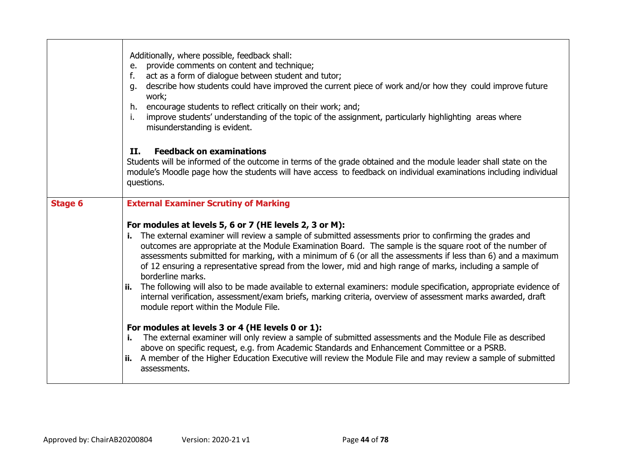|                | Additionally, where possible, feedback shall:<br>provide comments on content and technique;<br>e.<br>act as a form of dialogue between student and tutor;<br>f.<br>describe how students could have improved the current piece of work and/or how they could improve future<br>g.<br>work;<br>encourage students to reflect critically on their work; and;<br>h.<br>i.<br>improve students' understanding of the topic of the assignment, particularly highlighting areas where<br>misunderstanding is evident.<br><b>II.</b><br><b>Feedback on examinations</b><br>Students will be informed of the outcome in terms of the grade obtained and the module leader shall state on the<br>module's Moodle page how the students will have access to feedback on individual examinations including individual<br>questions. |  |
|----------------|--------------------------------------------------------------------------------------------------------------------------------------------------------------------------------------------------------------------------------------------------------------------------------------------------------------------------------------------------------------------------------------------------------------------------------------------------------------------------------------------------------------------------------------------------------------------------------------------------------------------------------------------------------------------------------------------------------------------------------------------------------------------------------------------------------------------------|--|
| <b>Stage 6</b> | <b>External Examiner Scrutiny of Marking</b><br>For modules at levels 5, 6 or 7 (HE levels 2, 3 or M):                                                                                                                                                                                                                                                                                                                                                                                                                                                                                                                                                                                                                                                                                                                   |  |
|                | The external examiner will review a sample of submitted assessments prior to confirming the grades and<br>i. I<br>outcomes are appropriate at the Module Examination Board. The sample is the square root of the number of<br>assessments submitted for marking, with a minimum of 6 (or all the assessments if less than 6) and a maximum<br>of 12 ensuring a representative spread from the lower, mid and high range of marks, including a sample of<br>borderline marks.                                                                                                                                                                                                                                                                                                                                             |  |
|                | ii. The following will also to be made available to external examiners: module specification, appropriate evidence of<br>internal verification, assessment/exam briefs, marking criteria, overview of assessment marks awarded, draft<br>module report within the Module File.                                                                                                                                                                                                                                                                                                                                                                                                                                                                                                                                           |  |
|                | For modules at levels 3 or 4 (HE levels 0 or 1):<br>The external examiner will only review a sample of submitted assessments and the Module File as described<br>i.<br>above on specific request, e.g. from Academic Standards and Enhancement Committee or a PSRB.<br>ii. A member of the Higher Education Executive will review the Module File and may review a sample of submitted                                                                                                                                                                                                                                                                                                                                                                                                                                   |  |
|                | assessments.                                                                                                                                                                                                                                                                                                                                                                                                                                                                                                                                                                                                                                                                                                                                                                                                             |  |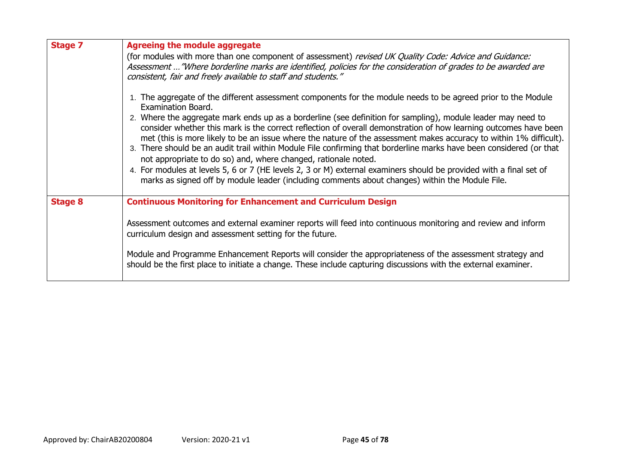| <b>Stage 7</b> | <b>Agreeing the module aggregate</b>                                                                                                                                                                                                                                                                                                                                                                                                                                                                                                                                                                                                                                                                                                                                                                                                                                                                            |
|----------------|-----------------------------------------------------------------------------------------------------------------------------------------------------------------------------------------------------------------------------------------------------------------------------------------------------------------------------------------------------------------------------------------------------------------------------------------------------------------------------------------------------------------------------------------------------------------------------------------------------------------------------------------------------------------------------------------------------------------------------------------------------------------------------------------------------------------------------------------------------------------------------------------------------------------|
|                | (for modules with more than one component of assessment) revised UK Quality Code: Advice and Guidance:<br>Assessment  "Where borderline marks are identified, policies for the consideration of grades to be awarded are<br>consistent, fair and freely available to staff and students."                                                                                                                                                                                                                                                                                                                                                                                                                                                                                                                                                                                                                       |
|                | 1. The aggregate of the different assessment components for the module needs to be agreed prior to the Module<br>Examination Board.<br>2. Where the aggregate mark ends up as a borderline (see definition for sampling), module leader may need to<br>consider whether this mark is the correct reflection of overall demonstration of how learning outcomes have been<br>met (this is more likely to be an issue where the nature of the assessment makes accuracy to within 1% difficult).<br>3. There should be an audit trail within Module File confirming that borderline marks have been considered (or that<br>not appropriate to do so) and, where changed, rationale noted.<br>4. For modules at levels 5, 6 or 7 (HE levels 2, 3 or M) external examiners should be provided with a final set of<br>marks as signed off by module leader (including comments about changes) within the Module File. |
| <b>Stage 8</b> | <b>Continuous Monitoring for Enhancement and Curriculum Design</b>                                                                                                                                                                                                                                                                                                                                                                                                                                                                                                                                                                                                                                                                                                                                                                                                                                              |
|                | Assessment outcomes and external examiner reports will feed into continuous monitoring and review and inform<br>curriculum design and assessment setting for the future.                                                                                                                                                                                                                                                                                                                                                                                                                                                                                                                                                                                                                                                                                                                                        |
|                | Module and Programme Enhancement Reports will consider the appropriateness of the assessment strategy and<br>should be the first place to initiate a change. These include capturing discussions with the external examiner.                                                                                                                                                                                                                                                                                                                                                                                                                                                                                                                                                                                                                                                                                    |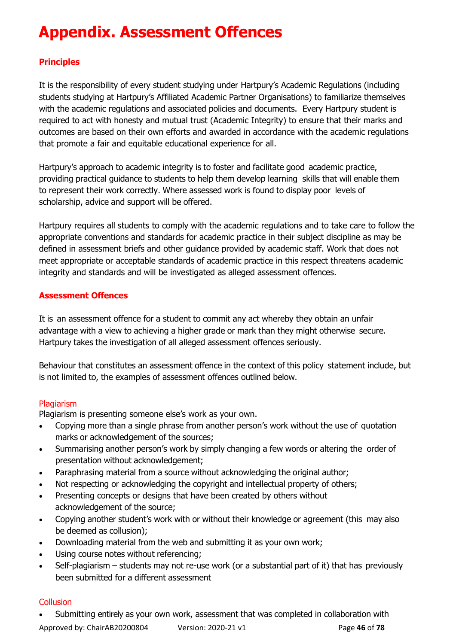# **Appendix. Assessment Offences**

#### **Principles**

It is the responsibility of every student studying under Hartpury's Academic Regulations (including students studying at Hartpury's Affiliated Academic Partner Organisations) to familiarize themselves with the academic regulations and associated policies and documents. Every Hartpury student is required to act with honesty and mutual trust (Academic Integrity) to ensure that their marks and outcomes are based on their own efforts and awarded in accordance with the academic regulations that promote a fair and equitable educational experience for all.

Hartpury's approach to academic integrity is to foster and facilitate good academic practice, providing practical guidance to students to help them develop learning skills that will enable them to represent their work correctly. Where assessed work is found to display poor levels of scholarship, advice and support will be offered.

Hartpury requires all students to comply with the academic regulations and to take care to follow the appropriate conventions and standards for academic practice in their subject discipline as may be defined in assessment briefs and other guidance provided by academic staff. Work that does not meet appropriate or acceptable standards of academic practice in this respect threatens academic integrity and standards and will be investigated as alleged assessment offences.

#### **Assessment Offences**

It is an assessment offence for a student to commit any act whereby they obtain an unfair advantage with a view to achieving a higher grade or mark than they might otherwise secure. Hartpury takes the investigation of all alleged assessment offences seriously.

Behaviour that constitutes an assessment offence in the context of this policy statement include, but is not limited to, the examples of assessment offences outlined below.

#### Plagiarism

Plagiarism is presenting someone else's work as your own.

- Copying more than a single phrase from another person's work without the use of quotation marks or acknowledgement of the sources;
- Summarising another person's work by simply changing a few words or altering the order of presentation without acknowledgement;
- Paraphrasing material from a source without acknowledging the original author;
- Not respecting or acknowledging the copyright and intellectual property of others;
- Presenting concepts or designs that have been created by others without acknowledgement of the source;
- Copying another student's work with or without their knowledge or agreement (this may also be deemed as collusion);
- Downloading material from the web and submitting it as your own work;
- Using course notes without referencing;
- Self-plagiarism students may not re-use work (or a substantial part of it) that has previously been submitted for a different assessment

#### **Collusion**

Approved by: ChairAB20200804 Version: 2020-21 v1 Page **46** of **78** • Submitting entirely as your own work, assessment that was completed in collaboration with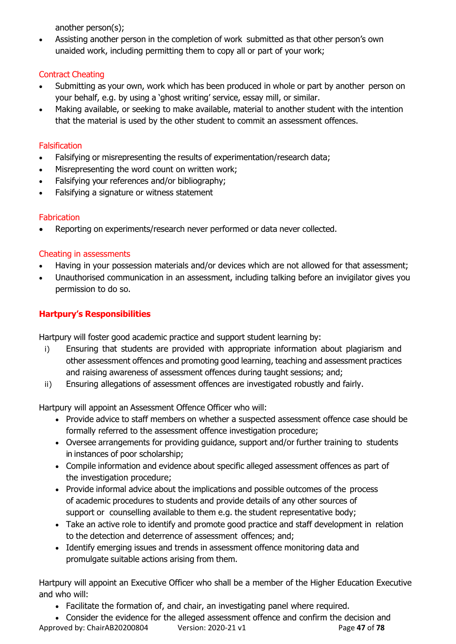another person(s);

• Assisting another person in the completion of work submitted as that other person's own unaided work, including permitting them to copy all or part of your work;

#### Contract Cheating

- Submitting as your own, work which has been produced in whole or part by another person on your behalf, e.g. by using a 'ghost writing' service, essay mill, or similar.
- Making available, or seeking to make available, material to another student with the intention that the material is used by the other student to commit an assessment offences.

#### **Falsification**

- Falsifying or misrepresenting the results of experimentation/research data;
- Misrepresenting the word count on written work;
- Falsifying your references and/or bibliography;
- Falsifying a signature or witness statement

#### **Fabrication**

Reporting on experiments/research never performed or data never collected.

#### Cheating in assessments

- Having in your possession materials and/or devices which are not allowed for that assessment;
- Unauthorised communication in an assessment, including talking before an invigilator gives you permission to do so.

#### **Hartpury's Responsibilities**

Hartpury will foster good academic practice and support student learning by:

- i) Ensuring that students are provided with appropriate information about plagiarism and other assessment offences and promoting good learning, teaching and assessment practices and raising awareness of assessment offences during taught sessions; and;
- ii) Ensuring allegations of assessment offences are investigated robustly and fairly.

Hartpury will appoint an Assessment Offence Officer who will:

- Provide advice to staff members on whether a suspected assessment offence case should be formally referred to the assessment offence investigation procedure;
- Oversee arrangements for providing guidance, support and/or further training to students in instances of poor scholarship;
- Compile information and evidence about specific alleged assessment offences as part of the investigation procedure;
- Provide informal advice about the implications and possible outcomes of the process of academic procedures to students and provide details of any other sources of support or counselling available to them e.g. the student representative body;
- Take an active role to identify and promote good practice and staff development in relation to the detection and deterrence of assessment offences; and;
- Identify emerging issues and trends in assessment offence monitoring data and promulgate suitable actions arising from them.

Hartpury will appoint an Executive Officer who shall be a member of the Higher Education Executive and who will:

• Facilitate the formation of, and chair, an investigating panel where required.

Approved by: ChairAB20200804 Version: 2020-21 v1 Page **47** of **78** • Consider the evidence for the alleged assessment offence and confirm the decision and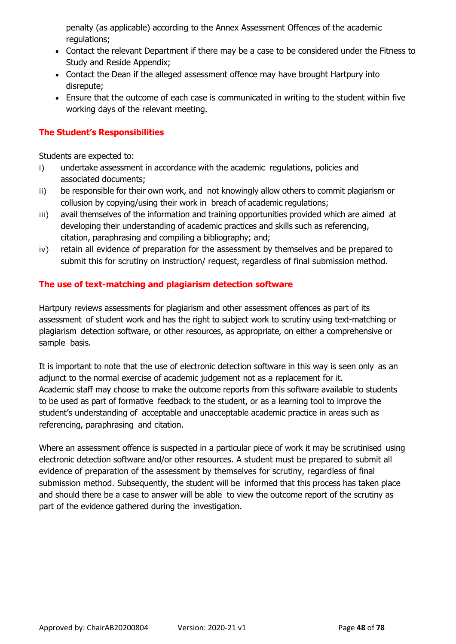penalty (as applicable) according to the Annex Assessment Offences of the academic regulations;

- Contact the relevant Department if there may be a case to be considered under the Fitness to Study and Reside Appendix;
- Contact the Dean if the alleged assessment offence may have brought Hartpury into disrepute;
- Ensure that the outcome of each case is communicated in writing to the student within five working days of the relevant meeting.

#### **The Student's Responsibilities**

Students are expected to:

- i) undertake assessment in accordance with the academic regulations, policies and associated documents;
- ii) be responsible for their own work, and not knowingly allow others to commit plagiarism or collusion by copying/using their work in breach of academic regulations;
- iii) avail themselves of the information and training opportunities provided which are aimed at developing their understanding of academic practices and skills such as referencing, citation, paraphrasing and compiling a bibliography; and;
- iv) retain all evidence of preparation for the assessment by themselves and be prepared to submit this for scrutiny on instruction/ request, regardless of final submission method.

#### **The use of text-matching and plagiarism detection software**

Hartpury reviews assessments for plagiarism and other assessment offences as part of its assessment of student work and has the right to subject work to scrutiny using text-matching or plagiarism detection software, or other resources, as appropriate, on either a comprehensive or sample basis.

It is important to note that the use of electronic detection software in this way is seen only as an adjunct to the normal exercise of academic judgement not as a replacement for it. Academic staff may choose to make the outcome reports from this software available to students to be used as part of formative feedback to the student, or as a learning tool to improve the student's understanding of acceptable and unacceptable academic practice in areas such as referencing, paraphrasing and citation.

Where an assessment offence is suspected in a particular piece of work it may be scrutinised using electronic detection software and/or other resources. A student must be prepared to submit all evidence of preparation of the assessment by themselves for scrutiny, regardless of final submission method. Subsequently, the student will be informed that this process has taken place and should there be a case to answer will be able to view the outcome report of the scrutiny as part of the evidence gathered during the investigation.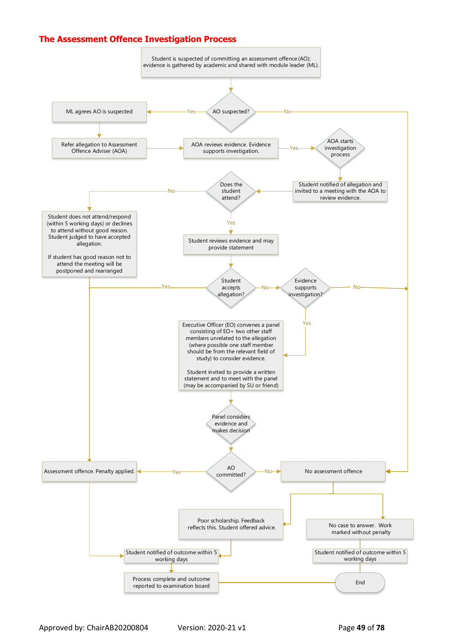#### **The Assessment Offence Investigation Process**



Approved by: ChairAB20200804 Version: 2020-21 v1 Page **49** of **78**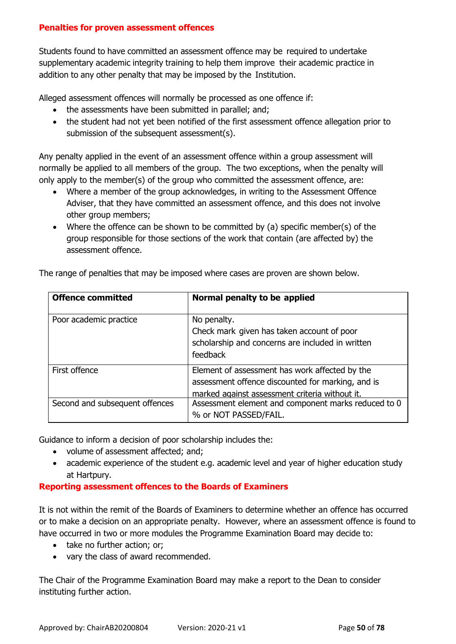#### **Penalties for proven assessment offences**

Students found to have committed an assessment offence may be required to undertake supplementary academic integrity training to help them improve their academic practice in addition to any other penalty that may be imposed by the Institution.

Alleged assessment offences will normally be processed as one offence if:

- the assessments have been submitted in parallel; and;
- the student had not yet been notified of the first assessment offence allegation prior to submission of the subsequent assessment(s).

Any penalty applied in the event of an assessment offence within a group assessment will normally be applied to all members of the group. The two exceptions, when the penalty will only apply to the member(s) of the group who committed the assessment offence, are:

- Where a member of the group acknowledges, in writing to the Assessment Offence Adviser, that they have committed an assessment offence, and this does not involve other group members;
- Where the offence can be shown to be committed by (a) specific member(s) of the group responsible for those sections of the work that contain (are affected by) the assessment offence.

| <b>Offence committed</b>       | Normal penalty to be applied                                                                                                                          |
|--------------------------------|-------------------------------------------------------------------------------------------------------------------------------------------------------|
| Poor academic practice         | No penalty.<br>Check mark given has taken account of poor<br>scholarship and concerns are included in written<br>feedback                             |
| First offence                  | Element of assessment has work affected by the<br>assessment offence discounted for marking, and is<br>marked against assessment criteria without it. |
| Second and subsequent offences | Assessment element and component marks reduced to 0<br>% or NOT PASSED/FAIL.                                                                          |

The range of penalties that may be imposed where cases are proven are shown below.

Guidance to inform a decision of poor scholarship includes the:

- volume of assessment affected; and;
- academic experience of the student e.g. academic level and year of higher education study at Hartpury.

#### **Reporting assessment offences to the Boards of Examiners**

It is not within the remit of the Boards of Examiners to determine whether an offence has occurred or to make a decision on an appropriate penalty. However, where an assessment offence is found to have occurred in two or more modules the Programme Examination Board may decide to:

- take no further action; or;
- vary the class of award recommended.

The Chair of the Programme Examination Board may make a report to the Dean to consider instituting further action.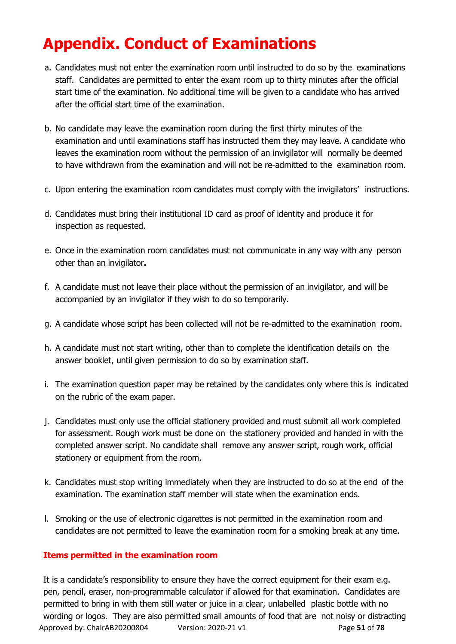# **Appendix. Conduct of Examinations**

- a. Candidates must not enter the examination room until instructed to do so by the examinations staff. Candidates are permitted to enter the exam room up to thirty minutes after the official start time of the examination. No additional time will be given to a candidate who has arrived after the official start time of the examination.
- b. No candidate may leave the examination room during the first thirty minutes of the examination and until examinations staff has instructed them they may leave. A candidate who leaves the examination room without the permission of an invigilator will normally be deemed to have withdrawn from the examination and will not be re-admitted to the examination room.
- c. Upon entering the examination room candidates must comply with the invigilators' instructions.
- d. Candidates must bring their institutional ID card as proof of identity and produce it for inspection as requested.
- e. Once in the examination room candidates must not communicate in any way with any person other than an invigilator**.**
- f. A candidate must not leave their place without the permission of an invigilator, and will be accompanied by an invigilator if they wish to do so temporarily.
- g. A candidate whose script has been collected will not be re-admitted to the examination room.
- h. A candidate must not start writing, other than to complete the identification details on the answer booklet, until given permission to do so by examination staff.
- i. The examination question paper may be retained by the candidates only where this is indicated on the rubric of the exam paper.
- j. Candidates must only use the official stationery provided and must submit all work completed for assessment. Rough work must be done on the stationery provided and handed in with the completed answer script. No candidate shall remove any answer script, rough work, official stationery or equipment from the room.
- k. Candidates must stop writing immediately when they are instructed to do so at the end of the examination. The examination staff member will state when the examination ends.
- l. Smoking or the use of electronic cigarettes is not permitted in the examination room and candidates are not permitted to leave the examination room for a smoking break at any time.

#### **Items permitted in the examination room**

Approved by: ChairAB20200804 Version: 2020-21 v1 Page **51** of **78** It is a candidate's responsibility to ensure they have the correct equipment for their exam e.g. pen, pencil, eraser, non-programmable calculator if allowed for that examination. Candidates are permitted to bring in with them still water or juice in a clear, unlabelled plastic bottle with no wording or logos. They are also permitted small amounts of food that are not noisy or distracting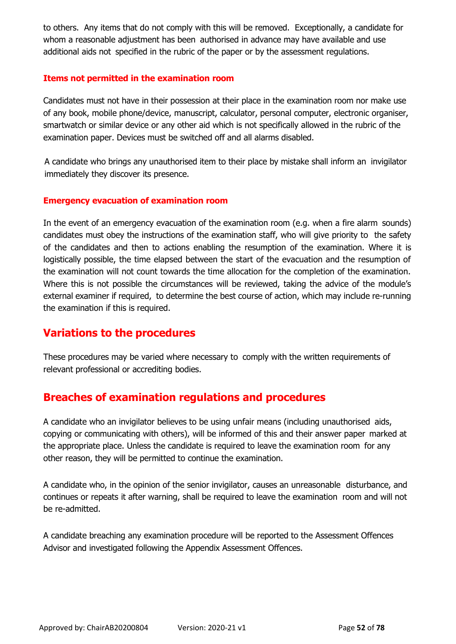to others. Any items that do not comply with this will be removed. Exceptionally, a candidate for whom a reasonable adjustment has been authorised in advance may have available and use additional aids not specified in the rubric of the paper or by the assessment regulations.

#### **Items not permitted in the examination room**

Candidates must not have in their possession at their place in the examination room nor make use of any book, mobile phone/device, manuscript, calculator, personal computer, electronic organiser, smartwatch or similar device or any other aid which is not specifically allowed in the rubric of the examination paper. Devices must be switched off and all alarms disabled.

A candidate who brings any unauthorised item to their place by mistake shall inform an invigilator immediately they discover its presence.

#### **Emergency evacuation of examination room**

In the event of an emergency evacuation of the examination room (e.g. when a fire alarm sounds) candidates must obey the instructions of the examination staff, who will give priority to the safety of the candidates and then to actions enabling the resumption of the examination. Where it is logistically possible, the time elapsed between the start of the evacuation and the resumption of the examination will not count towards the time allocation for the completion of the examination. Where this is not possible the circumstances will be reviewed, taking the advice of the module's external examiner if required, to determine the best course of action, which may include re-running the examination if this is required.

### **Variations to the procedures**

These procedures may be varied where necessary to comply with the written requirements of relevant professional or accrediting bodies.

### **Breaches of examination regulations and procedures**

A candidate who an invigilator believes to be using unfair means (including unauthorised aids, copying or communicating with others), will be informed of this and their answer paper marked at the appropriate place. Unless the candidate is required to leave the examination room for any other reason, they will be permitted to continue the examination.

A candidate who, in the opinion of the senior invigilator, causes an unreasonable disturbance, and continues or repeats it after warning, shall be required to leave the examination room and will not be re-admitted.

A candidate breaching any examination procedure will be reported to the Assessment Offences Advisor and investigated following the Appendix Assessment Offences.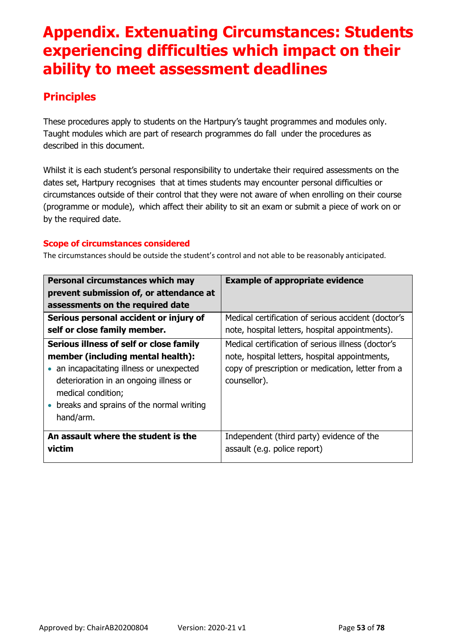# **Appendix. Extenuating Circumstances: Students experiencing difficulties which impact on their ability to meet assessment deadlines**

## **Principles**

These procedures apply to students on the Hartpury's taught programmes and modules only. Taught modules which are part of research programmes do fall under the procedures as described in this document.

Whilst it is each student's personal responsibility to undertake their required assessments on the dates set, Hartpury recognises that at times students may encounter personal difficulties or circumstances outside of their control that they were not aware of when enrolling on their course (programme or module), which affect their ability to sit an exam or submit a piece of work on or by the required date.

#### **Scope of circumstances considered**

The circumstances should be outside the student's control and not able to be reasonably anticipated.

| Personal circumstances which may                                                                          | <b>Example of appropriate evidence</b>                            |
|-----------------------------------------------------------------------------------------------------------|-------------------------------------------------------------------|
| prevent submission of, or attendance at                                                                   |                                                                   |
| assessments on the required date                                                                          |                                                                   |
| Serious personal accident or injury of                                                                    | Medical certification of serious accident (doctor's               |
| self or close family member.                                                                              | note, hospital letters, hospital appointments).                   |
| Serious illness of self or close family                                                                   | Medical certification of serious illness (doctor's                |
| member (including mental health):                                                                         | note, hospital letters, hospital appointments,                    |
| • an incapacitating illness or unexpected<br>deterioration in an ongoing illness or<br>medical condition; | copy of prescription or medication, letter from a<br>counsellor). |
| breaks and sprains of the normal writing<br>hand/arm.                                                     |                                                                   |
| An assault where the student is the                                                                       | Independent (third party) evidence of the                         |
| victim                                                                                                    | assault (e.g. police report)                                      |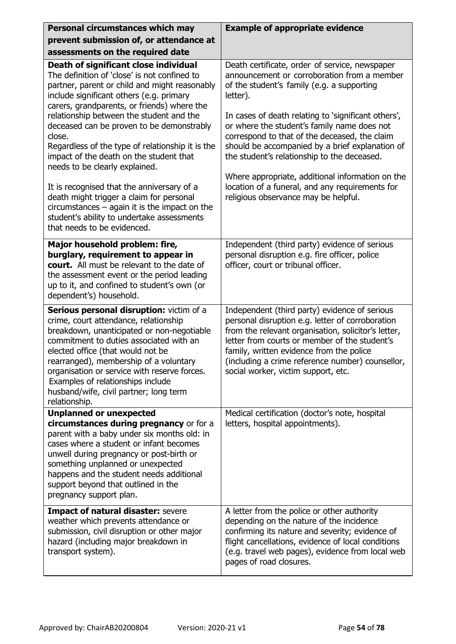| Personal circumstances which may                                                                                                                                                                                                                                                                                                                                                                                                                                      | <b>Example of appropriate evidence</b>                                                                                                                                                                                                                                                                                                                                                                                                                               |
|-----------------------------------------------------------------------------------------------------------------------------------------------------------------------------------------------------------------------------------------------------------------------------------------------------------------------------------------------------------------------------------------------------------------------------------------------------------------------|----------------------------------------------------------------------------------------------------------------------------------------------------------------------------------------------------------------------------------------------------------------------------------------------------------------------------------------------------------------------------------------------------------------------------------------------------------------------|
| prevent submission of, or attendance at                                                                                                                                                                                                                                                                                                                                                                                                                               |                                                                                                                                                                                                                                                                                                                                                                                                                                                                      |
| assessments on the required date                                                                                                                                                                                                                                                                                                                                                                                                                                      |                                                                                                                                                                                                                                                                                                                                                                                                                                                                      |
| Death of significant close individual<br>The definition of 'close' is not confined to<br>partner, parent or child and might reasonably<br>include significant others (e.g. primary<br>carers, grandparents, or friends) where the<br>relationship between the student and the<br>deceased can be proven to be demonstrably<br>close.<br>Regardless of the type of relationship it is the<br>impact of the death on the student that<br>needs to be clearly explained. | Death certificate, order of service, newspaper<br>announcement or corroboration from a member<br>of the student's family (e.g. a supporting<br>letter).<br>In cases of death relating to 'significant others',<br>or where the student's family name does not<br>correspond to that of the deceased, the claim<br>should be accompanied by a brief explanation of<br>the student's relationship to the deceased.<br>Where appropriate, additional information on the |
| It is recognised that the anniversary of a<br>death might trigger a claim for personal<br>$circumstances - again$ it is the impact on the<br>student's ability to undertake assessments<br>that needs to be evidenced.                                                                                                                                                                                                                                                | location of a funeral, and any requirements for<br>religious observance may be helpful.                                                                                                                                                                                                                                                                                                                                                                              |
| Major household problem: fire,<br>burglary, requirement to appear in<br>court. All must be relevant to the date of<br>the assessment event or the period leading<br>up to it, and confined to student's own (or<br>dependent's) household.                                                                                                                                                                                                                            | Independent (third party) evidence of serious<br>personal disruption e.g. fire officer, police<br>officer, court or tribunal officer.                                                                                                                                                                                                                                                                                                                                |
| Serious personal disruption: victim of a<br>crime, court attendance, relationship<br>breakdown, unanticipated or non-negotiable<br>commitment to duties associated with an<br>elected office (that would not be<br>rearranged), membership of a voluntary<br>organisation or service with reserve forces.<br>Examples of relationships include<br>husband/wife, civil partner; long term<br>relationship.                                                             | Independent (third party) evidence of serious<br>personal disruption e.g. letter of corroboration<br>from the relevant organisation, solicitor's letter,<br>letter from courts or member of the student's<br>family, written evidence from the police<br>(including a crime reference number) counsellor,<br>social worker, victim support, etc.                                                                                                                     |
| <b>Unplanned or unexpected</b><br>circumstances during pregnancy or for a<br>parent with a baby under six months old: in<br>cases where a student or infant becomes<br>unwell during pregnancy or post-birth or<br>something unplanned or unexpected<br>happens and the student needs additional<br>support beyond that outlined in the<br>pregnancy support plan.                                                                                                    | Medical certification (doctor's note, hospital<br>letters, hospital appointments).                                                                                                                                                                                                                                                                                                                                                                                   |
| <b>Impact of natural disaster: severe</b><br>weather which prevents attendance or<br>submission, civil disruption or other major<br>hazard (including major breakdown in<br>transport system).                                                                                                                                                                                                                                                                        | A letter from the police or other authority<br>depending on the nature of the incidence<br>confirming its nature and severity; evidence of<br>flight cancellations, evidence of local conditions<br>(e.g. travel web pages), evidence from local web<br>pages of road closures.                                                                                                                                                                                      |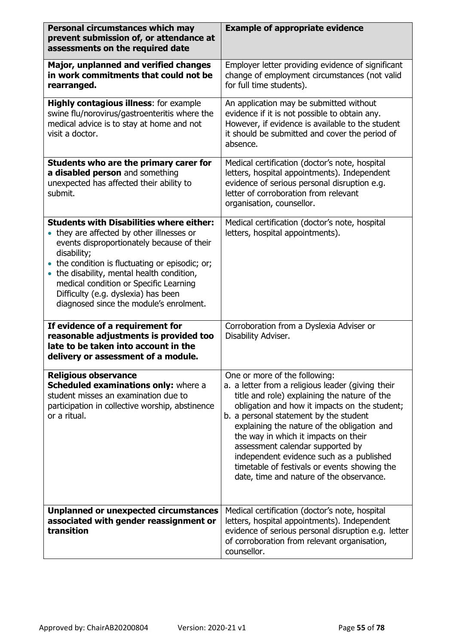| Personal circumstances which may<br>prevent submission of, or attendance at<br>assessments on the required date                                                                                                                                                                                                                                                                      | <b>Example of appropriate evidence</b>                                                                                                                                                                                                                                                                                                                                                                                                                                                           |
|--------------------------------------------------------------------------------------------------------------------------------------------------------------------------------------------------------------------------------------------------------------------------------------------------------------------------------------------------------------------------------------|--------------------------------------------------------------------------------------------------------------------------------------------------------------------------------------------------------------------------------------------------------------------------------------------------------------------------------------------------------------------------------------------------------------------------------------------------------------------------------------------------|
| Major, unplanned and verified changes<br>in work commitments that could not be<br>rearranged.                                                                                                                                                                                                                                                                                        | Employer letter providing evidence of significant<br>change of employment circumstances (not valid<br>for full time students).                                                                                                                                                                                                                                                                                                                                                                   |
| <b>Highly contagious illness:</b> for example<br>swine flu/norovirus/gastroenteritis where the<br>medical advice is to stay at home and not<br>visit a doctor.                                                                                                                                                                                                                       | An application may be submitted without<br>evidence if it is not possible to obtain any.<br>However, if evidence is available to the student<br>it should be submitted and cover the period of<br>absence.                                                                                                                                                                                                                                                                                       |
| Students who are the primary carer for<br>a disabled person and something<br>unexpected has affected their ability to<br>submit.                                                                                                                                                                                                                                                     | Medical certification (doctor's note, hospital<br>letters, hospital appointments). Independent<br>evidence of serious personal disruption e.g.<br>letter of corroboration from relevant<br>organisation, counsellor.                                                                                                                                                                                                                                                                             |
| <b>Students with Disabilities where either:</b><br>• they are affected by other illnesses or<br>events disproportionately because of their<br>disability;<br>• the condition is fluctuating or episodic; or;<br>the disability, mental health condition,<br>medical condition or Specific Learning<br>Difficulty (e.g. dyslexia) has been<br>diagnosed since the module's enrolment. | Medical certification (doctor's note, hospital<br>letters, hospital appointments).                                                                                                                                                                                                                                                                                                                                                                                                               |
| If evidence of a requirement for<br>reasonable adjustments is provided too<br>late to be taken into account in the<br>delivery or assessment of a module.                                                                                                                                                                                                                            | Corroboration from a Dyslexia Adviser or<br>Disability Adviser.                                                                                                                                                                                                                                                                                                                                                                                                                                  |
| <b>Religious observance</b><br>Scheduled examinations only: where a<br>student misses an examination due to<br>participation in collective worship, abstinence<br>or a ritual.                                                                                                                                                                                                       | One or more of the following:<br>a. a letter from a religious leader (giving their<br>title and role) explaining the nature of the<br>obligation and how it impacts on the student;<br>b. a personal statement by the student<br>explaining the nature of the obligation and<br>the way in which it impacts on their<br>assessment calendar supported by<br>independent evidence such as a published<br>timetable of festivals or events showing the<br>date, time and nature of the observance. |
| <b>Unplanned or unexpected circumstances</b><br>associated with gender reassignment or<br>transition                                                                                                                                                                                                                                                                                 | Medical certification (doctor's note, hospital<br>letters, hospital appointments). Independent<br>evidence of serious personal disruption e.g. letter<br>of corroboration from relevant organisation,<br>counsellor.                                                                                                                                                                                                                                                                             |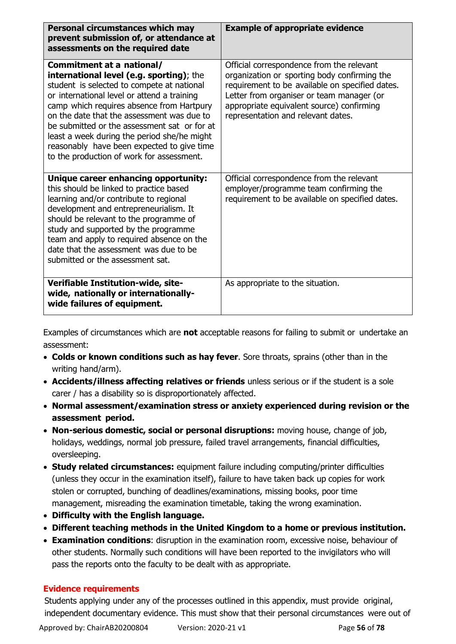| Personal circumstances which may<br>prevent submission of, or attendance at<br>assessments on the required date                                                                                                                                                                                                                                                                                                                                         | <b>Example of appropriate evidence</b>                                                                                                                                                                                                                                       |
|---------------------------------------------------------------------------------------------------------------------------------------------------------------------------------------------------------------------------------------------------------------------------------------------------------------------------------------------------------------------------------------------------------------------------------------------------------|------------------------------------------------------------------------------------------------------------------------------------------------------------------------------------------------------------------------------------------------------------------------------|
| Commitment at a national/<br>international level (e.g. sporting); the<br>student is selected to compete at national<br>or international level or attend a training<br>camp which requires absence from Hartpury<br>on the date that the assessment was due to<br>be submitted or the assessment sat or for at<br>least a week during the period she/he might<br>reasonably have been expected to give time<br>to the production of work for assessment. | Official correspondence from the relevant<br>organization or sporting body confirming the<br>requirement to be available on specified dates.<br>Letter from organiser or team manager (or<br>appropriate equivalent source) confirming<br>representation and relevant dates. |
| Unique career enhancing opportunity:<br>this should be linked to practice based<br>learning and/or contribute to regional<br>development and entrepreneurialism. It<br>should be relevant to the programme of<br>study and supported by the programme<br>team and apply to required absence on the<br>date that the assessment was due to be<br>submitted or the assessment sat.                                                                        | Official correspondence from the relevant<br>employer/programme team confirming the<br>requirement to be available on specified dates.                                                                                                                                       |
| Verifiable Institution-wide, site-<br>wide, nationally or internationally-<br>wide failures of equipment.                                                                                                                                                                                                                                                                                                                                               | As appropriate to the situation.                                                                                                                                                                                                                                             |

Examples of circumstances which are **not** acceptable reasons for failing to submit or undertake an assessment:

- **Colds or known conditions such as hay fever**. Sore throats, sprains (other than in the writing hand/arm).
- **Accidents/illness affecting relatives or friends** unless serious or if the student is a sole carer / has a disability so is disproportionately affected.
- **Normal assessment/examination stress or anxiety experienced during revision or the assessment period.**
- **Non-serious domestic, social or personal disruptions:** moving house, change of job, holidays, weddings, normal job pressure, failed travel arrangements, financial difficulties, oversleeping.
- **Study related circumstances:** equipment failure including computing/printer difficulties (unless they occur in the examination itself), failure to have taken back up copies for work stolen or corrupted, bunching of deadlines/examinations, missing books, poor time management, misreading the examination timetable, taking the wrong examination.
- **Difficulty with the English language.**
- **Different teaching methods in the United Kingdom to a home or previous institution.**
- **Examination conditions**: disruption in the examination room, excessive noise, behaviour of other students. Normally such conditions will have been reported to the invigilators who will pass the reports onto the faculty to be dealt with as appropriate.

#### **Evidence requirements**

Students applying under any of the processes outlined in this appendix, must provide original, independent documentary evidence. This must show that their personal circumstances were out of

Approved by: ChairAB20200804 Version: 2020-21 v1 Page **56** of **78**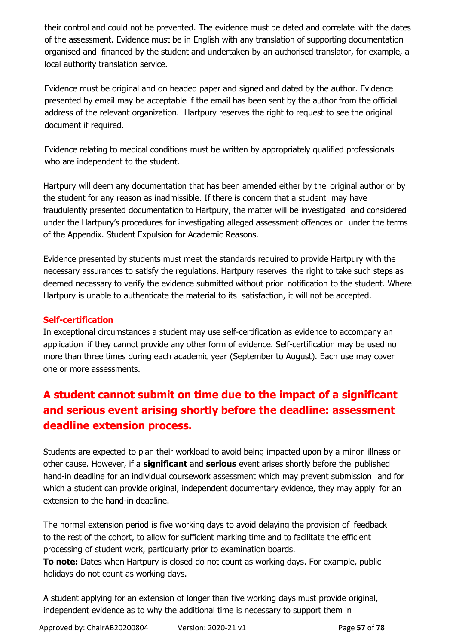their control and could not be prevented. The evidence must be dated and correlate with the dates of the assessment. Evidence must be in English with any translation of supporting documentation organised and financed by the student and undertaken by an authorised translator, for example, a local authority translation service.

Evidence must be original and on headed paper and signed and dated by the author. Evidence presented by email may be acceptable if the email has been sent by the author from the official address of the relevant organization. Hartpury reserves the right to request to see the original document if required.

Evidence relating to medical conditions must be written by appropriately qualified professionals who are independent to the student.

Hartpury will deem any documentation that has been amended either by the original author or by the student for any reason as inadmissible. If there is concern that a student may have fraudulently presented documentation to Hartpury, the matter will be investigated and considered under the Hartpury's procedures for investigating alleged assessment offences or under the terms of the Appendix. Student Expulsion for Academic Reasons.

Evidence presented by students must meet the standards required to provide Hartpury with the necessary assurances to satisfy the regulations. Hartpury reserves the right to take such steps as deemed necessary to verify the evidence submitted without prior notification to the student. Where Hartpury is unable to authenticate the material to its satisfaction, it will not be accepted.

#### **Self-certification**

In exceptional circumstances a student may use self-certification as evidence to accompany an application if they cannot provide any other form of evidence. Self-certification may be used no more than three times during each academic year (September to August). Each use may cover one or more assessments.

## **A student cannot submit on time due to the impact of a significant and serious event arising shortly before the deadline: assessment deadline extension process.**

Students are expected to plan their workload to avoid being impacted upon by a minor illness or other cause. However, if a **significant** and **serious** event arises shortly before the published hand-in deadline for an individual coursework assessment which may prevent submission and for which a student can provide original, independent documentary evidence, they may apply for an extension to the hand-in deadline.

The normal extension period is five working days to avoid delaying the provision of feedback to the rest of the cohort, to allow for sufficient marking time and to facilitate the efficient processing of student work, particularly prior to examination boards.

**To note:** Dates when Hartpury is closed do not count as working days. For example, public holidays do not count as working days.

A student applying for an extension of longer than five working days must provide original, independent evidence as to why the additional time is necessary to support them in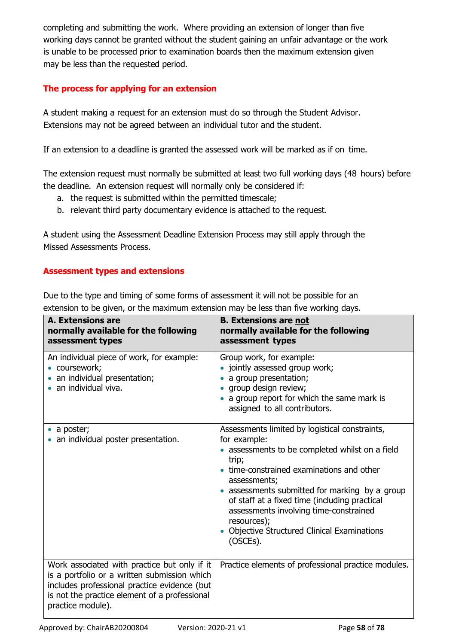completing and submitting the work. Where providing an extension of longer than five working days cannot be granted without the student gaining an unfair advantage or the work is unable to be processed prior to examination boards then the maximum extension given may be less than the requested period.

#### **The process for applying for an extension**

A student making a request for an extension must do so through the Student Advisor. Extensions may not be agreed between an individual tutor and the student.

If an extension to a deadline is granted the assessed work will be marked as if on time.

The extension request must normally be submitted at least two full working days (48 hours) before the deadline. An extension request will normally only be considered if:

- a. the request is submitted within the permitted timescale;
- b. relevant third party documentary evidence is attached to the request.

A student using the Assessment Deadline Extension Process may still apply through the Missed Assessments Process.

#### **Assessment types and extensions**

Due to the type and timing of some forms of assessment it will not be possible for an extension to be given, or the maximum extension may be less than five working days.

| <b>A. Extensions are</b><br>normally available for the following<br>assessment types                                                                                                                               | <b>B. Extensions are not</b><br>normally available for the following<br>assessment types                                                                                                                                                                                                                                                                                                                             |
|--------------------------------------------------------------------------------------------------------------------------------------------------------------------------------------------------------------------|----------------------------------------------------------------------------------------------------------------------------------------------------------------------------------------------------------------------------------------------------------------------------------------------------------------------------------------------------------------------------------------------------------------------|
| An individual piece of work, for example:<br>coursework;<br>an individual presentation;<br>an individual viva.                                                                                                     | Group work, for example:<br>• jointly assessed group work;<br>a group presentation;<br>• group design review;<br>• a group report for which the same mark is<br>assigned to all contributors.                                                                                                                                                                                                                        |
| a poster;<br>an individual poster presentation.                                                                                                                                                                    | Assessments limited by logistical constraints,<br>for example:<br>• assessments to be completed whilst on a field<br>trip;<br>• time-constrained examinations and other<br>assessments;<br>• assessments submitted for marking by a group<br>of staff at a fixed time (including practical<br>assessments involving time-constrained<br>resources);<br><b>Objective Structured Clinical Examinations</b><br>(OSCEs). |
| Work associated with practice but only if it<br>is a portfolio or a written submission which<br>includes professional practice evidence (but<br>is not the practice element of a professional<br>practice module). | Practice elements of professional practice modules.                                                                                                                                                                                                                                                                                                                                                                  |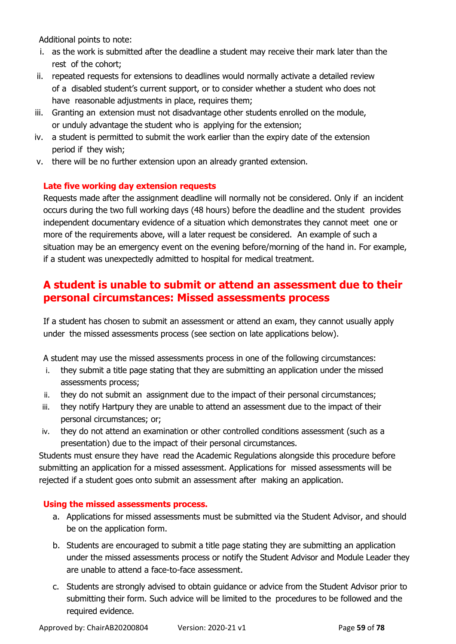Additional points to note:

- i. as the work is submitted after the deadline a student may receive their mark later than the rest of the cohort;
- ii. repeated requests for extensions to deadlines would normally activate a detailed review of a disabled student's current support, or to consider whether a student who does not have reasonable adjustments in place, requires them;
- iii. Granting an extension must not disadvantage other students enrolled on the module, or unduly advantage the student who is applying for the extension;
- iv. a student is permitted to submit the work earlier than the expiry date of the extension period if they wish;
- v. there will be no further extension upon an already granted extension.

#### **Late five working day extension requests**

Requests made after the assignment deadline will normally not be considered. Only if an incident occurs during the two full working days (48 hours) before the deadline and the student provides independent documentary evidence of a situation which demonstrates they cannot meet one or more of the requirements above, will a later request be considered. An example of such a situation may be an emergency event on the evening before/morning of the hand in. For example, if a student was unexpectedly admitted to hospital for medical treatment.

## **A student is unable to submit or attend an assessment due to their personal circumstances: Missed assessments process**

If a student has chosen to submit an assessment or attend an exam, they cannot usually apply under the missed assessments process (see section on late applications below).

A student may use the missed assessments process in one of the following circumstances:

- i. they submit a title page stating that they are submitting an application under the missed assessments process;
- ii. they do not submit an assignment due to the impact of their personal circumstances;
- iii. they notify Hartpury they are unable to attend an assessment due to the impact of their personal circumstances; or;
- iv. they do not attend an examination or other controlled conditions assessment (such as a presentation) due to the impact of their personal circumstances.

Students must ensure they have read the Academic Regulations alongside this procedure before submitting an application for a missed assessment. Applications for missed assessments will be rejected if a student goes onto submit an assessment after making an application.

#### **Using the missed assessments process.**

- a. Applications for missed assessments must be submitted via the Student Advisor, and should be on the application form.
- b. Students are encouraged to submit a title page stating they are submitting an application under the missed assessments process or notify the Student Advisor and Module Leader they are unable to attend a face-to-face assessment.
- c. Students are strongly advised to obtain guidance or advice from the Student Advisor prior to submitting their form. Such advice will be limited to the procedures to be followed and the required evidence.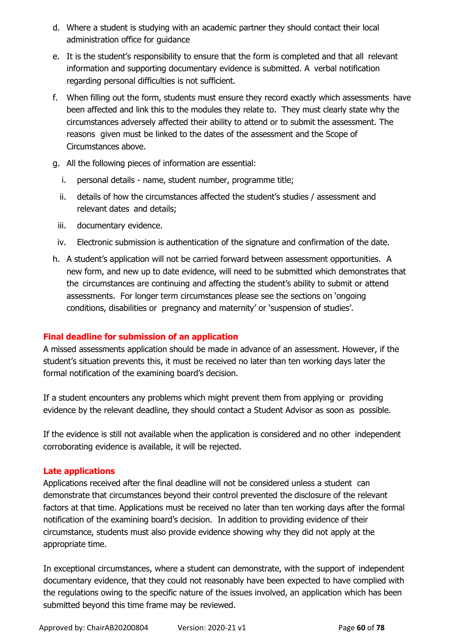- d. Where a student is studying with an academic partner they should contact their local administration office for guidance
- e. It is the student's responsibility to ensure that the form is completed and that all relevant information and supporting documentary evidence is submitted. A verbal notification regarding personal difficulties is not sufficient.
- f. When filling out the form, students must ensure they record exactly which assessments have been affected and link this to the modules they relate to. They must clearly state why the circumstances adversely affected their ability to attend or to submit the assessment. The reasons given must be linked to the dates of the assessment and the Scope of Circumstances above.
- g. All the following pieces of information are essential:
	- i. personal details name, student number, programme title;
	- ii. details of how the circumstances affected the student's studies / assessment and relevant dates and details;
	- iii. documentary evidence.
- iv. Electronic submission is authentication of the signature and confirmation of the date.
- h. A student's application will not be carried forward between assessment opportunities. A new form, and new up to date evidence, will need to be submitted which demonstrates that the circumstances are continuing and affecting the student's ability to submit or attend assessments. For longer term circumstances please see the sections on 'ongoing conditions, disabilities or pregnancy and maternity' or 'suspension of studies'.

#### **Final deadline for submission of an application**

A missed assessments application should be made in advance of an assessment. However, if the student's situation prevents this, it must be received no later than ten working days later the formal notification of the examining board's decision.

If a student encounters any problems which might prevent them from applying or providing evidence by the relevant deadline, they should contact a Student Advisor as soon as possible.

If the evidence is still not available when the application is considered and no other independent corroborating evidence is available, it will be rejected.

#### **Late applications**

Applications received after the final deadline will not be considered unless a student can demonstrate that circumstances beyond their control prevented the disclosure of the relevant factors at that time. Applications must be received no later than ten working days after the formal notification of the examining board's decision. In addition to providing evidence of their circumstance, students must also provide evidence showing why they did not apply at the appropriate time.

In exceptional circumstances, where a student can demonstrate, with the support of independent documentary evidence, that they could not reasonably have been expected to have complied with the regulations owing to the specific nature of the issues involved, an application which has been submitted beyond this time frame may be reviewed.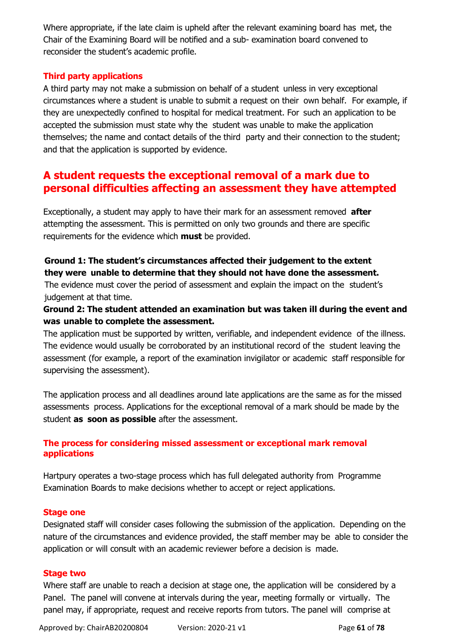Where appropriate, if the late claim is upheld after the relevant examining board has met, the Chair of the Examining Board will be notified and a sub- examination board convened to reconsider the student's academic profile.

#### **Third party applications**

A third party may not make a submission on behalf of a student unless in very exceptional circumstances where a student is unable to submit a request on their own behalf. For example, if they are unexpectedly confined to hospital for medical treatment. For such an application to be accepted the submission must state why the student was unable to make the application themselves; the name and contact details of the third party and their connection to the student; and that the application is supported by evidence.

## **A student requests the exceptional removal of a mark due to personal difficulties affecting an assessment they have attempted**

Exceptionally, a student may apply to have their mark for an assessment removed **after** attempting the assessment. This is permitted on only two grounds and there are specific requirements for the evidence which **must** be provided.

#### **Ground 1: The student's circumstances affected their judgement to the extent they were unable to determine that they should not have done the assessment.**

The evidence must cover the period of assessment and explain the impact on the student's judgement at that time.

#### **Ground 2: The student attended an examination but was taken ill during the event and was unable to complete the assessment.**

The application must be supported by written, verifiable, and independent evidence of the illness. The evidence would usually be corroborated by an institutional record of the student leaving the assessment (for example, a report of the examination invigilator or academic staff responsible for supervising the assessment).

The application process and all deadlines around late applications are the same as for the missed assessments process. Applications for the exceptional removal of a mark should be made by the student **as soon as possible** after the assessment.

#### **The process for considering missed assessment or exceptional mark removal applications**

Hartpury operates a two-stage process which has full delegated authority from Programme Examination Boards to make decisions whether to accept or reject applications.

#### **Stage one**

Designated staff will consider cases following the submission of the application. Depending on the nature of the circumstances and evidence provided, the staff member may be able to consider the application or will consult with an academic reviewer before a decision is made.

#### **Stage two**

Where staff are unable to reach a decision at stage one, the application will be considered by a Panel. The panel will convene at intervals during the year, meeting formally or virtually. The panel may, if appropriate, request and receive reports from tutors. The panel will comprise at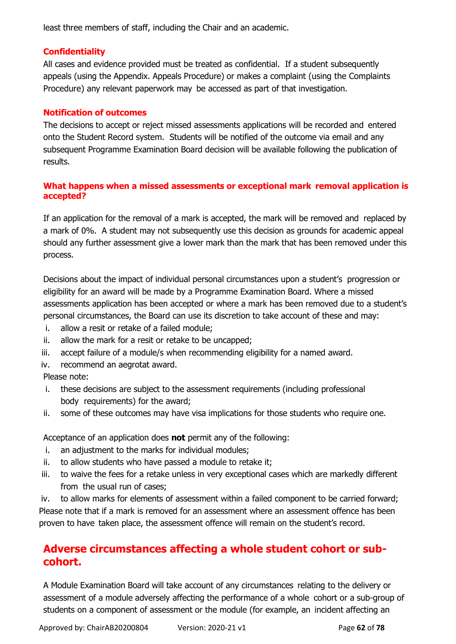least three members of staff, including the Chair and an academic.

#### **Confidentiality**

All cases and evidence provided must be treated as confidential. If a student subsequently appeals (using the Appendix. Appeals Procedure) or makes a complaint (using the Complaints Procedure) any relevant paperwork may be accessed as part of that investigation.

#### **Notification of outcomes**

The decisions to accept or reject missed assessments applications will be recorded and entered onto the Student Record system. Students will be notified of the outcome via email and any subsequent Programme Examination Board decision will be available following the publication of results.

#### **What happens when a missed assessments or exceptional mark removal application is accepted?**

If an application for the removal of a mark is accepted, the mark will be removed and replaced by a mark of 0%. A student may not subsequently use this decision as grounds for academic appeal should any further assessment give a lower mark than the mark that has been removed under this process.

Decisions about the impact of individual personal circumstances upon a student's progression or eligibility for an award will be made by a Programme Examination Board. Where a missed assessments application has been accepted or where a mark has been removed due to a student's personal circumstances, the Board can use its discretion to take account of these and may:

- i. allow a resit or retake of a failed module;
- ii. allow the mark for a resit or retake to be uncapped;
- iii. accept failure of a module/s when recommending eligibility for a named award.
- iv. recommend an aegrotat award.

Please note:

- i. these decisions are subject to the assessment requirements (including professional body requirements) for the award;
- ii. some of these outcomes may have visa implications for those students who require one.

Acceptance of an application does **not** permit any of the following:

- i. an adjustment to the marks for individual modules;
- ii. to allow students who have passed a module to retake it;
- iii. to waive the fees for a retake unless in very exceptional cases which are markedly different from the usual run of cases;

iv. to allow marks for elements of assessment within a failed component to be carried forward; Please note that if a mark is removed for an assessment where an assessment offence has been proven to have taken place, the assessment offence will remain on the student's record.

## **Adverse circumstances affecting a whole student cohort or subcohort.**

A Module Examination Board will take account of any circumstances relating to the delivery or assessment of a module adversely affecting the performance of a whole cohort or a sub-group of students on a component of assessment or the module (for example, an incident affecting an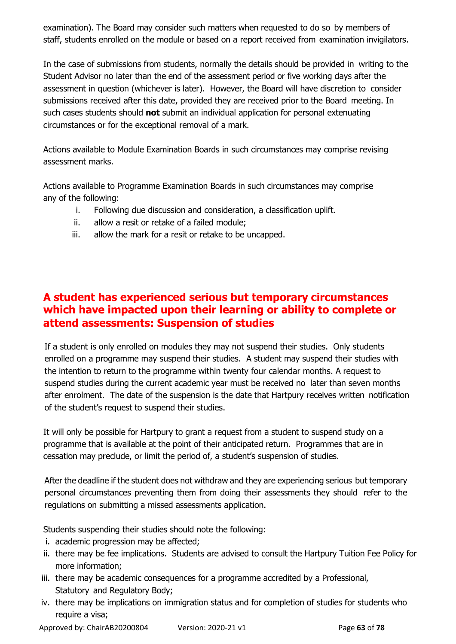examination). The Board may consider such matters when requested to do so by members of staff, students enrolled on the module or based on a report received from examination invigilators.

In the case of submissions from students, normally the details should be provided in writing to the Student Advisor no later than the end of the assessment period or five working days after the assessment in question (whichever is later). However, the Board will have discretion to consider submissions received after this date, provided they are received prior to the Board meeting. In such cases students should **not** submit an individual application for personal extenuating circumstances or for the exceptional removal of a mark.

Actions available to Module Examination Boards in such circumstances may comprise revising assessment marks.

Actions available to Programme Examination Boards in such circumstances may comprise any of the following:

- i. Following due discussion and consideration, a classification uplift.
- ii. allow a resit or retake of a failed module;
- iii. allow the mark for a resit or retake to be uncapped.

## **A student has experienced serious but temporary circumstances which have impacted upon their learning or ability to complete or attend assessments: Suspension of studies**

If a student is only enrolled on modules they may not suspend their studies. Only students enrolled on a programme may suspend their studies. A student may suspend their studies with the intention to return to the programme within twenty four calendar months. A request to suspend studies during the current academic year must be received no later than seven months after enrolment. The date of the suspension is the date that Hartpury receives written notification of the student's request to suspend their studies.

It will only be possible for Hartpury to grant a request from a student to suspend study on a programme that is available at the point of their anticipated return. Programmes that are in cessation may preclude, or limit the period of, a student's suspension of studies.

After the deadline if the student does not withdraw and they are experiencing serious but temporary personal circumstances preventing them from doing their assessments they should refer to the regulations on submitting a missed assessments application.

Students suspending their studies should note the following:

- i. academic progression may be affected;
- ii. there may be fee implications. Students are advised to consult the Hartpury Tuition Fee Policy for more information;
- iii. there may be academic consequences for a programme accredited by a Professional, Statutory and Regulatory Body;
- iv. there may be implications on immigration status and for completion of studies for students who require a visa;

Approved by: ChairAB20200804 Version: 2020-21 v1 Page **63** of **78**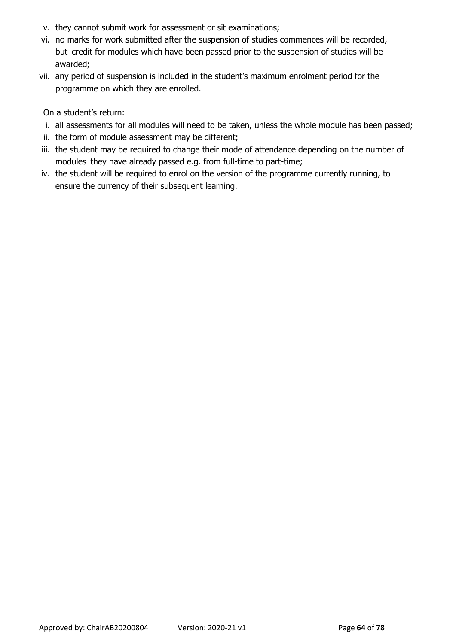- v. they cannot submit work for assessment or sit examinations;
- vi. no marks for work submitted after the suspension of studies commences will be recorded, but credit for modules which have been passed prior to the suspension of studies will be awarded;
- vii. any period of suspension is included in the student's maximum enrolment period for the programme on which they are enrolled.

On a student's return:

- i. all assessments for all modules will need to be taken, unless the whole module has been passed;
- ii. the form of module assessment may be different;
- iii. the student may be required to change their mode of attendance depending on the number of modules they have already passed e.g. from full-time to part-time;
- iv. the student will be required to enrol on the version of the programme currently running, to ensure the currency of their subsequent learning.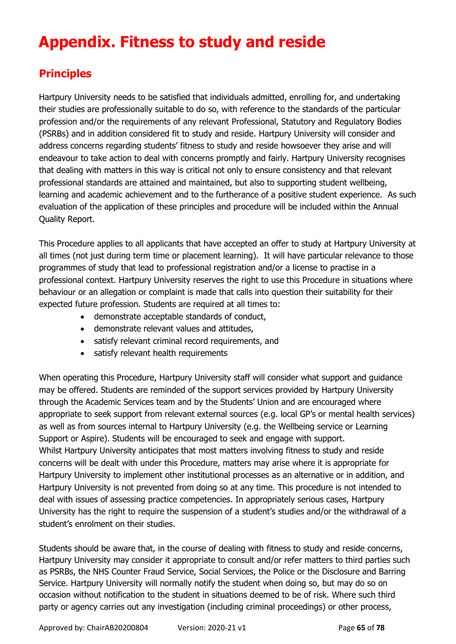# **Appendix. Fitness to study and reside**

## **Principles**

Hartpury University needs to be satisfied that individuals admitted, enrolling for, and undertaking their studies are professionally suitable to do so, with reference to the standards of the particular profession and/or the requirements of any relevant Professional, Statutory and Regulatory Bodies (PSRBs) and in addition considered fit to study and reside. Hartpury University will consider and address concerns regarding students' fitness to study and reside howsoever they arise and will endeavour to take action to deal with concerns promptly and fairly. Hartpury University recognises that dealing with matters in this way is critical not only to ensure consistency and that relevant professional standards are attained and maintained, but also to supporting student wellbeing, learning and academic achievement and to the furtherance of a positive student experience. As such evaluation of the application of these principles and procedure will be included within the Annual Quality Report.

This Procedure applies to all applicants that have accepted an offer to study at Hartpury University at all times (not just during term time or placement learning). It will have particular relevance to those programmes of study that lead to professional registration and/or a license to practise in a professional context. Hartpury University reserves the right to use this Procedure in situations where behaviour or an allegation or complaint is made that calls into question their suitability for their expected future profession. Students are required at all times to:

- demonstrate acceptable standards of conduct,
- demonstrate relevant values and attitudes,
- satisfy relevant criminal record requirements, and
- satisfy relevant health requirements

When operating this Procedure, Hartpury University staff will consider what support and guidance may be offered. Students are reminded of the support services provided by Hartpury University through the Academic Services team and by the Students' Union and are encouraged where appropriate to seek support from relevant external sources (e.g. local GP's or mental health services) as well as from sources internal to Hartpury University (e.g. the Wellbeing service or Learning Support or Aspire). Students will be encouraged to seek and engage with support. Whilst Hartpury University anticipates that most matters involving fitness to study and reside concerns will be dealt with under this Procedure, matters may arise where it is appropriate for Hartpury University to implement other institutional processes as an alternative or in addition, and Hartpury University is not prevented from doing so at any time. This procedure is not intended to deal with issues of assessing practice competencies. In appropriately serious cases, Hartpury University has the right to require the suspension of a student's studies and/or the withdrawal of a student's enrolment on their studies.

Students should be aware that, in the course of dealing with fitness to study and reside concerns, Hartpury University may consider it appropriate to consult and/or refer matters to third parties such as PSRBs, the NHS Counter Fraud Service, Social Services, the Police or the Disclosure and Barring Service. Hartpury University will normally notify the student when doing so, but may do so on occasion without notification to the student in situations deemed to be of risk. Where such third party or agency carries out any investigation (including criminal proceedings) or other process,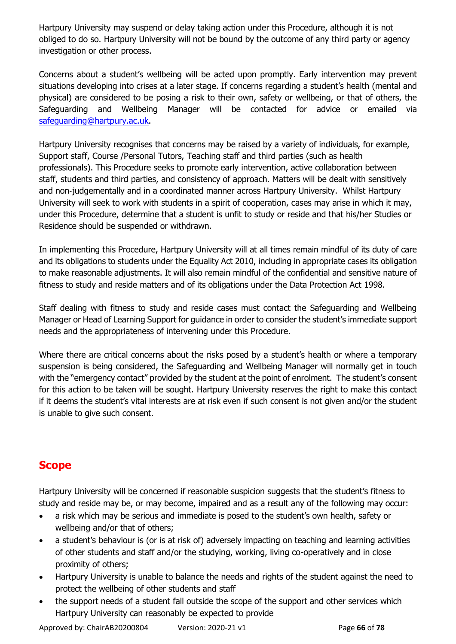Hartpury University may suspend or delay taking action under this Procedure, although it is not obliged to do so. Hartpury University will not be bound by the outcome of any third party or agency investigation or other process.

Concerns about a student's wellbeing will be acted upon promptly. Early intervention may prevent situations developing into crises at a later stage. If concerns regarding a student's health (mental and physical) are considered to be posing a risk to their own, safety or wellbeing, or that of others, the Safeguarding and Wellbeing Manager will be contacted for advice or emailed via [safeguarding@hartpury.ac.uk.](mailto:safeguarding@hartpury.ac.uk)

Hartpury University recognises that concerns may be raised by a variety of individuals, for example, Support staff, Course /Personal Tutors, Teaching staff and third parties (such as health professionals). This Procedure seeks to promote early intervention, active collaboration between staff, students and third parties, and consistency of approach. Matters will be dealt with sensitively and non-judgementally and in a coordinated manner across Hartpury University. Whilst Hartpury University will seek to work with students in a spirit of cooperation, cases may arise in which it may, under this Procedure, determine that a student is unfit to study or reside and that his/her Studies or Residence should be suspended or withdrawn.

In implementing this Procedure, Hartpury University will at all times remain mindful of its duty of care and its obligations to students under the Equality Act 2010, including in appropriate cases its obligation to make reasonable adjustments. It will also remain mindful of the confidential and sensitive nature of fitness to study and reside matters and of its obligations under the Data Protection Act 1998.

Staff dealing with fitness to study and reside cases must contact the Safeguarding and Wellbeing Manager or Head of Learning Support for guidance in order to consider the student's immediate support needs and the appropriateness of intervening under this Procedure.

Where there are critical concerns about the risks posed by a student's health or where a temporary suspension is being considered, the Safeguarding and Wellbeing Manager will normally get in touch with the "emergency contact" provided by the student at the point of enrolment. The student's consent for this action to be taken will be sought. Hartpury University reserves the right to make this contact if it deems the student's vital interests are at risk even if such consent is not given and/or the student is unable to give such consent.

## **Scope**

Hartpury University will be concerned if reasonable suspicion suggests that the student's fitness to study and reside may be, or may become, impaired and as a result any of the following may occur:

- a risk which may be serious and immediate is posed to the student's own health, safety or wellbeing and/or that of others;
- a student's behaviour is (or is at risk of) adversely impacting on teaching and learning activities of other students and staff and/or the studying, working, living co-operatively and in close proximity of others;
- Hartpury University is unable to balance the needs and rights of the student against the need to protect the wellbeing of other students and staff
- the support needs of a student fall outside the scope of the support and other services which Hartpury University can reasonably be expected to provide

Approved by: ChairAB20200804 Version: 2020-21 v1 Page **66** of **78**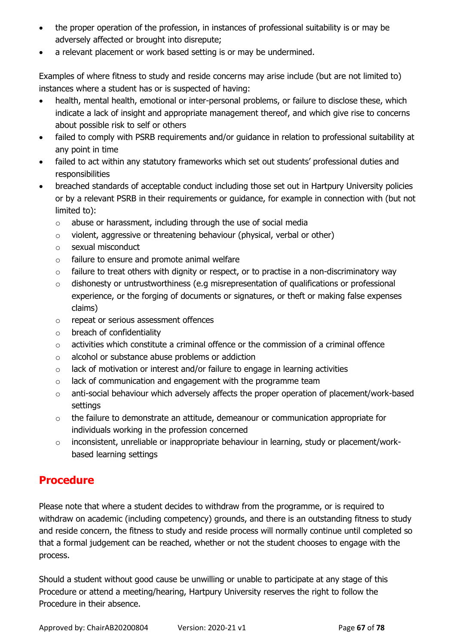- the proper operation of the profession, in instances of professional suitability is or may be adversely affected or brought into disrepute;
- a relevant placement or work based setting is or may be undermined.

Examples of where fitness to study and reside concerns may arise include (but are not limited to) instances where a student has or is suspected of having:

- health, mental health, emotional or inter-personal problems, or failure to disclose these, which indicate a lack of insight and appropriate management thereof, and which give rise to concerns about possible risk to self or others
- failed to comply with PSRB requirements and/or guidance in relation to professional suitability at any point in time
- failed to act within any statutory frameworks which set out students' professional duties and responsibilities
- breached standards of acceptable conduct including those set out in Hartpury University policies or by a relevant PSRB in their requirements or guidance, for example in connection with (but not limited to):
	- o abuse or harassment, including through the use of social media
	- o violent, aggressive or threatening behaviour (physical, verbal or other)
	- o sexual misconduct
	- o failure to ensure and promote animal welfare
	- $\circ$  failure to treat others with dignity or respect, or to practise in a non-discriminatory way
	- o dishonesty or untrustworthiness (e.g misrepresentation of qualifications or professional experience, or the forging of documents or signatures, or theft or making false expenses claims)
	- o repeat or serious assessment offences
	- o breach of confidentiality
	- $\circ$  activities which constitute a criminal offence or the commission of a criminal offence
	- o alcohol or substance abuse problems or addiction
	- o lack of motivation or interest and/or failure to engage in learning activities
	- o lack of communication and engagement with the programme team
	- o anti-social behaviour which adversely affects the proper operation of placement/work-based settings
	- o the failure to demonstrate an attitude, demeanour or communication appropriate for individuals working in the profession concerned
	- o inconsistent, unreliable or inappropriate behaviour in learning, study or placement/workbased learning settings

## **Procedure**

Please note that where a student decides to withdraw from the programme, or is required to withdraw on academic (including competency) grounds, and there is an outstanding fitness to study and reside concern, the fitness to study and reside process will normally continue until completed so that a formal judgement can be reached, whether or not the student chooses to engage with the process.

Should a student without good cause be unwilling or unable to participate at any stage of this Procedure or attend a meeting/hearing, Hartpury University reserves the right to follow the Procedure in their absence.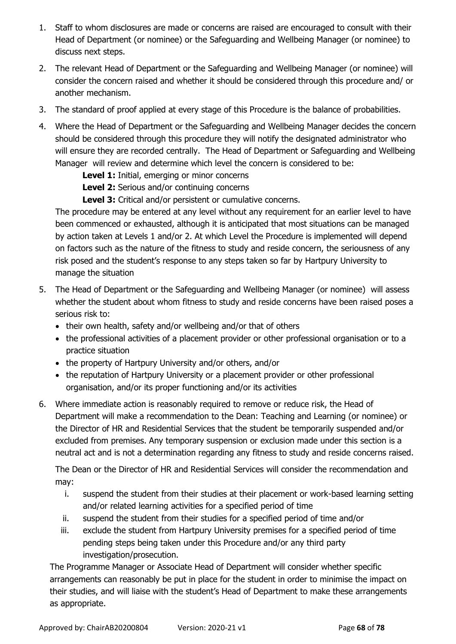- 1. Staff to whom disclosures are made or concerns are raised are encouraged to consult with their Head of Department (or nominee) or the Safeguarding and Wellbeing Manager (or nominee) to discuss next steps.
- 2. The relevant Head of Department or the Safeguarding and Wellbeing Manager (or nominee) will consider the concern raised and whether it should be considered through this procedure and/ or another mechanism.
- 3. The standard of proof applied at every stage of this Procedure is the balance of probabilities.
- 4. Where the Head of Department or the Safeguarding and Wellbeing Manager decides the concern should be considered through this procedure they will notify the designated administrator who will ensure they are recorded centrally. The Head of Department or Safeguarding and Wellbeing Manager will review and determine which level the concern is considered to be:

**Level 1:** Initial, emerging or minor concerns

**Level 2:** Serious and/or continuing concerns

**Level 3:** Critical and/or persistent or cumulative concerns.

The procedure may be entered at any level without any requirement for an earlier level to have been commenced or exhausted, although it is anticipated that most situations can be managed by action taken at Levels 1 and/or 2. At which Level the Procedure is implemented will depend on factors such as the nature of the fitness to study and reside concern, the seriousness of any risk posed and the student's response to any steps taken so far by Hartpury University to manage the situation

- 5. The Head of Department or the Safeguarding and Wellbeing Manager (or nominee) will assess whether the student about whom fitness to study and reside concerns have been raised poses a serious risk to:
	- their own health, safety and/or wellbeing and/or that of others
	- the professional activities of a placement provider or other professional organisation or to a practice situation
	- the property of Hartpury University and/or others, and/or
	- the reputation of Hartpury University or a placement provider or other professional organisation, and/or its proper functioning and/or its activities
- 6. Where immediate action is reasonably required to remove or reduce risk, the Head of Department will make a recommendation to the Dean: Teaching and Learning (or nominee) or the Director of HR and Residential Services that the student be temporarily suspended and/or excluded from premises. Any temporary suspension or exclusion made under this section is a neutral act and is not a determination regarding any fitness to study and reside concerns raised.

The Dean or the Director of HR and Residential Services will consider the recommendation and may:

- i. suspend the student from their studies at their placement or work-based learning setting and/or related learning activities for a specified period of time
- ii. suspend the student from their studies for a specified period of time and/or
- iii. exclude the student from Hartpury University premises for a specified period of time pending steps being taken under this Procedure and/or any third party investigation/prosecution.

The Programme Manager or Associate Head of Department will consider whether specific arrangements can reasonably be put in place for the student in order to minimise the impact on their studies, and will liaise with the student's Head of Department to make these arrangements as appropriate.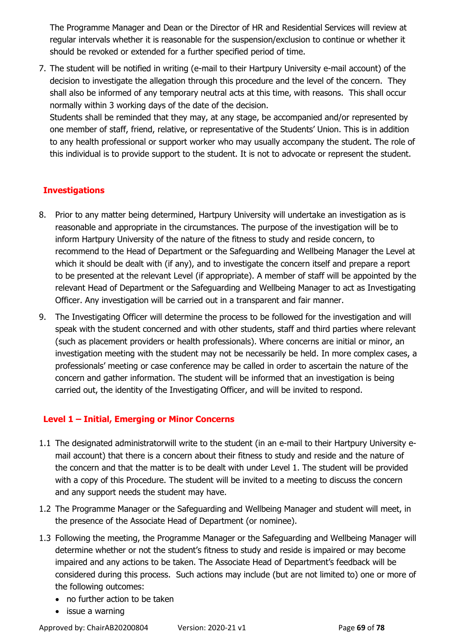The Programme Manager and Dean or the Director of HR and Residential Services will review at regular intervals whether it is reasonable for the suspension/exclusion to continue or whether it should be revoked or extended for a further specified period of time.

7. The student will be notified in writing (e-mail to their Hartpury University e-mail account) of the decision to investigate the allegation through this procedure and the level of the concern. They shall also be informed of any temporary neutral acts at this time, with reasons. This shall occur normally within 3 working days of the date of the decision.

Students shall be reminded that they may, at any stage, be accompanied and/or represented by one member of staff, friend, relative, or representative of the Students' Union. This is in addition to any health professional or support worker who may usually accompany the student. The role of this individual is to provide support to the student. It is not to advocate or represent the student.

#### **Investigations**

- 8. Prior to any matter being determined, Hartpury University will undertake an investigation as is reasonable and appropriate in the circumstances. The purpose of the investigation will be to inform Hartpury University of the nature of the fitness to study and reside concern, to recommend to the Head of Department or the Safeguarding and Wellbeing Manager the Level at which it should be dealt with (if any), and to investigate the concern itself and prepare a report to be presented at the relevant Level (if appropriate). A member of staff will be appointed by the relevant Head of Department or the Safeguarding and Wellbeing Manager to act as Investigating Officer. Any investigation will be carried out in a transparent and fair manner.
- 9. The Investigating Officer will determine the process to be followed for the investigation and will speak with the student concerned and with other students, staff and third parties where relevant (such as placement providers or health professionals). Where concerns are initial or minor, an investigation meeting with the student may not be necessarily be held. In more complex cases, a professionals' meeting or case conference may be called in order to ascertain the nature of the concern and gather information. The student will be informed that an investigation is being carried out, the identity of the Investigating Officer, and will be invited to respond.

#### **Level 1 – Initial, Emerging or Minor Concerns**

- 1.1 The designated administratorwill write to the student (in an e-mail to their Hartpury University email account) that there is a concern about their fitness to study and reside and the nature of the concern and that the matter is to be dealt with under Level 1. The student will be provided with a copy of this Procedure. The student will be invited to a meeting to discuss the concern and any support needs the student may have.
- 1.2 The Programme Manager or the Safeguarding and Wellbeing Manager and student will meet, in the presence of the Associate Head of Department (or nominee).
- 1.3 Following the meeting, the Programme Manager or the Safeguarding and Wellbeing Manager will determine whether or not the student's fitness to study and reside is impaired or may become impaired and any actions to be taken. The Associate Head of Department's feedback will be considered during this process. Such actions may include (but are not limited to) one or more of the following outcomes:
	- no further action to be taken
	- issue a warning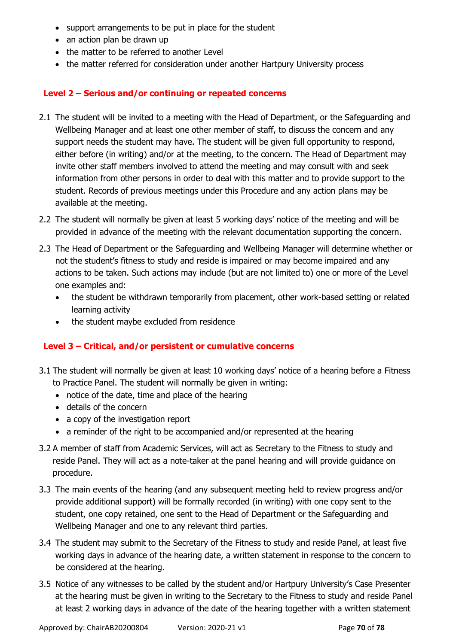- support arrangements to be put in place for the student
- an action plan be drawn up
- the matter to be referred to another Level
- the matter referred for consideration under another Hartpury University process

#### **Level 2 – Serious and/or continuing or repeated concerns**

- 2.1 The student will be invited to a meeting with the Head of Department, or the Safeguarding and Wellbeing Manager and at least one other member of staff, to discuss the concern and any support needs the student may have. The student will be given full opportunity to respond, either before (in writing) and/or at the meeting, to the concern. The Head of Department may invite other staff members involved to attend the meeting and may consult with and seek information from other persons in order to deal with this matter and to provide support to the student. Records of previous meetings under this Procedure and any action plans may be available at the meeting.
- 2.2 The student will normally be given at least 5 working days' notice of the meeting and will be provided in advance of the meeting with the relevant documentation supporting the concern.
- 2.3 The Head of Department or the Safeguarding and Wellbeing Manager will determine whether or not the student's fitness to study and reside is impaired or may become impaired and any actions to be taken. Such actions may include (but are not limited to) one or more of the Level one examples and:
	- the student be withdrawn temporarily from placement, other work-based setting or related learning activity
	- the student maybe excluded from residence

#### **Level 3 – Critical, and/or persistent or cumulative concerns**

- 3.1 The student will normally be given at least 10 working days' notice of a hearing before a Fitness to Practice Panel. The student will normally be given in writing:
	- notice of the date, time and place of the hearing
	- details of the concern
	- a copy of the investigation report
	- a reminder of the right to be accompanied and/or represented at the hearing
- 3.2 A member of staff from Academic Services, will act as Secretary to the Fitness to study and reside Panel. They will act as a note-taker at the panel hearing and will provide guidance on procedure.
- 3.3 The main events of the hearing (and any subsequent meeting held to review progress and/or provide additional support) will be formally recorded (in writing) with one copy sent to the student, one copy retained, one sent to the Head of Department or the Safeguarding and Wellbeing Manager and one to any relevant third parties.
- 3.4 The student may submit to the Secretary of the Fitness to study and reside Panel, at least five working days in advance of the hearing date, a written statement in response to the concern to be considered at the hearing.
- 3.5 Notice of any witnesses to be called by the student and/or Hartpury University's Case Presenter at the hearing must be given in writing to the Secretary to the Fitness to study and reside Panel at least 2 working days in advance of the date of the hearing together with a written statement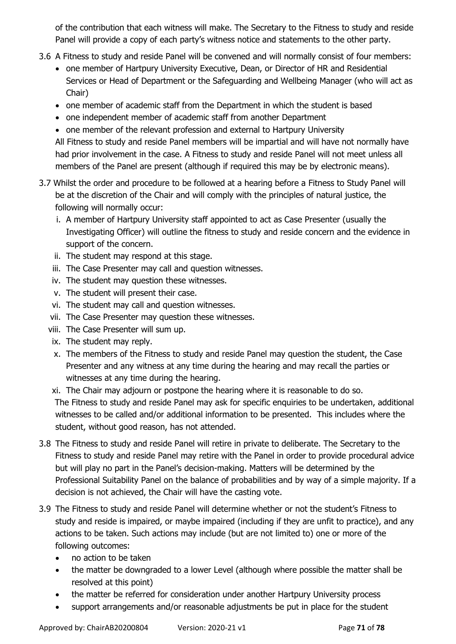of the contribution that each witness will make. The Secretary to the Fitness to study and reside Panel will provide a copy of each party's witness notice and statements to the other party.

- 3.6 A Fitness to study and reside Panel will be convened and will normally consist of four members:
	- one member of Hartpury University Executive, Dean, or Director of HR and Residential Services or Head of Department or the Safeguarding and Wellbeing Manager (who will act as Chair)
	- one member of academic staff from the Department in which the student is based
	- one independent member of academic staff from another Department
	- one member of the relevant profession and external to Hartpury University

All Fitness to study and reside Panel members will be impartial and will have not normally have had prior involvement in the case. A Fitness to study and reside Panel will not meet unless all members of the Panel are present (although if required this may be by electronic means).

- 3.7 Whilst the order and procedure to be followed at a hearing before a Fitness to Study Panel will be at the discretion of the Chair and will comply with the principles of natural justice, the following will normally occur:
	- i. A member of Hartpury University staff appointed to act as Case Presenter (usually the Investigating Officer) will outline the fitness to study and reside concern and the evidence in support of the concern.
	- ii. The student may respond at this stage.
	- iii. The Case Presenter may call and question witnesses.
	- iv. The student may question these witnesses.
	- v. The student will present their case.
	- vi. The student may call and question witnesses.
	- vii. The Case Presenter may question these witnesses.
	- viii. The Case Presenter will sum up.
	- ix. The student may reply.
	- x. The members of the Fitness to study and reside Panel may question the student, the Case Presenter and any witness at any time during the hearing and may recall the parties or witnesses at any time during the hearing.
	- xi. The Chair may adjourn or postpone the hearing where it is reasonable to do so. The Fitness to study and reside Panel may ask for specific enquiries to be undertaken, additional witnesses to be called and/or additional information to be presented. This includes where the student, without good reason, has not attended.
- 3.8 The Fitness to study and reside Panel will retire in private to deliberate. The Secretary to the Fitness to study and reside Panel may retire with the Panel in order to provide procedural advice but will play no part in the Panel's decision-making. Matters will be determined by the Professional Suitability Panel on the balance of probabilities and by way of a simple majority. If a decision is not achieved, the Chair will have the casting vote.
- 3.9 The Fitness to study and reside Panel will determine whether or not the student's Fitness to study and reside is impaired, or maybe impaired (including if they are unfit to practice), and any actions to be taken. Such actions may include (but are not limited to) one or more of the following outcomes:
	- no action to be taken
	- the matter be downgraded to a lower Level (although where possible the matter shall be resolved at this point)
	- the matter be referred for consideration under another Hartpury University process
	- support arrangements and/or reasonable adjustments be put in place for the student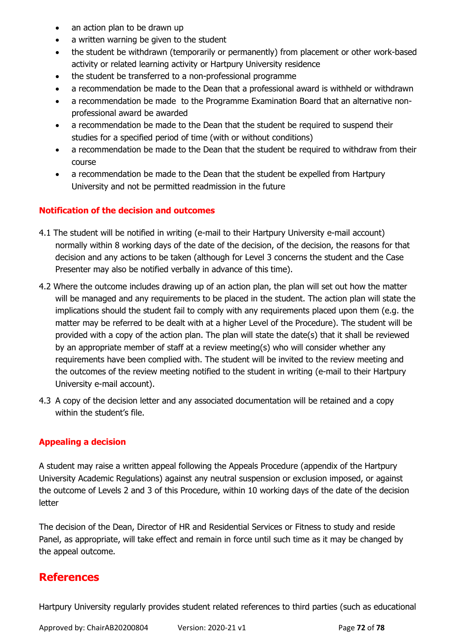- an action plan to be drawn up
- a written warning be given to the student
- the student be withdrawn (temporarily or permanently) from placement or other work-based activity or related learning activity or Hartpury University residence
- the student be transferred to a non-professional programme
- a recommendation be made to the Dean that a professional award is withheld or withdrawn
- a recommendation be made to the Programme Examination Board that an alternative nonprofessional award be awarded
- a recommendation be made to the Dean that the student be required to suspend their studies for a specified period of time (with or without conditions)
- a recommendation be made to the Dean that the student be required to withdraw from their course
- a recommendation be made to the Dean that the student be expelled from Hartpury University and not be permitted readmission in the future

#### **Notification of the decision and outcomes**

- 4.1 The student will be notified in writing (e-mail to their Hartpury University e-mail account) normally within 8 working days of the date of the decision, of the decision, the reasons for that decision and any actions to be taken (although for Level 3 concerns the student and the Case Presenter may also be notified verbally in advance of this time).
- 4.2 Where the outcome includes drawing up of an action plan, the plan will set out how the matter will be managed and any requirements to be placed in the student. The action plan will state the implications should the student fail to comply with any requirements placed upon them (e.g. the matter may be referred to be dealt with at a higher Level of the Procedure). The student will be provided with a copy of the action plan. The plan will state the date(s) that it shall be reviewed by an appropriate member of staff at a review meeting(s) who will consider whether any requirements have been complied with. The student will be invited to the review meeting and the outcomes of the review meeting notified to the student in writing (e-mail to their Hartpury University e-mail account).
- 4.3 A copy of the decision letter and any associated documentation will be retained and a copy within the student's file.

#### **Appealing a decision**

A student may raise a written appeal following the Appeals Procedure (appendix of the Hartpury University Academic Regulations) against any neutral suspension or exclusion imposed, or against the outcome of Levels 2 and 3 of this Procedure, within 10 working days of the date of the decision letter

The decision of the Dean, Director of HR and Residential Services or Fitness to study and reside Panel, as appropriate, will take effect and remain in force until such time as it may be changed by the appeal outcome.

#### **References**

Hartpury University regularly provides student related references to third parties (such as educational

Approved by: ChairAB20200804 Version: 2020-21 v1 Page **72** of **78**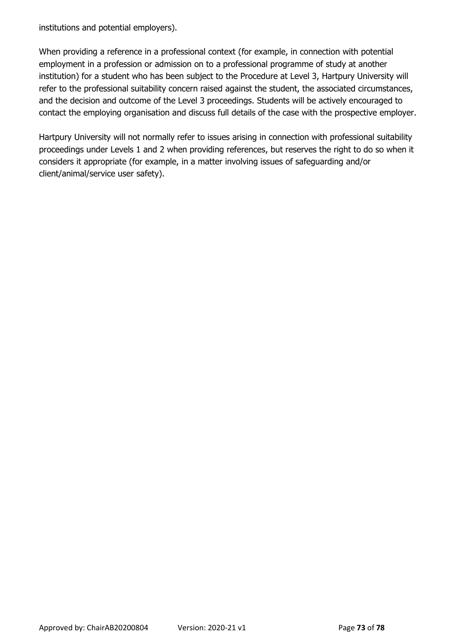institutions and potential employers).

When providing a reference in a professional context (for example, in connection with potential employment in a profession or admission on to a professional programme of study at another institution) for a student who has been subject to the Procedure at Level 3, Hartpury University will refer to the professional suitability concern raised against the student, the associated circumstances, and the decision and outcome of the Level 3 proceedings. Students will be actively encouraged to contact the employing organisation and discuss full details of the case with the prospective employer.

Hartpury University will not normally refer to issues arising in connection with professional suitability proceedings under Levels 1 and 2 when providing references, but reserves the right to do so when it considers it appropriate (for example, in a matter involving issues of safeguarding and/or client/animal/service user safety).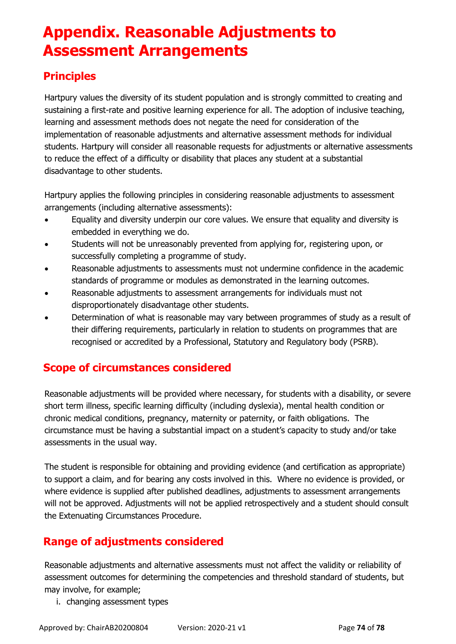# **Appendix. Reasonable Adjustments to Assessment Arrangements**

## **Principles**

Hartpury values the diversity of its student population and is strongly committed to creating and sustaining a first-rate and positive learning experience for all. The adoption of inclusive teaching, learning and assessment methods does not negate the need for consideration of the implementation of reasonable adjustments and alternative assessment methods for individual students. Hartpury will consider all reasonable requests for adjustments or alternative assessments to reduce the effect of a difficulty or disability that places any student at a substantial disadvantage to other students.

Hartpury applies the following principles in considering reasonable adjustments to assessment arrangements (including alternative assessments):

- Equality and diversity underpin our core values. We ensure that equality and diversity is embedded in everything we do.
- Students will not be unreasonably prevented from applying for, registering upon, or successfully completing a programme of study.
- Reasonable adjustments to assessments must not undermine confidence in the academic standards of programme or modules as demonstrated in the learning outcomes.
- Reasonable adjustments to assessment arrangements for individuals must not disproportionately disadvantage other students.
- Determination of what is reasonable may vary between programmes of study as a result of their differing requirements, particularly in relation to students on programmes that are recognised or accredited by a Professional, Statutory and Regulatory body (PSRB).

#### **Scope of circumstances considered**

Reasonable adjustments will be provided where necessary, for students with a disability, or severe short term illness, specific learning difficulty (including dyslexia), mental health condition or chronic medical conditions, pregnancy, maternity or paternity, or faith obligations. The circumstance must be having a substantial impact on a student's capacity to study and/or take assessments in the usual way.

The student is responsible for obtaining and providing evidence (and certification as appropriate) to support a claim, and for bearing any costs involved in this. Where no evidence is provided, or where evidence is supplied after published deadlines, adjustments to assessment arrangements will not be approved. Adjustments will not be applied retrospectively and a student should consult the Extenuating Circumstances Procedure.

### **Range of adjustments considered**

Reasonable adjustments and alternative assessments must not affect the validity or reliability of assessment outcomes for determining the competencies and threshold standard of students, but may involve, for example;

i. changing assessment types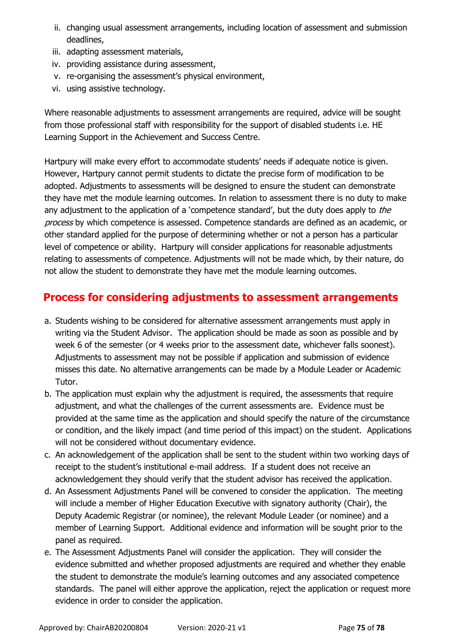- ii. changing usual assessment arrangements, including location of assessment and submission deadlines,
- iii. adapting assessment materials,
- iv. providing assistance during assessment,
- v. re-organising the assessment's physical environment,
- vi. using assistive technology.

Where reasonable adjustments to assessment arrangements are required, advice will be sought from those professional staff with responsibility for the support of disabled students i.e. HE Learning Support in the Achievement and Success Centre.

Hartpury will make every effort to accommodate students' needs if adequate notice is given. However, Hartpury cannot permit students to dictate the precise form of modification to be adopted. Adjustments to assessments will be designed to ensure the student can demonstrate they have met the module learning outcomes. In relation to assessment there is no duty to make any adjustment to the application of a 'competence standard', but the duty does apply to the process by which competence is assessed. Competence standards are defined as an academic, or other standard applied for the purpose of determining whether or not a person has a particular level of competence or ability. Hartpury will consider applications for reasonable adjustments relating to assessments of competence. Adjustments will not be made which, by their nature, do not allow the student to demonstrate they have met the module learning outcomes.

#### **Process for considering adjustments to assessment arrangements**

- a. Students wishing to be considered for alternative assessment arrangements must apply in writing via the Student Advisor. The application should be made as soon as possible and by week 6 of the semester (or 4 weeks prior to the assessment date, whichever falls soonest). Adjustments to assessment may not be possible if application and submission of evidence misses this date. No alternative arrangements can be made by a Module Leader or Academic Tutor.
- b. The application must explain why the adjustment is required, the assessments that require adjustment, and what the challenges of the current assessments are. Evidence must be provided at the same time as the application and should specify the nature of the circumstance or condition, and the likely impact (and time period of this impact) on the student. Applications will not be considered without documentary evidence.
- c. An acknowledgement of the application shall be sent to the student within two working days of receipt to the student's institutional e-mail address. If a student does not receive an acknowledgement they should verify that the student advisor has received the application.
- d. An Assessment Adjustments Panel will be convened to consider the application. The meeting will include a member of Higher Education Executive with signatory authority (Chair), the Deputy Academic Registrar (or nominee), the relevant Module Leader (or nominee) and a member of Learning Support. Additional evidence and information will be sought prior to the panel as required.
- e. The Assessment Adjustments Panel will consider the application. They will consider the evidence submitted and whether proposed adjustments are required and whether they enable the student to demonstrate the module's learning outcomes and any associated competence standards. The panel will either approve the application, reject the application or request more evidence in order to consider the application.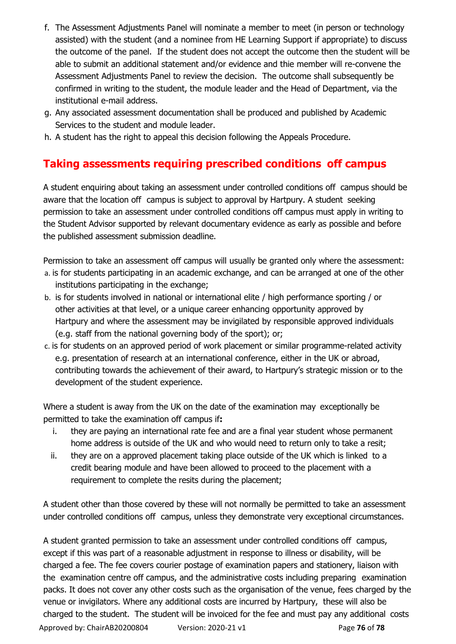- f. The Assessment Adjustments Panel will nominate a member to meet (in person or technology assisted) with the student (and a nominee from HE Learning Support if appropriate) to discuss the outcome of the panel. If the student does not accept the outcome then the student will be able to submit an additional statement and/or evidence and thie member will re-convene the Assessment Adjustments Panel to review the decision. The outcome shall subsequently be confirmed in writing to the student, the module leader and the Head of Department, via the institutional e-mail address.
- g. Any associated assessment documentation shall be produced and published by Academic Services to the student and module leader.
- h. A student has the right to appeal this decision following the Appeals Procedure.

### **Taking assessments requiring prescribed conditions off campus**

A student enquiring about taking an assessment under controlled conditions off campus should be aware that the location off campus is subject to approval by Hartpury. A student seeking permission to take an assessment under controlled conditions off campus must apply in writing to the Student Advisor supported by relevant documentary evidence as early as possible and before the published assessment submission deadline.

Permission to take an assessment off campus will usually be granted only where the assessment: a. is for students participating in an academic exchange, and can be arranged at one of the other institutions participating in the exchange;

- b. is for students involved in national or international elite / high performance sporting / or other activities at that level, or a unique career enhancing opportunity approved by Hartpury and where the assessment may be invigilated by responsible approved individuals (e.g. staff from the national governing body of the sport); or;
- c. is for students on an approved period of work placement or similar programme-related activity e.g. presentation of research at an international conference, either in the UK or abroad, contributing towards the achievement of their award, to Hartpury's strategic mission or to the development of the student experience.

Where a student is away from the UK on the date of the examination may exceptionally be permitted to take the examination off campus if**:**

- i. they are paying an international rate fee and are a final year student whose permanent home address is outside of the UK and who would need to return only to take a resit;
- ii. they are on a approved placement taking place outside of the UK which is linked to a credit bearing module and have been allowed to proceed to the placement with a requirement to complete the resits during the placement;

A student other than those covered by these will not normally be permitted to take an assessment under controlled conditions off campus, unless they demonstrate very exceptional circumstances.

A student granted permission to take an assessment under controlled conditions off campus, except if this was part of a reasonable adjustment in response to illness or disability, will be charged a fee. The fee covers courier postage of examination papers and stationery, liaison with the examination centre off campus, and the administrative costs including preparing examination packs. It does not cover any other costs such as the organisation of the venue, fees charged by the venue or invigilators. Where any additional costs are incurred by Hartpury, these will also be charged to the student. The student will be invoiced for the fee and must pay any additional costs

Approved by: ChairAB20200804 Version: 2020-21 v1 Page **76** of **78**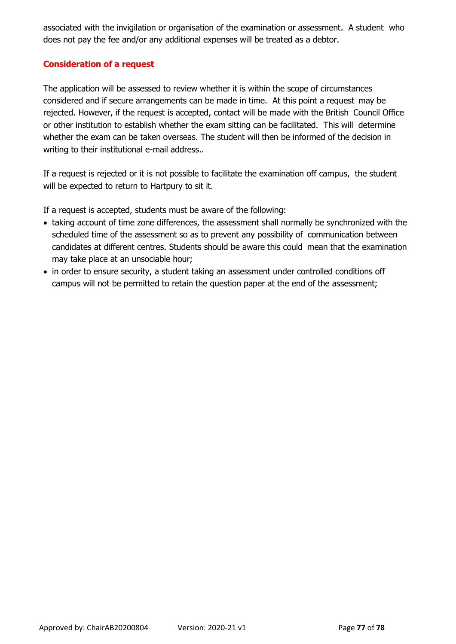associated with the invigilation or organisation of the examination or assessment. A student who does not pay the fee and/or any additional expenses will be treated as a debtor.

#### **Consideration of a request**

The application will be assessed to review whether it is within the scope of circumstances considered and if secure arrangements can be made in time. At this point a request may be rejected. However, if the request is accepted, contact will be made with the British Council Office or other institution to establish whether the exam sitting can be facilitated. This will determine whether the exam can be taken overseas. The student will then be informed of the decision in writing to their institutional e-mail address..

If a request is rejected or it is not possible to facilitate the examination off campus, the student will be expected to return to Hartpury to sit it.

If a request is accepted, students must be aware of the following:

- taking account of time zone differences, the assessment shall normally be synchronized with the scheduled time of the assessment so as to prevent any possibility of communication between candidates at different centres. Students should be aware this could mean that the examination may take place at an unsociable hour;
- in order to ensure security, a student taking an assessment under controlled conditions off campus will not be permitted to retain the question paper at the end of the assessment;